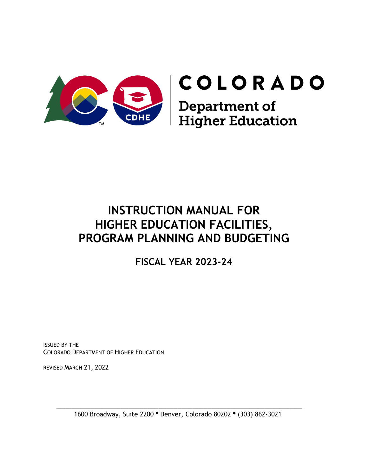

# **INSTRUCTION MANUAL FOR HIGHER EDUCATION FACILITIES, PROGRAM PLANNING AND BUDGETING**

**FISCAL YEAR 2023-24**

ISSUED BY THE COLORADO DEPARTMENT OF HIGHER EDUCATION

REVISED MARCH 21, 2022

 \_\_\_\_\_\_\_\_\_\_\_\_\_\_\_\_\_\_\_\_\_\_\_\_\_\_\_\_\_\_\_\_\_\_\_\_\_\_\_\_\_\_\_\_\_\_\_\_\_\_\_\_\_\_\_\_\_\_\_\_\_\_\_\_\_ 1600 Broadway, Suite 2200 · Denver, Colorado 80202 · (303) 862-3021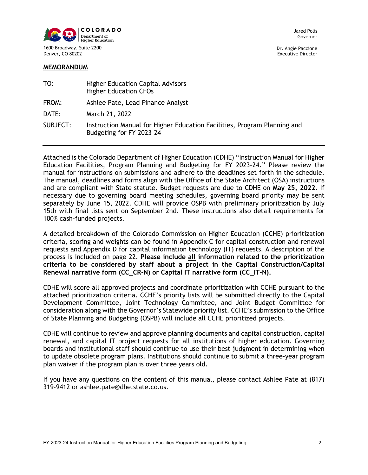

Dr. Angie Paccione Executive Director

| TO:      | <b>Higher Education Capital Advisors</b><br><b>Higher Education CFOs</b>                             |
|----------|------------------------------------------------------------------------------------------------------|
| FROM:    | Ashlee Pate, Lead Finance Analyst                                                                    |
| DATE:    | March 21, 2022                                                                                       |
| SUBJECT: | Instruction Manual for Higher Education Facilities, Program Planning and<br>Budgeting for FY 2023-24 |

Attached is the Colorado Department of Higher Education (CDHE) "Instruction Manual for Higher Education Facilities, Program Planning and Budgeting for FY 2023-24." Please review the manual for instructions on submissions and adhere to the deadlines set forth in the schedule. The manual, deadlines and forms align with the Office of the State Architect (OSA) instructions and are compliant with State statute. Budget requests are due to CDHE on **May 25, 2022.** If necessary due to governing board meeting schedules, governing board priority may be sent separately by June 15, 2022. CDHE will provide OSPB with preliminary prioritization by July 15th with final lists sent on September 2nd. These instructions also detail requirements for 100% cash-funded projects.

A detailed breakdown of the Colorado Commission on Higher Education (CCHE) prioritization criteria, scoring and weights can be found in Appendix C for capital construction and renewal requests and Appendix D for capital information technology (IT) requests. A description of the process is included on page 22. **Please include all information related to the prioritization criteria to be considered by staff about a project in the Capital Construction/Capital Renewal narrative form (CC\_CR-N) or Capital IT narrative form (CC\_IT-N).** 

CDHE will score all approved projects and coordinate prioritization with CCHE pursuant to the attached prioritization criteria. CCHE's priority lists will be submitted directly to the Capital Development Committee, Joint Technology Committee, and Joint Budget Committee for consideration along with the Governor's Statewide priority list. CCHE's submission to the Office of State Planning and Budgeting (OSPB) will include all CCHE prioritized projects.

CDHE will continue to review and approve planning documents and capital construction, capital renewal, and capital IT project requests for all institutions of higher education. Governing boards and institutional staff should continue to use their best judgment in determining when to update obsolete program plans. Institutions should continue to submit a three-year program plan waiver if the program plan is over three years old.

If you have any questions on the content of this manual, please contact Ashlee Pate at (817) 319-9412 or ashlee.pate@dhe.state.co.us.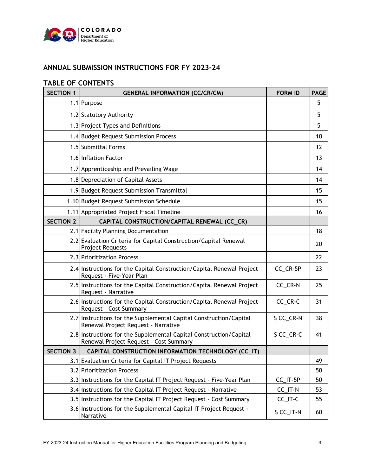

# **ANNUAL SUBMISSION INSTRUCTIONS FOR FY 2023-24**

## **TABLE OF CONTENTS**

| <b>SECTION 1</b>                                                   | <b>GENERAL INFORMATION (CC/CR/CM)</b>                                                                        | <b>FORM ID</b> | <b>PAGE</b> |
|--------------------------------------------------------------------|--------------------------------------------------------------------------------------------------------------|----------------|-------------|
|                                                                    | 1.1 Purpose                                                                                                  |                | 5           |
| 1.2 Statutory Authority                                            |                                                                                                              |                | 5           |
|                                                                    | 1.3 Project Types and Definitions                                                                            |                | 5           |
|                                                                    | 1.4 Budget Request Submission Process                                                                        |                | 10          |
|                                                                    | 1.5 Submittal Forms                                                                                          |                | 12          |
|                                                                    | 1.6 Inflation Factor                                                                                         |                | 13          |
|                                                                    | 1.7 Apprenticeship and Prevailing Wage                                                                       |                | 14          |
|                                                                    | 1.8 Depreciation of Capital Assets                                                                           |                | 14          |
|                                                                    | 1.9 Budget Request Submission Transmittal                                                                    |                | 15          |
|                                                                    | 1.10 Budget Request Submission Schedule                                                                      |                | 15          |
|                                                                    | 1.11 Appropriated Project Fiscal Timeline                                                                    |                | 16          |
| <b>SECTION 2</b>                                                   | CAPITAL CONSTRUCTION/CAPITAL RENEWAL (CC_CR)                                                                 |                |             |
|                                                                    | 2.1 Facility Planning Documentation                                                                          |                | 18          |
|                                                                    | 2.2 Evaluation Criteria for Capital Construction/Capital Renewal<br><b>Project Requests</b>                  |                | 20          |
|                                                                    | 2.3 Prioritization Process                                                                                   |                | 22          |
|                                                                    | 2.4 Instructions for the Capital Construction/Capital Renewal Project<br>Request - Five-Year Plan            | CC_CR-5P       | 23          |
|                                                                    | 2.5 Instructions for the Capital Construction/Capital Renewal Project<br>Request - Narrative                 | CC_CR-N        | 25          |
|                                                                    | 2.6 Instructions for the Capital Construction/Capital Renewal Project<br>Request - Cost Summary              | CC_CR-C        | 31          |
|                                                                    | 2.7 Instructions for the Supplemental Capital Construction/Capital<br>Renewal Project Request - Narrative    | S CC_CR-N      | 38          |
|                                                                    | 2.8 Instructions for the Supplemental Capital Construction/Capital<br>Renewal Project Request - Cost Summary | S CC_CR-C      | 41          |
| <b>SECTION 3</b>                                                   | CAPITAL CONSTRUCTION INFORMATION TECHNOLOGY (CC_IT)                                                          |                |             |
|                                                                    | 3.1 Evaluation Criteria for Capital IT Project Requests                                                      |                | 49          |
|                                                                    | 3.2 Prioritization Process                                                                                   |                | 50          |
|                                                                    | 3.3 Instructions for the Capital IT Project Request - Five-Year Plan                                         | CC_IT-5P       | 50          |
|                                                                    | 3.4 Instructions for the Capital IT Project Request - Narrative                                              | CC_IT-N        | 53          |
| 3.5 Instructions for the Capital IT Project Request - Cost Summary |                                                                                                              | $CC$ _IT- $C$  | 55          |
|                                                                    | 3.6 Instructions for the Supplemental Capital IT Project Request -<br>Narrative                              | S CC_IT-N      | 60          |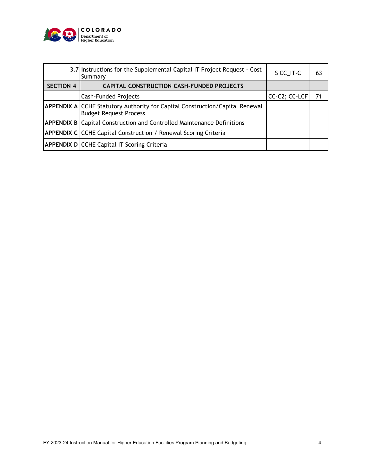

|                                                                               | 3.7 Instructions for the Supplemental Capital IT Project Request - Cost<br>Summary                            | S CC_IT-C     | 63 |
|-------------------------------------------------------------------------------|---------------------------------------------------------------------------------------------------------------|---------------|----|
| <b>SECTION 4</b>                                                              | CAPITAL CONSTRUCTION CASH-FUNDED PROJECTS                                                                     |               |    |
|                                                                               | <b>Cash-Funded Projects</b>                                                                                   | CC-C2; CC-LCF | 71 |
|                                                                               | APPENDIX A CCHE Statutory Authority for Capital Construction/Capital Renewal<br><b>Budget Request Process</b> |               |    |
| <b>APPENDIX B Capital Construction and Controlled Maintenance Definitions</b> |                                                                                                               |               |    |
|                                                                               | <b>APPENDIX C CCHE Capital Construction / Renewal Scoring Criteria</b>                                        |               |    |
| <b>APPENDIX D CCHE Capital IT Scoring Criteria</b>                            |                                                                                                               |               |    |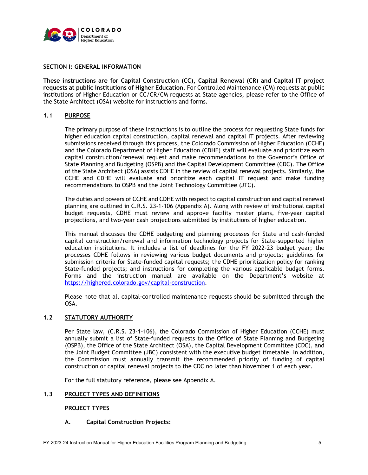

## **SECTION I: GENERAL INFORMATION**

**These instructions are for Capital Construction (CC), Capital Renewal (CR) and Capital IT project requests at public institutions of Higher Education.** For Controlled Maintenance (CM) requests at public institutions of Higher Education or CC/CR/CM requests at State agencies, please refer to the Office of the State Architect (OSA) website for instructions and forms.

## **1.1 PURPOSE**

The primary purpose of these instructions is to outline the process for requesting State funds for higher education capital construction, capital renewal and capital IT projects. After reviewing submissions received through this process, the Colorado Commission of Higher Education (CCHE) and the Colorado Department of Higher Education (CDHE) staff will evaluate and prioritize each capital construction/renewal request and make recommendations to the Governor's Office of State Planning and Budgeting (OSPB) and the Capital Development Committee (CDC). The Office of the State Architect (OSA) assists CDHE in the review of capital renewal projects. Similarly, the CCHE and CDHE will evaluate and prioritize each capital IT request and make funding recommendations to OSPB and the Joint Technology Committee (JTC).

The duties and powers of CCHE and CDHE with respect to capital construction and capital renewal planning are outlined in C.R.S. 23-1-106 (Appendix A). Along with review of institutional capital budget requests, CDHE must review and approve facility master plans, five-year capital projections, and two-year cash projections submitted by institutions of higher education.

This manual discusses the CDHE budgeting and planning processes for State and cash-funded capital construction/renewal and information technology projects for State-supported higher education institutions. It includes a list of deadlines for the FY 2022-23 budget year; the processes CDHE follows in reviewing various budget documents and projects; guidelines for submission criteria for State-funded capital requests; the CDHE prioritization policy for ranking State-funded projects; and instructions for completing the various applicable budget forms. Forms and the instruction manual are available on the Department's website at [https://highered.colorado.gov/capital-construction.](https://highered.colorado.gov/capital-construction)

Please note that all capital-controlled maintenance requests should be submitted through the OSA.

## **1.2 STATUTORY AUTHORITY**

Per State law, (C.R.S. 23-1-106), the Colorado Commission of Higher Education (CCHE) must annually submit a list of State-funded requests to the Office of State Planning and Budgeting (OSPB), the Office of the State Architect (OSA), the Capital Development Committee (CDC), and the Joint Budget Committee (JBC) consistent with the executive budget timetable. In addition, the Commission must annually transmit the recommended priority of funding of capital construction or capital renewal projects to the CDC no later than November 1 of each year.

For the full statutory reference, please see Appendix A.

## **1.3 PROJECT TYPES AND DEFINITIONS**

## **PROJECT TYPES**

## **A. Capital Construction Projects:**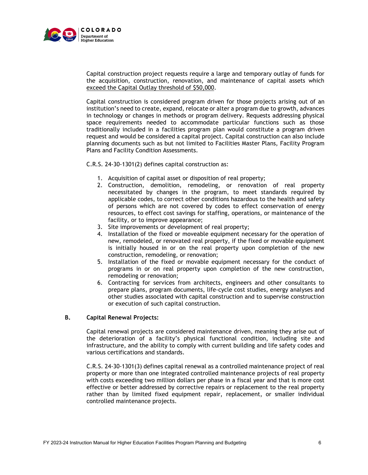

Capital construction project requests require a large and temporary outlay of funds for the acquisition, construction, renovation, and maintenance of capital assets which exceed the Capital Outlay threshold of \$50,000.

Capital construction is considered program driven for those projects arising out of an institution's need to create, expand, relocate or alter a program due to growth, advances in technology or changes in methods or program delivery. Requests addressing physical space requirements needed to accommodate particular functions such as those traditionally included in a facilities program plan would constitute a program driven request and would be considered a capital project. Capital construction can also include planning documents such as but not limited to Facilities Master Plans, Facility Program Plans and Facility Condition Assessments.

C.R.S. 24-30-1301(2) defines capital construction as:

- 1. Acquisition of capital asset or disposition of real property;
- 2. Construction, demolition, remodeling, or renovation of real property necessitated by changes in the program, to meet standards required by applicable codes, to correct other conditions hazardous to the health and safety of persons which are not covered by codes to effect conservation of energy resources, to effect cost savings for staffing, operations, or maintenance of the facility, or to improve appearance;
- 3. Site improvements or development of real property;
- 4. Installation of the fixed or moveable equipment necessary for the operation of new, remodeled, or renovated real property, if the fixed or movable equipment is initially housed in or on the real property upon completion of the new construction, remodeling, or renovation;
- 5. Installation of the fixed or movable equipment necessary for the conduct of programs in or on real property upon completion of the new construction, remodeling or renovation;
- 6. Contracting for services from architects, engineers and other consultants to prepare plans, program documents, life-cycle cost studies, energy analyses and other studies associated with capital construction and to supervise construction or execution of such capital construction.

## **B. Capital Renewal Projects:**

Capital renewal projects are considered maintenance driven, meaning they arise out of the deterioration of a facility's physical functional condition, including site and infrastructure, and the ability to comply with current building and life safety codes and various certifications and standards.

C.R.S. 24-30-1301(3) defines capital renewal as a controlled maintenance project of real property or more than one integrated controlled maintenance projects of real property with costs exceeding two million dollars per phase in a fiscal year and that is more cost effective or better addressed by corrective repairs or replacement to the real property rather than by limited fixed equipment repair, replacement, or smaller individual controlled maintenance projects.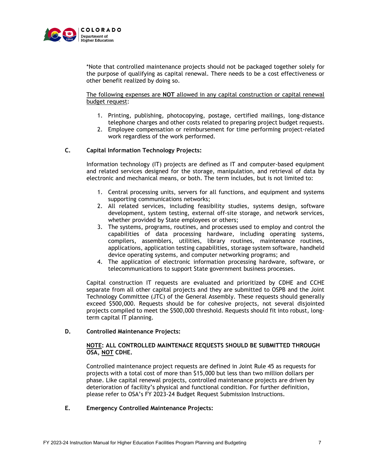

\*Note that controlled maintenance projects should not be packaged together solely for the purpose of qualifying as capital renewal. There needs to be a cost effectiveness or other benefit realized by doing so.

The following expenses are **NOT** allowed in any capital construction or capital renewal budget request:

- 1. Printing, publishing, photocopying, postage, certified mailings, long-distance telephone charges and other costs related to preparing project budget requests.
- 2. Employee compensation or reimbursement for time performing project-related work regardless of the work performed.

## **C. Capital Information Technology Projects:**

Information technology (IT) projects are defined as IT and computer-based equipment and related services designed for the storage, manipulation, and retrieval of data by electronic and mechanical means, or both. The term includes, but is not limited to:

- 1. Central processing units, servers for all functions, and equipment and systems supporting communications networks;
- 2. All related services, including feasibility studies, systems design, software development, system testing, external off-site storage, and network services, whether provided by State employees or others;
- 3. The systems, programs, routines, and processes used to employ and control the capabilities of data processing hardware, including operating systems, compilers, assemblers, utilities, library routines, maintenance routines, applications, application testing capabilities, storage system software, handheld device operating systems, and computer networking programs; and
- 4. The application of electronic information processing hardware, software, or telecommunications to support State government business processes.

Capital construction IT requests are evaluated and prioritized by CDHE and CCHE separate from all other capital projects and they are submitted to OSPB and the Joint Technology Committee (JTC) of the General Assembly. These requests should generally exceed \$500,000. Requests should be for cohesive projects, not several disjointed projects compiled to meet the \$500,000 threshold. Requests should fit into robust, longterm capital IT planning.

## **D. Controlled Maintenance Projects:**

#### **NOTE: ALL CONTROLLED MAINTENACE REQUESTS SHOULD BE SUBMITTED THROUGH OSA, NOT CDHE.**

Controlled maintenance project requests are defined in Joint Rule 45 as requests for projects with a total cost of more than \$15,000 but less than two million dollars per phase. Like capital renewal projects, controlled maintenance projects are driven by deterioration of facility's physical and functional condition. For further definition, please refer to OSA's FY 2023-24 Budget Request Submission Instructions.

## **E. Emergency Controlled Maintenance Projects:**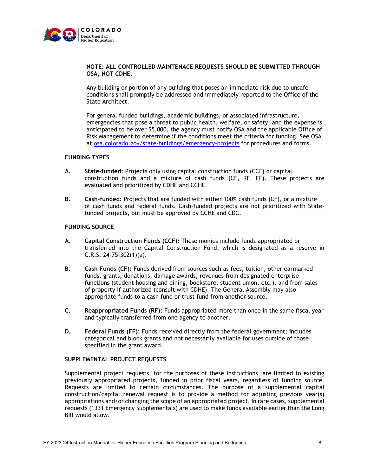

## **NOTE: ALL CONTROLLED MAINTENACE REQUESTS SHOULD BE SUBMITTED THROUGH OSA, NOT CDHE.**

Any building or portion of any building that poses an immediate risk due to unsafe conditions shall promptly be addressed and immediately reported to the Office of the State Architect.

For general funded buildings, academic buildings, or associated infrastructure, emergencies that pose a threat to public health, welfare, or safety, and the expense is anticipated to be over \$5,000, the agency must notify OSA and the applicable Office of Risk Management to determine if the conditions meet the criteria for funding. See OSA at osa.colorado.gov/state-buildings/emergency-projects for procedures and forms.

#### **FUNDING TYPES**

- **A. State-funded:** Projects only using capital construction funds (CCF) or capital construction funds and a mixture of cash funds (CF, RF, FF). These projects are evaluated and prioritized by CDHE and CCHE.
- **B. Cash-funded:** Projects that are funded with either 100% cash funds (CF), or a mixture of cash funds and federal funds. Cash-funded projects are not prioritized with Statefunded projects, but must be approved by CCHE and CDC.

#### **FUNDING SOURCE**

- **A. Capital Construction Funds (CCF):** These monies include funds appropriated or transferred into the Capital Construction Fund, which is designated as a reserve in C.R.S. 24-75-302(1)(a).
- **B. Cash Funds (CF):** Funds derived from sources such as fees, tuition, other earmarked funds, grants, donations, damage awards, revenues from designated enterprise functions (student housing and dining, bookstore, student union, etc.), and from sales of property if authorized (consult with CDHE). The General Assembly may also appropriate funds to a cash fund or trust fund from another source.
- **C. Reappropriated Funds (RF):** Funds appropriated more than once in the same fiscal year and typically transferred from one agency to another.
- **D. Federal Funds (FF):** Funds received directly from the federal government; includes categorical and block grants and not necessarily available for uses outside of those specified in the grant award.

## **SUPPLEMENTAL PROJECT REQUESTS**

Supplemental project requests, for the purposes of these instructions, are limited to existing previously appropriated projects, funded in prior fiscal years, regardless of funding source. Requests are limited to certain circumstances. The purpose of a supplemental capital construction/capital renewal request is to provide a method for adjusting previous year(s) appropriations and/or changing the scope of an appropriated project. In rare cases, supplemental requests (1331 Emergency Supplementals) are used to make funds available earlier than the Long Bill would allow.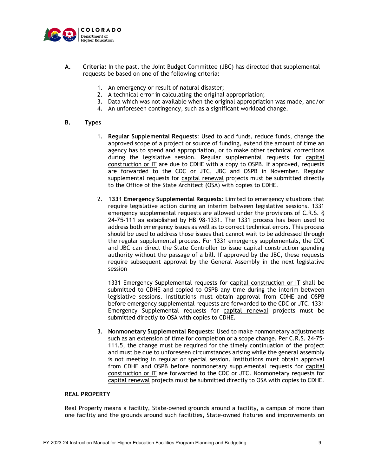

- **A. Criteria:** In the past, the Joint Budget Committee (JBC) has directed that supplemental requests be based on one of the following criteria:
	- 1. An emergency or result of natural disaster;
	- 2. A technical error in calculating the original appropriation;
	- 3. Data which was not available when the original appropriation was made, and/or
	- 4. An unforeseen contingency, such as a significant workload change.

#### **B. Types**

- 1. **Regular Supplemental Requests**: Used to add funds, reduce funds, change the approved scope of a project or source of funding, extend the amount of time an agency has to spend and appropriation, or to make other technical corrections during the legislative session. Regular supplemental requests for capital construction or IT are due to CDHE with a copy to OSPB. If approved, requests are forwarded to the CDC or JTC, JBC and OSPB in November. Regular supplemental requests for capital renewal projects must be submitted directly to the Office of the State Architect (OSA) with copies to CDHE.
- 2. **1331 Emergency Supplemental Requests**: Limited to emergency situations that require legislative action during an interim between legislative sessions. 1331 emergency supplemental requests are allowed under the provisions of C.R.S. § 24-75-111 as established by HB 98-1331. The 1331 process has been used to address both emergency issues as well as to correct technical errors. This process should be used to address those issues that cannot wait to be addressed through the regular supplemental process. For 1331 emergency supplementals, the CDC and JBC can direct the State Controller to issue capital construction spending authority without the passage of a bill. If approved by the JBC, these requests require subsequent approval by the General Assembly in the next legislative session

1331 Emergency Supplemental requests for capital construction or IT shall be submitted to CDHE and copied to OSPB any time during the interim between legislative sessions. Institutions must obtain approval from CDHE and OSPB before emergency supplemental requests are forwarded to the CDC or JTC. 1331 Emergency Supplemental requests for capital renewal projects must be submitted directly to OSA with copies to CDHE.

3. **Nonmonetary Supplemental Requests**: Used to make nonmonetary adjustments such as an extension of time for completion or a scope change. Per C.R.S. 24-75- 111.5, the change must be required for the timely continuation of the project and must be due to unforeseen circumstances arising while the general assembly is not meeting in regular or special session. Institutions must obtain approval from CDHE and OSPB before nonmonetary supplemental requests for capital construction or IT are forwarded to the CDC or JTC. Nonmonetary requests for capital renewal projects must be submitted directly to OSA with copies to CDHE.

## **REAL PROPERTY**

Real Property means a facility, State-owned grounds around a facility, a campus of more than one facility and the grounds around such facilities, State-owned fixtures and improvements on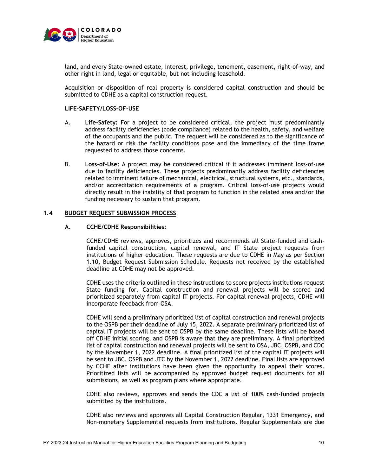

land, and every State-owned estate, interest, privilege, tenement, easement, right-of-way, and other right in land, legal or equitable, but not including leasehold.

Acquisition or disposition of real property is considered capital construction and should be submitted to CDHE as a capital construction request.

## **LIFE-SAFETY/LOSS-OF-USE**

- A. **Life-Safety:** For a project to be considered critical, the project must predominantly address facility deficiencies (code compliance) related to the health, safety, and welfare of the occupants and the public. The request will be considered as to the significance of the hazard or risk the facility conditions pose and the immediacy of the time frame requested to address those concerns.
- B. **Loss-of-Use:** A project may be considered critical if it addresses imminent loss-of-use due to facility deficiencies. These projects predominantly address facility deficiencies related to imminent failure of mechanical, electrical, structural systems, etc., standards, and/or accreditation requirements of a program. Critical loss-of-use projects would directly result in the inability of that program to function in the related area and/or the funding necessary to sustain that program.

#### **1.4 BUDGET REQUEST SUBMISSION PROCESS**

#### **A. CCHE/CDHE Responsibilities:**

CCHE/CDHE reviews, approves, prioritizes and recommends all State-funded and cashfunded capital construction, capital renewal, and IT State project requests from institutions of higher education. These requests are due to CDHE in May as per Section 1.10, Budget Request Submission Schedule. Requests not received by the established deadline at CDHE may not be approved.

CDHE uses the criteria outlined in these instructions to score projects institutions request State funding for. Capital construction and renewal projects will be scored and prioritized separately from capital IT projects. For capital renewal projects, CDHE will incorporate feedback from OSA.

CDHE will send a preliminary prioritized list of capital construction and renewal projects to the OSPB per their deadline of July 15, 2022. A separate preliminary prioritized list of capital IT projects will be sent to OSPB by the same deadline. These lists will be based off CDHE initial scoring, and OSPB is aware that they are preliminary. A final prioritized list of capital construction and renewal projects will be sent to OSA, JBC, OSPB, and CDC by the November 1, 2022 deadline. A final prioritized list of the capital IT projects will be sent to JBC, OSPB and JTC by the November 1, 2022 deadline. Final lists are approved by CCHE after institutions have been given the opportunity to appeal their scores. Prioritized lists will be accompanied by approved budget request documents for all submissions, as well as program plans where appropriate.

CDHE also reviews, approves and sends the CDC a list of 100% cash-funded projects submitted by the institutions.

CDHE also reviews and approves all Capital Construction Regular, 1331 Emergency, and Non-monetary Supplemental requests from institutions. Regular Supplementals are due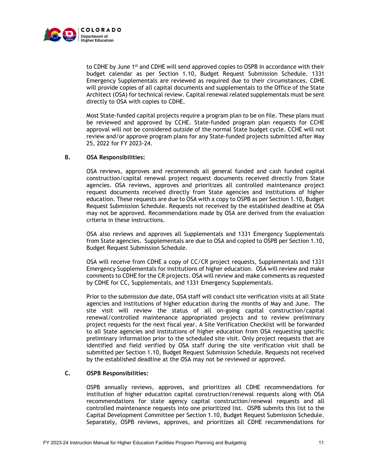

to CDHE by June 1<sup>st</sup> and CDHE will send approved copies to OSPB in accordance with their budget calendar as per Section 1.10, Budget Request Submission Schedule. 1331 Emergency Supplementals are reviewed as required due to their circumstances. CDHE will provide copies of all capital documents and supplementals to the Office of the State Architect (OSA) for technical review. Capital renewal related supplementals must be sent directly to OSA with copies to CDHE.

Most State-funded capital projects require a program plan to be on file. These plans must be reviewed and approved by CCHE. State-funded program plan requests for CCHE approval will not be considered outside of the normal State budget cycle. CCHE will not review and/or approve program plans for any State-funded projects submitted after May 25, 2022 for FY 2023-24.

## **B. OSA Responsibilities:**

OSA reviews, approves and recommends all general funded and cash funded capital construction/capital renewal project request documents received directly from State agencies. OSA reviews, approves and prioritizes all controlled maintenance project request documents received directly from State agencies and institutions of higher education. These requests are due to OSA with a copy to OSPB as per Section 1.10, Budget Request Submission Schedule. Requests not received by the established deadline at OSA may not be approved. Recommendations made by OSA are derived from the evaluation criteria in these instructions.

OSA also reviews and approves all Supplementals and 1331 Emergency Supplementals from State agencies. Supplementals are due to OSA and copied to OSPB per Section 1.10, Budget Request Submission Schedule.

OSA will receive from CDHE a copy of CC/CR project requests, Supplementals and 1331 Emergency Supplementals for institutions of higher education. OSA will review and make comments to CDHE for the CR projects. OSA will review and make comments as requested by CDHE for CC, Supplementals, and 1331 Emergency Supplementals.

Prior to the submission due date, OSA staff will conduct site verification visits at all State agencies and institutions of higher education during the months of May and June. The site visit will review the status of all on-going capital construction/capital renewal/controlled maintenance appropriated projects and to review preliminary project requests for the next fiscal year. A Site Verification Checklist will be forwarded to all State agencies and institutions of higher education from OSA requesting specific preliminary information prior to the scheduled site visit. Only project requests that are identified and field verified by OSA staff during the site verification visit shall be submitted per Section 1.10, Budget Request Submission Schedule. Requests not received by the established deadline at the OSA may not be reviewed or approved.

## **C. OSPB Responsibilities:**

OSPB annually reviews, approves, and prioritizes all CDHE recommendations for institution of higher education capital construction/renewal requests along with OSA recommendations for state agency capital construction/renewal requests and all controlled maintenance requests into one prioritized list. OSPB submits this list to the Capital Development Committee per Section 1.10, Budget Request Submission Schedule. Separately, OSPB reviews, approves, and prioritizes all CDHE recommendations for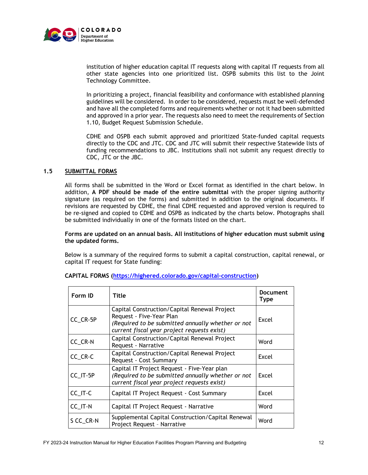

institution of higher education capital IT requests along with capital IT requests from all other state agencies into one prioritized list. OSPB submits this list to the Joint Technology Committee.

In prioritizing a project, financial feasibility and conformance with established planning guidelines will be considered. In order to be considered, requests must be well-defended and have all the completed forms and requirements whether or not it had been submitted and approved in a prior year. The requests also need to meet the requirements of Section 1.10, Budget Request Submission Schedule.

CDHE and OSPB each submit approved and prioritized State-funded capital requests directly to the CDC and JTC. CDC and JTC will submit their respective Statewide lists of funding recommendations to JBC. Institutions shall not submit any request directly to CDC, JTC or the JBC.

## **1.5 SUBMITTAL FORMS**

All forms shall be submitted in the Word or Excel format as identified in the chart below. In addition, **A PDF should be made of the entire submittal** with the proper signing authority signature (as required on the forms) and submitted in addition to the original documents. If revisions are requested by CDHE, the final CDHE requested and approved version is required to be re-signed and copied to CDHE and OSPB as indicated by the charts below. Photographs shall be submitted individually in one of the formats listed on the chart.

## **Forms are updated on an annual basis. All institutions of higher education must submit using the updated forms.**

Below is a summary of the required forms to submit a capital construction, capital renewal, or capital IT request for State funding:

| Form ID   | Title                                                                                                                                                                        |       |
|-----------|------------------------------------------------------------------------------------------------------------------------------------------------------------------------------|-------|
| CC_CR-5P  | Capital Construction/Capital Renewal Project<br>Request - Five-Year Plan<br>(Required to be submitted annually whether or not<br>current fiscal year project requests exist) |       |
| CC_CR-N   | Capital Construction/Capital Renewal Project<br>Request - Narrative                                                                                                          | Word  |
| CC_CR-C   | Capital Construction/Capital Renewal Project<br>Request - Cost Summary                                                                                                       |       |
| CC_IT-5P  | Capital IT Project Request - Five-Year plan<br>(Required to be submitted annually whether or not<br>current fiscal year project requests exist)                              | Excel |
| CC_IT-C   | Capital IT Project Request - Cost Summary                                                                                                                                    | Excel |
| CC_IT-N   | Capital IT Project Request - Narrative                                                                                                                                       |       |
| S CC_CR-N | Supplemental Capital Construction/Capital Renewal<br>Project Request - Narrative                                                                                             | Word  |

## **CAPITAL FORMS [\(https://highered.colorado.gov/capital-construction\)](https://highered.colorado.gov/capital-construction)**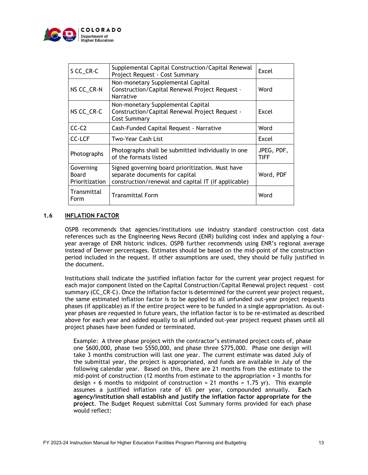

| S CC_CR-C                                   | Supplemental Capital Construction/Capital Renewal<br>Project Request - Cost Summary                                                       | Excel                     |
|---------------------------------------------|-------------------------------------------------------------------------------------------------------------------------------------------|---------------------------|
| NS CC_CR-N                                  | Non-monetary Supplemental Capital<br>Construction/Capital Renewal Project Request -<br>Narrative                                          | Word                      |
| NS CC_CR-C                                  | Non-monetary Supplemental Capital<br>Construction/Capital Renewal Project Request -<br>Cost Summary                                       | Excel                     |
| $CC-C2$                                     | Cash-Funded Capital Request - Narrative                                                                                                   | Word                      |
| <b>CC-LCF</b><br>Two-Year Cash List         |                                                                                                                                           | Excel                     |
| Photographs                                 | Photographs shall be submitted individually in one<br>of the formats listed                                                               | JPEG, PDF,<br><b>TIFF</b> |
| Governing<br><b>Board</b><br>Prioritization | Signed governing board prioritization. Must have<br>separate documents for capital<br>construction/renewal and capital IT (if applicable) | Word, PDF                 |
| Transmittal<br>Form                         | <b>Transmittal Form</b>                                                                                                                   | Word                      |

## **1.6 INFLATION FACTOR**

OSPB recommends that agencies/institutions use industry standard construction cost data references such as the Engineering News Record (ENR) building cost index and applying a fouryear average of ENR historic indices. OSPB further recommends using ENR's regional average instead of Denver percentages. Estimates should be based on the mid-point of the construction period included in the request. If other assumptions are used, they should be fully justified in the document.

Institutions shall indicate the justified inflation factor for the current year project request for each major component listed on the Capital Construction/Capital Renewal project request – cost summary (CC\_CR-C). Once the inflation factor is determined for the current year project request, the same estimated inflation factor is to be applied to all unfunded out-year project requests phases (if applicable) as if the entire project were to be funded in a single appropriation. As outyear phases are requested in future years, the inflation factor is to be re-estimated as described above for each year and added equally to all unfunded out-year project request phases until all project phases have been funded or terminated.

Example: A three phase project with the contractor's estimated project costs of, phase one \$600,000, phase two \$550,000, and phase three \$775,000. Phase one design will take 3 months construction will last one year. The current estimate was dated July of the submittal year, the project is appropriated, and funds are available in July of the following calendar year. Based on this, there are 21 months from the estimate to the mid-point of construction (12 months from estimate to the appropriation + 3 months for design  $+$  6 months to midpoint of construction = 21 months = 1.75 yr). This example assumes a justified inflation rate of 6% per year, compounded annually. **Each agency/institution shall establish and justify the inflation factor appropriate for the project**. The Budget Request submittal Cost Summary forms provided for each phase would reflect: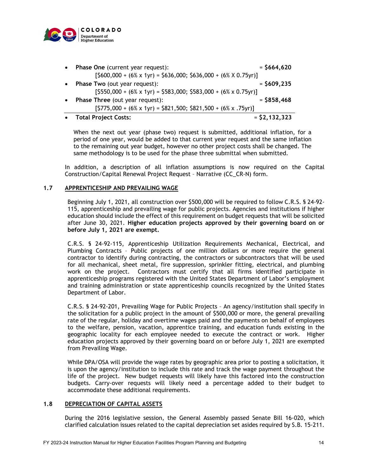

|           | • Total Project Costs:                                                   | $=$ \$2,132,323 |
|-----------|--------------------------------------------------------------------------|-----------------|
|           | $[$775,000 + (6% \times 1yr) = $821,500; $821,500 + (6% \times .75yr)]$  |                 |
| $\bullet$ | <b>Phase Three (out year request):</b>                                   | $= $858,468$    |
|           | $[$550,000 + (6% \times 1yr) = $583,000; $583,000 + (6% \times 0.75yr)]$ |                 |
| $\bullet$ | Phase Two (out year request):                                            | $=$ \$609,235   |
|           | $[$600,000 + (6% \times 1yr) = $636,000; $636,000 + (6% \times 0.75yr)]$ |                 |
| $\bullet$ | Phase One (current year request):                                        | $= $664,620$    |

When the next out year (phase two) request is submitted, additional inflation, for a period of one year, would be added to that current year request and the same inflation to the remaining out year budget, however no other project costs shall be changed. The same methodology is to be used for the phase three submittal when submitted.

In addition, a description of all inflation assumptions is now required on the Capital Construction/Capital Renewal Project Request – Narrative (CC\_CR-N) form.

## **1.7 APPRENTICESHIP AND PREVAILING WAGE**

Beginning July 1, 2021, all construction over \$500,000 will be required to follow C.R.S. § 24-92- 115, apprenticeship and prevailing wage for public projects. Agencies and institutions if higher education should include the effect of this requirement on budget requests that will be solicited after June 30, 2021. **Higher education projects approved by their governing board on or before July 1, 2021 are exempt.**

C.R.S. § 24-92-115, Apprenticeship Utilization Requirements Mechanical, Electrical, and Plumbing Contracts – Public projects of one million dollars or more require the general contractor to identify during contracting, the contractors or subcontractors that will be used for all mechanical, sheet metal, fire suppression, sprinkler fitting, electrical, and plumbing work on the project. Contractors must certify that all firms identified participate in apprenticeship programs registered with the United States Department of Labor's employment and training administration or state apprenticeship councils recognized by the United States Department of Labor.

C.R.S. § 24-92-201, Prevailing Wage for Public Projects – An agency/institution shall specify in the solicitation for a public project in the amount of \$500,000 or more, the general prevailing rate of the regular, holiday and overtime wages paid and the payments on behalf of employees to the welfare, pension, vacation, apprentice training, and education funds existing in the geographic locality for each employee needed to execute the contract or work. Higher education projects approved by their governing board on or before July 1, 2021 are exempted from Prevailing Wage.

While DPA/OSA will provide the wage rates by geographic area prior to posting a solicitation, it is upon the agency/institution to include this rate and track the wage payment throughout the life of the project. New budget requests will likely have this factored into the construction budgets. Carry-over requests will likely need a percentage added to their budget to accommodate these additional requirements.

## **1.8 DEPRECIATION OF CAPITAL ASSETS**

During the 2016 legislative session, the General Assembly passed Senate Bill 16-020, which clarified calculation issues related to the capital depreciation set asides required by S.B. 15-211.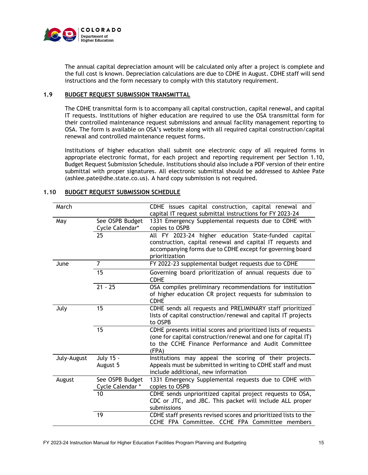

The annual capital depreciation amount will be calculated only after a project is complete and the full cost is known. Depreciation calculations are due to CDHE in August. CDHE staff will send instructions and the form necessary to comply with this statutory requirement.

## **1.9 BUDGET REQUEST SUBMISSION TRANSMITTAL**

The CDHE transmittal form is to accompany all capital construction, capital renewal, and capital IT requests. Institutions of higher education are required to use the OSA transmittal form for their controlled maintenance request submissions and annual facility management reporting to OSA. The form is available on OSA's website along with all required capital construction/capital renewal and controlled maintenance request forms.

Institutions of higher education shall submit one electronic copy of all required forms in appropriate electronic format, for each project and reporting requirement per Section 1.10, Budget Request Submission Schedule. Institutions should also include a PDF version of their entire submittal with proper signatures. All electronic submittal should be addressed to Ashlee Pate (ashlee.pate@dhe.state.co.us). A hard copy submission is not required.

| March       |                                     | CDHE issues capital construction, capital renewal and<br>capital IT request submittal instructions for FY 2023-24                                                                                |
|-------------|-------------------------------------|--------------------------------------------------------------------------------------------------------------------------------------------------------------------------------------------------|
| May         | See OSPB Budget<br>Cycle Calendar*  | 1331 Emergency Supplemental requests due to CDHE with<br>copies to OSPB                                                                                                                          |
|             | 25                                  | All FY 2023-24 higher education State-funded capital<br>construction, capital renewal and capital IT requests and<br>accompanying forms due to CDHE except for governing board<br>prioritization |
| June        | 7                                   | FY 2022-23 supplemental budget requests due to CDHE                                                                                                                                              |
|             | 15                                  | Governing board prioritization of annual requests due to<br><b>CDHE</b>                                                                                                                          |
|             | $21 - 25$                           | OSA compiles preliminary recommendations for institution<br>of higher education CR project requests for submission to<br><b>CDHE</b>                                                             |
| July        | 15                                  | CDHE sends all requests and PRELIMINARY staff prioritized<br>lists of capital construction/renewal and capital IT projects<br>to OSPB                                                            |
|             | 15                                  | CDHE presents initial scores and prioritized lists of requests<br>(one for capital construction/renewal and one for capital IT)<br>to the CCHE Finance Performance and Audit Committee<br>(FPA)  |
| July-August | July 15 -<br>August 5               | Institutions may appeal the scoring of their projects.<br>Appeals must be submitted in writing to CDHE staff and must<br>include additional, new information                                     |
| August      | See OSPB Budget<br>Cycle Calendar * | 1331 Emergency Supplemental requests due to CDHE with<br>copies to OSPB                                                                                                                          |
|             | 10                                  | CDHE sends unprioritized capital project requests to OSA,<br>CDC or JTC, and JBC. This packet will include ALL proper<br>submissions                                                             |
|             | 19                                  | CDHE staff presents revised scores and prioritized lists to the<br>CCHE FPA Committee. CCHE FPA Committee members                                                                                |

#### **1.10 BUDGET REQUEST SUBMISSION SCHEDULE**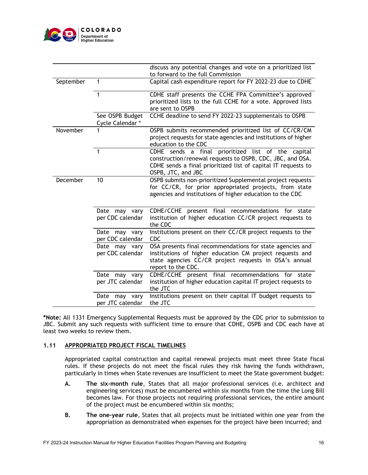

|           |                                    | discuss any potential changes and vote on a prioritized list<br>to forward to the full Commission                                                                                                      |
|-----------|------------------------------------|--------------------------------------------------------------------------------------------------------------------------------------------------------------------------------------------------------|
| September | 1                                  | Capital cash expenditure report for FY 2022-23 due to CDHE                                                                                                                                             |
|           | 1                                  | CDHE staff presents the CCHE FPA Committee's approved<br>prioritized lists to the full CCHE for a vote. Approved lists<br>are sent to OSPB                                                             |
|           | See OSPB Budget<br>Cycle Calendar* | CCHE deadline to send FY 2022-23 supplementals to OSPB                                                                                                                                                 |
| November  |                                    | OSPB submits recommended prioritized list of CC/CR/CM<br>project requests for state agencies and institutions of higher<br>education to the CDC                                                        |
|           | 1                                  | CDHE sends a final prioritized list of the capital<br>construction/renewal requests to OSPB, CDC, JBC, and OSA.<br>CDHE sends a final prioritized list of capital IT requests to<br>OSPB, JTC, and JBC |
| December  | 10                                 | OSPB submits non-prioritized Supplemental project requests<br>for CC/CR, for prior appropriated projects, from state<br>agencies and institutions of higher education to the CDC                       |
|           | Date may vary<br>per CDC calendar  | CDHE/CCHE present final recommendations for state<br>institution of higher education CC/CR project requests to<br>the CDC                                                                              |
|           | Date may vary<br>per CDC calendar  | Institutions present on their CC/CR project requests to the<br><b>CDC</b>                                                                                                                              |
|           | Date may vary<br>per CDC calendar  | OSA presents final recommendations for state agencies and<br>institutions of higher education CM project requests and<br>state agencies CC/CR project requests in OSA's annual<br>report to the CDC.   |
|           | Date may vary<br>per JTC calendar  | CDHE/CCHE present final recommendations for state<br>institution of higher education capital IT project requests to<br>the JTC                                                                         |
|           | Date may vary<br>per JTC calendar  | Institutions present on their capital IT budget requests to<br>the JTC                                                                                                                                 |

**\*Note:** All 1331 Emergency Supplemental Requests must be approved by the CDC prior to submission to JBC. Submit any such requests with sufficient time to ensure that CDHE, OSPB and CDC each have at least two weeks to review them.

## **1.11 APPROPRIATED PROJECT FISCAL TIMELINES**

Appropriated capital construction and capital renewal projects must meet three State fiscal rules. If these projects do not meet the fiscal rules they risk having the funds withdrawn, particularly in times when State revenues are insufficient to meet the State government budget:

- **A. The six-month rule**, States that all major professional services (i.e. architect and engineering services) must be encumbered within six months from the time the Long Bill becomes law. For those projects not requiring professional services, the entire amount of the project must be encumbered within six months;
- **B. The one-year rule**, States that all projects must be initiated within one year from the appropriation as demonstrated when expenses for the project have been incurred; and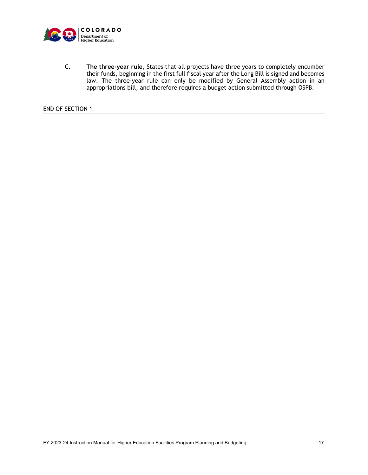

**C. The three-year rule**, States that all projects have three years to completely encumber their funds, beginning in the first full fiscal year after the Long Bill is signed and becomes law. The three-year rule can only be modified by General Assembly action in an appropriations bill, and therefore requires a budget action submitted through OSPB.

END OF SECTION 1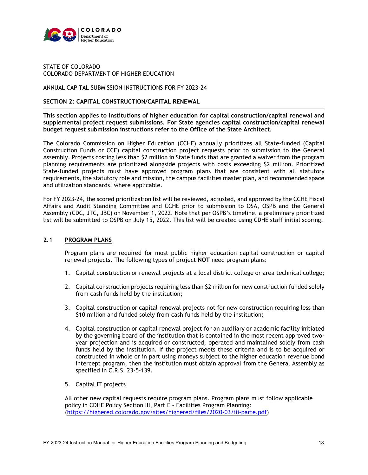

## STATE OF COLORADO COLORADO DEPARTMENT OF HIGHER EDUCATION

## ANNUAL CAPITAL SUBMISSION INSTRUCTIONS FOR FY 2023-24

## **SECTION 2: CAPITAL CONSTRUCTION/CAPITAL RENEWAL**

**This section applies to institutions of higher education for capital construction/capital renewal and supplemental project request submissions. For State agencies capital construction/capital renewal budget request submission instructions refer to the Office of the State Architect.**

The Colorado Commission on Higher Education (CCHE) annually prioritizes all State-funded (Capital Construction Funds or CCF) capital construction project requests prior to submission to the General Assembly. Projects costing less than \$2 million in State funds that are granted a waiver from the program planning requirements are prioritized alongside projects with costs exceeding \$2 million. Prioritized State-funded projects must have approved program plans that are consistent with all statutory requirements, the statutory role and mission, the campus facilities master plan, and recommended space and utilization standards, where applicable.

For FY 2023-24, the scored prioritization list will be reviewed, adjusted, and approved by the CCHE Fiscal Affairs and Audit Standing Committee and CCHE prior to submission to OSA, OSPB and the General Assembly (CDC, JTC, JBC) on November 1, 2022. Note that per OSPB's timeline, a preliminary prioritized list will be submitted to OSPB on July 15, 2022. This list will be created using CDHE staff initial scoring.

## **2.1 PROGRAM PLANS**

Program plans are required for most public higher education capital construction or capital renewal projects. The following types of project **NOT** need program plans:

- 1. Capital construction or renewal projects at a local district college or area technical college;
- 2. Capital construction projects requiring less than \$2 million for new construction funded solely from cash funds held by the institution;
- 3. Capital construction or capital renewal projects not for new construction requiring less than \$10 million and funded solely from cash funds held by the institution;
- 4. Capital construction or capital renewal project for an auxiliary or academic facility initiated by the governing board of the institution that is contained in the most recent approved twoyear projection and is acquired or constructed, operated and maintained solely from cash funds held by the institution. If the project meets these criteria and is to be acquired or constructed in whole or in part using moneys subject to the higher education revenue bond intercept program, then the institution must obtain approval from the General Assembly as specified in C.R.S. 23-5-139.
- 5. Capital IT projects

All other new capital requests require program plans. Program plans must follow applicable policy in CDHE Policy Section III, Part E – Facilities Program Planning: [\(https://highered.colorado.gov/sites/highered/files/2020-03/iii-parte.pdf\)](https://highered.colorado.gov/sites/highered/files/2020-03/iii-parte.pdf)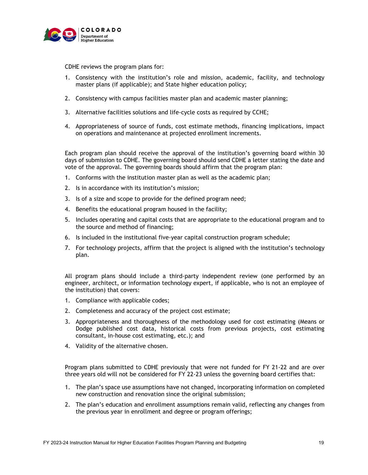

CDHE reviews the program plans for:

- 1. Consistency with the institution's role and mission, academic, facility, and technology master plans (if applicable); and State higher education policy;
- 2. Consistency with campus facilities master plan and academic master planning;
- 3. Alternative facilities solutions and life-cycle costs as required by CCHE;
- 4. Appropriateness of source of funds, cost estimate methods, financing implications, impact on operations and maintenance at projected enrollment increments.

Each program plan should receive the approval of the institution's governing board within 30 days of submission to CDHE. The governing board should send CDHE a letter stating the date and vote of the approval. The governing boards should affirm that the program plan:

- 1. Conforms with the institution master plan as well as the academic plan;
- 2. Is in accordance with its institution's mission;
- 3. Is of a size and scope to provide for the defined program need;
- 4. Benefits the educational program housed in the facility;
- 5. Includes operating and capital costs that are appropriate to the educational program and to the source and method of financing;
- 6. Is included in the institutional five-year capital construction program schedule;
- 7. For technology projects, affirm that the project is aligned with the institution's technology plan.

All program plans should include a third-party independent review (one performed by an engineer, architect, or information technology expert, if applicable, who is not an employee of the institution) that covers:

- 1. Compliance with applicable codes;
- 2. Completeness and accuracy of the project cost estimate;
- 3. Appropriateness and thoroughness of the methodology used for cost estimating (Means or Dodge published cost data, historical costs from previous projects, cost estimating consultant, in-house cost estimating, etc.); and
- 4. Validity of the alternative chosen.

Program plans submitted to CDHE previously that were not funded for FY 21-22 and are over three years old will not be considered for FY 22-23 unless the governing board certifies that:

- 1. The plan's space use assumptions have not changed, incorporating information on completed new construction and renovation since the original submission;
- 2. The plan's education and enrollment assumptions remain valid, reflecting any changes from the previous year in enrollment and degree or program offerings;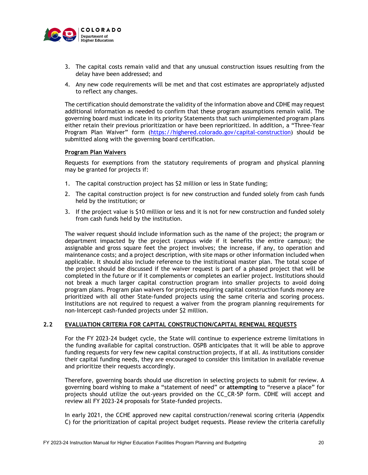

- 3. The capital costs remain valid and that any unusual construction issues resulting from the delay have been addressed; and
- 4. Any new code requirements will be met and that cost estimates are appropriately adjusted to reflect any changes.

The certification should demonstrate the validity of the information above and CDHE may request additional information as needed to confirm that these program assumptions remain valid. The governing board must indicate in its priority Statements that such unimplemented program plans either retain their previous prioritization or have been reprioritized. In addition, a "Three-Year Program Plan Waiver" form [\(https://highered.colorado.gov/capital-construction\)](https://highered.colorado.gov/capital-construction) should be submitted along with the governing board certification.

## **Program Plan Waivers**

Requests for exemptions from the statutory requirements of program and physical planning may be granted for projects if:

- 1. The capital construction project has \$2 million or less in State funding;
- 2. The capital construction project is for new construction and funded solely from cash funds held by the institution; or
- 3. If the project value is \$10 million or less and it is not for new construction and funded solely from cash funds held by the institution.

The waiver request should include information such as the name of the project; the program or department impacted by the project (campus wide if it benefits the entire campus); the assignable and gross square feet the project involves; the increase, if any, to operation and maintenance costs; and a project description, with site maps or other information included when applicable. It should also include reference to the institutional master plan. The total scope of the project should be discussed if the waiver request is part of a phased project that will be completed in the future or if it complements or completes an earlier project. Institutions should not break a much larger capital construction program into smaller projects to avoid doing program plans. Program plan waivers for projects requiring capital construction funds money are prioritized with all other State-funded projects using the same criteria and scoring process. Institutions are not required to request a waiver from the program planning requirements for non-Intercept cash-funded projects under \$2 million.

## **2.2 EVALUATION CRITERIA FOR CAPITAL CONSTRUCTION/CAPITAL RENEWAL REQUESTS**

For the FY 2023-24 budget cycle, the State will continue to experience extreme limitations in the funding available for capital construction. OSPB anticipates that it will be able to approve funding requests for very few new capital construction projects, if at all. As institutions consider their capital funding needs, they are encouraged to consider this limitation in available revenue and prioritize their requests accordingly.

Therefore, governing boards should use discretion in selecting projects to submit for review. A governing board wishing to make a "statement of need" or **attempting** to "reserve a place" for projects should utilize the out-years provided on the CC\_CR-5P form. CDHE will accept and review all FY 2023-24 proposals for State-funded projects.

In early 2021, the CCHE approved new capital construction/renewal scoring criteria (Appendix C) for the prioritization of capital project budget requests. Please review the criteria carefully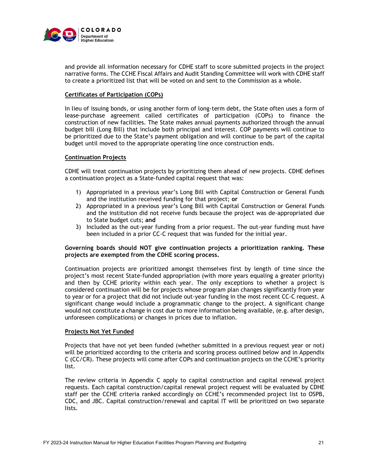

and provide all information necessary for CDHE staff to score submitted projects in the project narrative forms. The CCHE Fiscal Affairs and Audit Standing Committee will work with CDHE staff to create a prioritized list that will be voted on and sent to the Commission as a whole.

## **Certificates of Participation (COPs)**

In lieu of issuing bonds, or using another form of long-term debt, the State often uses a form of lease-purchase agreement called certificates of participation (COPs) to finance the construction of new facilities. The State makes annual payments authorized through the annual budget bill (Long Bill) that include both principal and interest. COP payments will continue to be prioritized due to the State's payment obligation and will continue to be part of the capital budget until moved to the appropriate operating line once construction ends.

## **Continuation Projects**

CDHE will treat continuation projects by prioritizing them ahead of new projects. CDHE defines a continuation project as a State-funded capital request that was:

- 1) Appropriated in a previous year's Long Bill with Capital Construction or General Funds and the institution received funding for that project; **or**
- 2) Appropriated in a previous year's Long Bill with Capital Construction or General Funds and the institution did not receive funds because the project was de-appropriated due to State budget cuts; **and**
- 3) Included as the out-year funding from a prior request. The out-year funding must have been included in a prior CC-C request that was funded for the initial year.

## **Governing boards should NOT give continuation projects a prioritization ranking. These projects are exempted from the CDHE scoring process.**

Continuation projects are prioritized amongst themselves first by length of time since the project's most recent State-funded appropriation (with more years equaling a greater priority) and then by CCHE priority within each year. The only exceptions to whether a project is considered continuation will be for projects whose program plan changes significantly from year to year or for a project that did not include out-year funding in the most recent CC-C request. A significant change would include a programmatic change to the project. A significant change would not constitute a change in cost due to more information being available, (e.g. after design, unforeseen complications) or changes in prices due to inflation.

## **Projects Not Yet Funded**

Projects that have not yet been funded (whether submitted in a previous request year or not) will be prioritized according to the criteria and scoring process outlined below and in Appendix C (CC/CR). These projects will come after COPs and continuation projects on the CCHE's priority list.

The review criteria in Appendix C apply to capital construction and capital renewal project requests. Each capital construction/capital renewal project request will be evaluated by CDHE staff per the CCHE criteria ranked accordingly on CCHE's recommended project list to OSPB, CDC, and JBC. Capital construction/renewal and capital IT will be prioritized on two separate lists.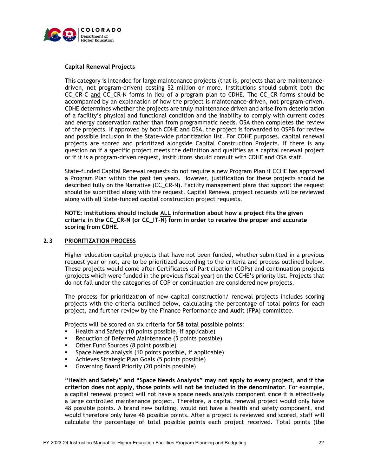

## **Capital Renewal Projects**

This category is intended for large maintenance projects (that is, projects that are maintenancedriven, not program-driven) costing \$2 million or more. Institutions should submit both the CC\_CR-C and CC\_CR-N forms in lieu of a program plan to CDHE. The CC\_CR forms should be accompanied by an explanation of how the project is maintenance-driven, not program-driven. CDHE determines whether the projects are truly maintenance driven and arise from deterioration of a facility's physical and functional condition and the inability to comply with current codes and energy conservation rather than from programmatic needs. OSA then completes the review of the projects. If approved by both CDHE and OSA, the project is forwarded to OSPB for review and possible inclusion in the State-wide prioritization list. For CDHE purposes, capital renewal projects are scored and prioritized alongside Capital Construction Projects. If there is any question on if a specific project meets the definition and qualifies as a capital renewal project or if it is a program-driven request, institutions should consult with CDHE and OSA staff.

State-funded Capital Renewal requests do not require a new Program Plan if CCHE has approved a Program Plan within the past ten years. However, justification for these projects should be described fully on the Narrative (CC\_CR-N). Facility management plans that support the request should be submitted along with the request. Capital Renewal project requests will be reviewed along with all State-funded capital construction project requests.

 **NOTE: Institutions should include ALL information about how a project fits the given criteria in the CC\_CR-N (or CC\_IT-N) form in order to receive the proper and accurate scoring from CDHE.** 

## **2.3 PRIORITIZATION PROCESS**

Higher education capital projects that have not been funded, whether submitted in a previous request year or not, are to be prioritized according to the criteria and process outlined below. These projects would come after Certificates of Participation (COPs) and continuation projects (projects which were funded in the previous fiscal year) on the CCHE's priority list. Projects that do not fall under the categories of COP or continuation are considered new projects.

The process for prioritization of new capital construction/ renewal projects includes scoring projects with the criteria outlined below, calculating the percentage of total points for each project, and further review by the Finance Performance and Audit (FPA) committee.

Projects will be scored on six criteria for **58 total possible points**:

- Health and Safety (10 points possible, if applicable)
- Reduction of Deferred Maintenance (5 points possible)
- Other Fund Sources (8 point possible)
- **Space Needs Analysis (10 points possible, if applicable)**
- Achieves Strategic Plan Goals (5 points possible)
- Governing Board Priority (20 points possible)

**"Health and Safety" and "Space Needs Analysis" may not apply to every project, and if the criterion does not apply, those points will not be included in the denominator**. For example, a capital renewal project will not have a space needs analysis component since it is effectively a large controlled maintenance project. Therefore, a capital renewal project would only have 48 possible points. A brand new building, would not have a health and safety component, and would therefore only have 48 possible points. After a project is reviewed and scored, staff will calculate the percentage of total possible points each project received. Total points (the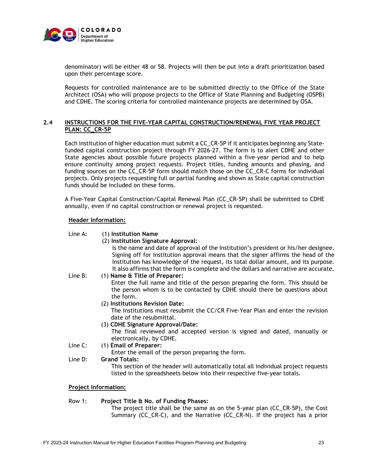

denominator) will be either 48 or 58. Projects will then be put into a draft prioritization based upon their percentage score.

Requests for controlled maintenance are to be submitted directly to the Office of the State Architect (OSA) who will propose projects to the Office of State Planning and Budgeting (OSPB) and CDHE. The scoring criteria for controlled maintenance projects are determined by OSA.

## **2.4 INSTRUCTIONS FOR THE FIVE-YEAR CAPITAL CONSTRUCTION/RENEWAL FIVE YEAR PROJECT PLAN: CC\_CR-5P**

Each institution of higher education must submit a CC\_CR-5P if it anticipates beginning any Statefunded capital construction project through FY 2026-27. The form is to alert CDHE and other State agencies about possible future projects planned within a five-year period and to help ensure continuity among project requests. Project titles, funding amounts and phasing, and funding sources on the CC\_CR-5P form should match those on the CC\_CR-C forms for individual projects. Only projects requesting full or partial funding and shown as State capital construction funds should be included on these forms.

A Five-Year Capital Construction/Capital Renewal Plan (CC\_CR-5P) shall be submitted to CDHE annually, even if no capital construction or renewal project is requested.

## **Header Information:**

## Line A: (1) **Institution Name**

(2) **Institution Signature Approval:**

Is the name and date of approval of the Institution's president or his/her designee. Signing off for Institution approval means that the signer affirms the head of the Institution has knowledge of the request, its total dollar amount, and its purpose. It also affirms that the form is complete and the dollars and narrative are accurate.

Line B: (1) **Name & Title of Preparer:**

Enter the full name and title of the person preparing the form. This should be the person whom is to be contacted by CDHE should there be questions about the form.

(2) **Institutions Revision Date:**

The Institutions must resubmit the CC/CR Five-Year Plan and enter the revision date of the resubmittal.

(3) **CDHE Signature Approval/Date:**

The final reviewed and accepted version is signed and dated, manually or electronically, by CDHE.

Line C: (1) **Email of Preparer:** 

Enter the email of the person preparing the form.

Line D: **Grand Totals:**

This section of the header will automatically total all individual project requests listed in the spreadsheets below into their respective five-year totals.

## **Project Information:**

## Row 1: **Project Title & No. of Funding Phases:**

The project title shall be the same as on the 5-year plan (CC\_CR-5P), the Cost Summary (CC\_CR-C), and the Narrative (CC\_CR-N). If the project has a prior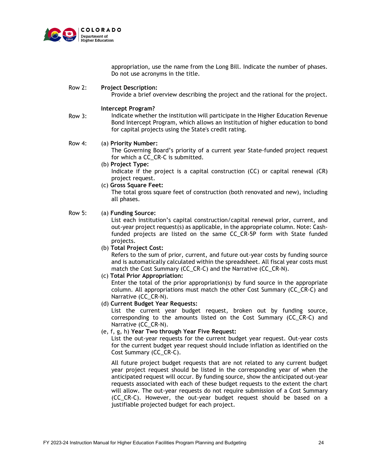

Row 3:

appropriation, use the name from the Long Bill. Indicate the number of phases. Do not use acronyms in the title.

#### Row 2: **Project Description:**

Provide a brief overview describing the project and the rational for the project.

#### **Intercept Program?**

Indicate whether the institution will participate in the Higher Education Revenue Bond Intercept Program, which allows an institution of higher education to bond for capital projects using the State's credit rating.

#### Row 4: (a) **Priority Number:**

The Governing Board's priority of a current year State-funded project request for which a CC\_CR-C is submitted.

(b) **Project Type:**

Indicate if the project is a capital construction (CC) or capital renewal (CR) project request.

(c) **Gross Square Feet:**

The total gross square feet of construction (both renovated and new), including all phases.

#### Row 5: (a) **Funding Source:**

List each institution's capital construction/capital renewal prior, current, and out-year project request(s) as applicable, in the appropriate column. Note: Cashfunded projects are listed on the same CC\_CR-5P form with State funded projects.

(b) **Total Project Cost:**

Refers to the sum of prior, current, and future out-year costs by funding source and is automatically calculated within the spreadsheet. All fiscal year costs must match the Cost Summary (CC\_CR-C) and the Narrative (CC\_CR-N).

(c) **Total Prior Appropriation:**

Enter the total of the prior appropriation(s) by fund source in the appropriate column. All appropriations must match the other Cost Summary (CC\_CR-C) and Narrative (CC\_CR-N).

(d) **Current Budget Year Requests:**

List the current year budget request, broken out by funding source, corresponding to the amounts listed on the Cost Summary (CC\_CR-C) and Narrative (CC\_CR-N).

(e, f, g, h) **Year Two through Year Five Request:**

List the out-year requests for the current budget year request. Out-year costs for the current budget year request should include inflation as identified on the Cost Summary (CC\_CR-C).

All future project budget requests that are not related to any current budget year project request should be listed in the corresponding year of when the anticipated request will occur. By funding source, show the anticipated out-year requests associated with each of these budget requests to the extent the chart will allow. The out-year requests do not require submission of a Cost Summary (CC\_CR-C). However, the out-year budget request should be based on a justifiable projected budget for each project.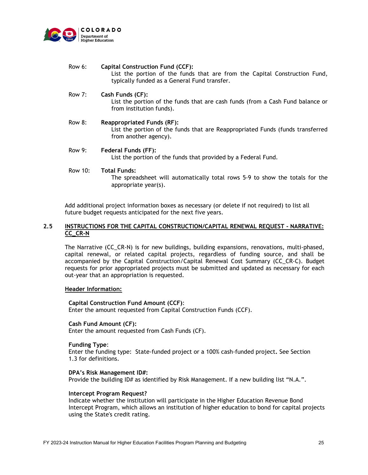

| Row 6: | <b>Capital Construction Fund (CCF):</b><br>List the portion of the funds that are from the Capital Construction Fund,<br>typically funded as a General Fund transfer. |
|--------|-----------------------------------------------------------------------------------------------------------------------------------------------------------------------|
| Row 7: | Cash Funds (CF):<br>List the portion of the funds that are cash funds (from a Cash Fund balance or<br>from institution funds).                                        |

- Row 8: **Reappropriated Funds (RF):** List the portion of the funds that are Reappropriated Funds (funds transferred from another agency).
- Row 9: **Federal Funds (FF):** List the portion of the funds that provided by a Federal Fund.

#### Row 10: **Total Funds:**

The spreadsheet will automatically total rows 5-9 to show the totals for the appropriate year(s).

Add additional project information boxes as necessary (or delete if not required) to list all future budget requests anticipated for the next five years.

## **2.5 INSTRUCTIONS FOR THE CAPITAL CONSTRUCTION/CAPITAL RENEWAL REQUEST - NARRATIVE: CC\_CR-N**

The Narrative (CC\_CR-N) is for new buildings, building expansions, renovations, multi-phased, capital renewal, or related capital projects, regardless of funding source, and shall be accompanied by the Capital Construction/Capital Renewal Cost Summary (CC\_CR-C). Budget requests for prior appropriated projects must be submitted and updated as necessary for each out-year that an appropriation is requested.

## **Header Information:**

**Capital Construction Fund Amount (CCF)**: Enter the amount requested from Capital Construction Funds (CCF).

**Cash Fund Amount (CF):**  Enter the amount requested from Cash Funds (CF).

#### **Funding Type**:

Enter the funding type: State-funded project or a 100% cash-funded project**.** See Section 1.3 for definitions.

## **DPA's Risk Management ID#:**

Provide the building ID# as identified by Risk Management. If a new building list "N.A.".

#### **Intercept Program Request?**

Indicate whether the institution will participate in the Higher Education Revenue Bond Intercept Program, which allows an institution of higher education to bond for capital projects using the State's credit rating.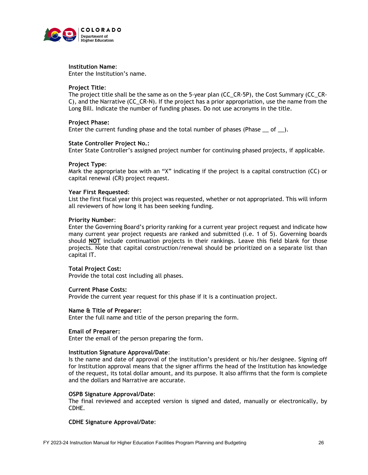

## **Institution Name**:

Enter the Institution's name.

## **Project Title**:

The project title shall be the same as on the 5-year plan (CC\_CR-5P), the Cost Summary (CC\_CR-C), and the Narrative (CC\_CR-N). If the project has a prior appropriation, use the name from the Long Bill. Indicate the number of funding phases. Do not use acronyms in the title.

#### **Project Phase:**

Enter the current funding phase and the total number of phases (Phase  $\_\_$  of  $\_\_$ ).

#### **State Controller Project No.:**

Enter State Controller's assigned project number for continuing phased projects, if applicable.

#### **Project Type**:

Mark the appropriate box with an "X" indicating if the project is a capital construction (CC) or capital renewal (CR) project request.

#### **Year First Requested**:

List the first fiscal year this project was requested, whether or not appropriated. This will inform all reviewers of how long it has been seeking funding.

#### **Priority Number**:

Enter the Governing Board's priority ranking for a current year project request and indicate how many current year project requests are ranked and submitted (i.e. 1 of 5). Governing boards should **NOT** include continuation projects in their rankings. Leave this field blank for those projects. Note that capital construction/renewal should be prioritized on a separate list than capital IT.

## **Total Project Cost:**

Provide the total cost including all phases.

#### **Current Phase Costs:**

Provide the current year request for this phase if it is a continuation project.

## **Name & Title of Preparer:**

Enter the full name and title of the person preparing the form.

#### **Email of Preparer:**

Enter the email of the person preparing the form.

#### **Institution Signature Approval/Date**:

Is the name and date of approval of the institution's president or his/her designee. Signing off for Institution approval means that the signer affirms the head of the Institution has knowledge of the request, its total dollar amount, and its purpose. It also affirms that the form is complete and the dollars and Narrative are accurate.

#### **OSPB Signature Approval/Date**:

The final reviewed and accepted version is signed and dated, manually or electronically, by CDHE.

## **CDHE Signature Approval/Date**: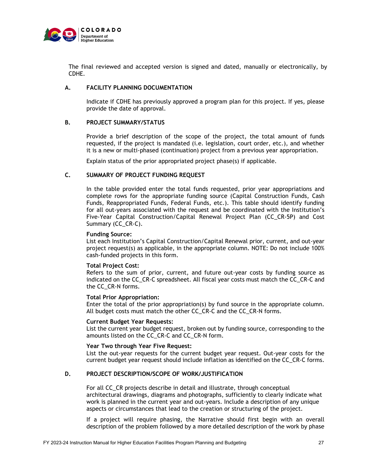

The final reviewed and accepted version is signed and dated, manually or electronically, by CDHE.

## **A. FACILITY PLANNING DOCUMENTATION**

Indicate if CDHE has previously approved a program plan for this project. If yes, please provide the date of approval.

## **B. PROJECT SUMMARY/STATUS**

Provide a brief description of the scope of the project, the total amount of funds requested, if the project is mandated (i.e. legislation, court order, etc.), and whether it is a new or multi-phased (continuation) project from a previous year appropriation.

Explain status of the prior appropriated project phase(s) if applicable.

## **C. SUMMARY OF PROJECT FUNDING REQUEST**

In the table provided enter the total funds requested, prior year appropriations and complete rows for the appropriate funding source (Capital Construction Funds, Cash Funds, Reappropriated Funds, Federal Funds, etc.). This table should identify funding for all out-years associated with the request and be coordinated with the Institution's Five-Year Capital Construction/Capital Renewal Project Plan (CC\_CR-5P) and Cost Summary (CC\_CR-C).

#### **Funding Source:**

List each Institution's Capital Construction/Capital Renewal prior, current, and out-year project request(s) as applicable, in the appropriate column. NOTE: Do not include 100% cash-funded projects in this form.

## **Total Project Cost:**

Refers to the sum of prior, current, and future out-year costs by funding source as indicated on the CC\_CR-C spreadsheet. All fiscal year costs must match the CC\_CR-C and the CC\_CR-N forms.

#### **Total Prior Appropriation:**

Enter the total of the prior appropriation(s) by fund source in the appropriate column. All budget costs must match the other CC\_CR-C and the CC\_CR-N forms.

#### **Current Budget Year Requests:**

List the current year budget request, broken out by funding source, corresponding to the amounts listed on the CC\_CR-C and CC\_CR-N form.

#### **Year Two through Year Five Request:**

List the out-year requests for the current budget year request. Out-year costs for the current budget year request should include inflation as identified on the CC\_CR-C forms.

## **D. PROJECT DESCRIPTION/SCOPE OF WORK/JUSTIFICATION**

For all CC\_CR projects describe in detail and illustrate, through conceptual architectural drawings, diagrams and photographs, sufficiently to clearly indicate what work is planned in the current year and out-years. Include a description of any unique aspects or circumstances that lead to the creation or structuring of the project.

If a project will require phasing, the Narrative should first begin with an overall description of the problem followed by a more detailed description of the work by phase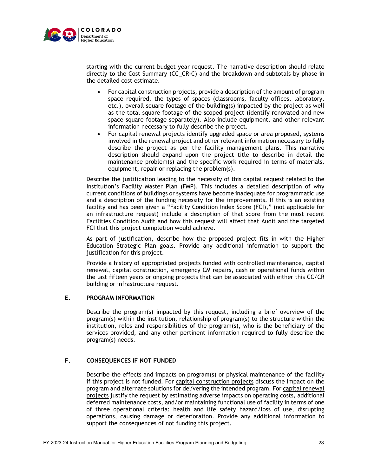

starting with the current budget year request. The narrative description should relate directly to the Cost Summary (CC\_CR-C) and the breakdown and subtotals by phase in the detailed cost estimate.

- For capital construction projects, provide a description of the amount of program space required, the types of spaces (classrooms, faculty offices, laboratory, etc.), overall square footage of the building(s) impacted by the project as well as the total square footage of the scoped project (identify renovated and new space square footage separately). Also include equipment, and other relevant information necessary to fully describe the project.
- For capital renewal projects identify upgraded space or area proposed, systems involved in the renewal project and other relevant information necessary to fully describe the project as per the facility management plans. This narrative description should expand upon the project title to describe in detail the maintenance problem(s) and the specific work required in terms of materials, equipment, repair or replacing the problem(s).

Describe the justification leading to the necessity of this capital request related to the Institution's Facility Master Plan (FMP). This includes a detailed description of why current conditions of buildings or systems have become inadequate for programmatic use and a description of the funding necessity for the improvements. If this is an existing facility and has been given a "Facility Condition Index Score (FCI)," (not applicable for an infrastructure request) include a description of that score from the most recent Facilities Condition Audit and how this request will affect that Audit and the targeted FCI that this project completion would achieve.

As part of justification, describe how the proposed project fits in with the Higher Education Strategic Plan goals. Provide any additional information to support the justification for this project.

Provide a history of appropriated projects funded with controlled maintenance, capital renewal, capital construction, emergency CM repairs, cash or operational funds within the last fifteen years or ongoing projects that can be associated with either this CC/CR building or infrastructure request.

## **E. PROGRAM INFORMATION**

Describe the program(s) impacted by this request, including a brief overview of the program(s) within the institution, relationship of program(s) to the structure within the institution, roles and responsibilities of the program(s), who is the beneficiary of the services provided, and any other pertinent information required to fully describe the program(s) needs.

## **F. CONSEQUENCES IF NOT FUNDED**

Describe the effects and impacts on program(s) or physical maintenance of the facility if this project is not funded. For capital construction projects discuss the impact on the program and alternate solutions for delivering the intended program. For capital renewal projects justify the request by estimating adverse impacts on operating costs, additional deferred maintenance costs, and/or maintaining functional use of facility in terms of one of three operational criteria: health and life safety hazard/loss of use, disrupting operations, causing damage or deterioration. Provide any additional information to support the consequences of not funding this project.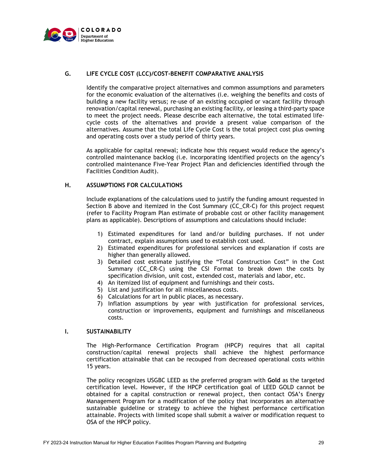

## **G. LIFE CYCLE COST (LCC)/COST-BENEFIT COMPARATIVE ANALYSIS**

Identify the comparative project alternatives and common assumptions and parameters for the economic evaluation of the alternatives (i.e. weighing the benefits and costs of building a new facility versus; re-use of an existing occupied or vacant facility through renovation/capital renewal, purchasing an existing facility, or leasing a third-party space to meet the project needs. Please describe each alternative, the total estimated lifecycle costs of the alternatives and provide a present value comparison of the alternatives. Assume that the total Life Cycle Cost is the total project cost plus owning and operating costs over a study period of thirty years.

As applicable for capital renewal; indicate how this request would reduce the agency's controlled maintenance backlog (i.e. incorporating identified projects on the agency's controlled maintenance Five-Year Project Plan and deficiencies identified through the Facilities Condition Audit).

## **H. ASSUMPTIONS FOR CALCULATIONS**

Include explanations of the calculations used to justify the funding amount requested in Section B above and itemized in the Cost Summary (CC\_CR-C) for this project request (refer to Facility Program Plan estimate of probable cost or other facility management plans as applicable). Descriptions of assumptions and calculations should include:

- 1) Estimated expenditures for land and/or building purchases. If not under contract, explain assumptions used to establish cost used.
- 2) Estimated expenditures for professional services and explanation if costs are higher than generally allowed.
- 3) Detailed cost estimate justifying the "Total Construction Cost" in the Cost Summary (CC\_CR-C) using the CSI Format to break down the costs by specification division, unit cost, extended cost, materials and labor, etc.
- 4) An itemized list of equipment and furnishings and their costs.
- 5) List and justification for all miscellaneous costs.
- 6) Calculations for art in public places, as necessary.
- 7) Inflation assumptions by year with justification for professional services, construction or improvements, equipment and furnishings and miscellaneous costs.

## **I. SUSTAINABILITY**

The High-Performance Certification Program (HPCP) requires that all capital construction/capital renewal projects shall achieve the highest performance certification attainable that can be recouped from decreased operational costs within 15 years.

The policy recognizes USGBC LEED as the preferred program with **Gold** as the targeted certification level. However, if the HPCP certification goal of LEED GOLD cannot be obtained for a capital construction or renewal project, then contact OSA's Energy Management Program for a modification of the policy that incorporates an alternative sustainable guideline or strategy to achieve the highest performance certification attainable. Projects with limited scope shall submit a waiver or modification request to OSA of the HPCP policy.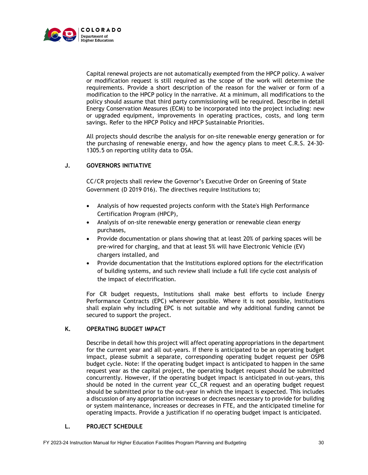

Capital renewal projects are not automatically exempted from the HPCP policy. A waiver or modification request is still required as the scope of the work will determine the requirements. Provide a short description of the reason for the waiver or form of a modification to the HPCP policy in the narrative. At a minimum, all modifications to the policy should assume that third party commissioning will be required. Describe in detail Energy Conservation Measures (ECM) to be incorporated into the project including: new or upgraded equipment, improvements in operating practices, costs, and long term savings. Refer to the HPCP Policy and HPCP Sustainable Priorities.

All projects should describe the analysis for on-site renewable energy generation or for the purchasing of renewable energy, and how the agency plans to meet C.R.S. 24-30- 1305.5 on reporting utility data to OSA.

## **J. GOVERNORS INITIATIVE**

CC/CR projects shall review the Governor's Executive Order on Greening of State Government (D 2019 016). The directives require Institutions to;

- Analysis of how requested projects conform with the State's High Performance Certification Program (HPCP),
- Analysis of on-site renewable energy generation or renewable clean energy purchases,
- Provide documentation or plans showing that at least 20% of parking spaces will be pre-wired for charging, and that at least 5% will have Electronic Vehicle (EV) chargers installed, and
- Provide documentation that the Institutions explored options for the electrification of building systems, and such review shall include a full life cycle cost analysis of the impact of electrification.

For CR budget requests, Institutions shall make best efforts to include Energy Performance Contracts (EPC) wherever possible. Where it is not possible, Institutions shall explain why including EPC is not suitable and why additional funding cannot be secured to support the project.

## **K. OPERATING BUDGET IMPACT**

Describe in detail how this project will affect operating appropriations in the department for the current year and all out-years. If there is anticipated to be an operating budget impact, please submit a separate, corresponding operating budget request per OSPB budget cycle. Note: If the operating budget impact is anticipated to happen in the same request year as the capital project, the operating budget request should be submitted concurrently. However, if the operating budget impact is anticipated in out-years, this should be noted in the current year CC\_CR request and an operating budget request should be submitted prior to the out-year in which the impact is expected. This includes a discussion of any appropriation increases or decreases necessary to provide for building or system maintenance, increases or decreases in FTE, and the anticipated timeline for operating impacts. Provide a justification if no operating budget impact is anticipated.

## **L. PROJECT SCHEDULE**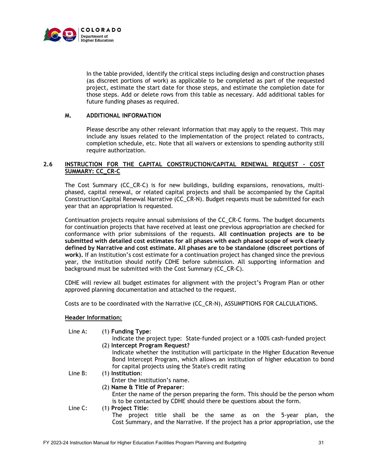

In the table provided, identify the critical steps including design and construction phases (as discreet portions of work) as applicable to be completed as part of the requested project, estimate the start date for those steps, and estimate the completion date for those steps. Add or delete rows from this table as necessary. Add additional tables for future funding phases as required.

## **M. ADDITIONAL INFORMATION**

Please describe any other relevant information that may apply to the request. This may include any issues related to the implementation of the project related to contracts, completion schedule, etc. Note that all waivers or extensions to spending authority still require authorization.

## **2.6 INSTRUCTION FOR THE CAPITAL CONSTRUCTION/CAPITAL RENEWAL REQUEST - COST SUMMARY: CC\_CR-C**

The Cost Summary (CC\_CR-C) is for new buildings, building expansions, renovations, multiphased, capital renewal, or related capital projects and shall be accompanied by the Capital Construction/Capital Renewal Narrative (CC\_CR-N). Budget requests must be submitted for each year that an appropriation is requested.

Continuation projects require annual submissions of the CC\_CR-C forms. The budget documents for continuation projects that have received at least one previous appropriation are checked for conformance with prior submissions of the requests. **All continuation projects are to be submitted with detailed cost estimates for all phases with each phased scope of work clearly defined by Narrative and cost estimate. All phases are to be standalone (discreet portions of work).** If an Institution's cost estimate for a continuation project has changed since the previous year, the institution should notify CDHE before submission. All supporting information and background must be submitted with the Cost Summary (CC\_CR-C).

CDHE will review all budget estimates for alignment with the project's Program Plan or other approved planning documentation and attached to the request.

Costs are to be coordinated with the Narrative (CC\_CR-N), ASSUMPTIONS FOR CALCULATIONS.

## **Header Information:**

Line A: (1) **Funding Type**: Indicate the project type: State-funded project or a 100% cash-funded project (2) **Intercept Program Request?** Indicate whether the institution will participate in the Higher Education Revenue Bond Intercept Program, which allows an institution of higher education to bond for capital projects using the State's credit rating Line B: (1) **Institution**: Enter the Institution's name. (2) **Name & Title of Preparer**: Enter the name of the person preparing the form. This should be the person whom is to be contacted by CDHE should there be questions about the form. Line C: (1) **Project Title**: The project title shall be the same as on the 5-year plan, the Cost Summary, and the Narrative. If the project has a prior appropriation, use the

#### FY 2023-24 Instruction Manual for Higher Education Facilities Program Planning and Budgeting 31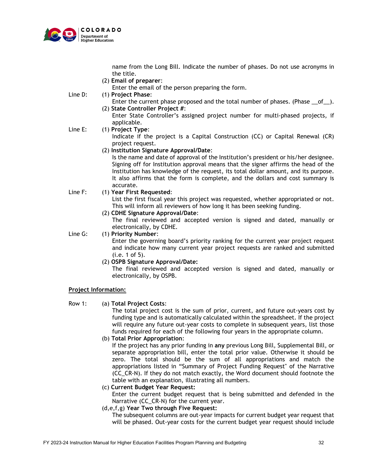

name from the Long Bill. Indicate the number of phases. Do not use acronyms in the title.

(2) **Email of preparer**:

Enter the email of the person preparing the form.

Line D: (1) **Project Phase**:

- Enter the current phase proposed and the total number of phases. (Phase  $\_\_0f$ ). (2) **State Controller Project #**:
	- Enter State Controller's assigned project number for multi-phased projects, if applicable.

## Line E: (1) **Project Type**:

- Indicate if the project is a Capital Construction (CC) or Capital Renewal (CR) project request.
- (2) **Institution Signature Approval/Date**:

Is the name and date of approval of the Institution's president or his/her designee. Signing off for Institution approval means that the signer affirms the head of the Institution has knowledge of the request, its total dollar amount, and its purpose. It also affirms that the form is complete, and the dollars and cost summary is accurate.

## Line F: (1) **Year First Requested**:

List the first fiscal year this project was requested, whether appropriated or not. This will inform all reviewers of how long it has been seeking funding.

(2) **CDHE Signature Approval/Date**:

The final reviewed and accepted version is signed and dated, manually or electronically, by CDHE.

## Line G: (1) **Priority Number**:

Enter the governing board's priority ranking for the current year project request and indicate how many current year project requests are ranked and submitted (i.e. 1 of 5).

(2) **OSPB Signature Approval/Date:** 

The final reviewed and accepted version is signed and dated, manually or electronically, by OSPB.

## **Project Information:**

## Row 1: (a) **Total Project Costs**:

The total project cost is the sum of prior, current, and future out-years cost by funding type and is automatically calculated within the spreadsheet. If the project will require any future out-year costs to complete in subsequent years, list those funds required for each of the following four years in the appropriate column.

(b) **Total Prior Appropriation**:

If the project has any prior funding in **any** previous Long Bill, Supplemental Bill, or separate appropriation bill, enter the total prior value. Otherwise it should be zero. The total should be the sum of all appropriations and match the appropriations listed in "Summary of Project Funding Request" of the Narrative (CC\_CR-N). If they do not match exactly, the Word document should footnote the table with an explanation, illustrating all numbers.

- (c) **Current Budget Year Request:** Enter the current budget request that is being submitted and defended in the Narrative (CC\_CR-N) for the current year.
- (d,e,f,g) **Year Two through Five Request:**

The subsequent columns are out-year impacts for current budget year request that will be phased. Out-year costs for the current budget year request should include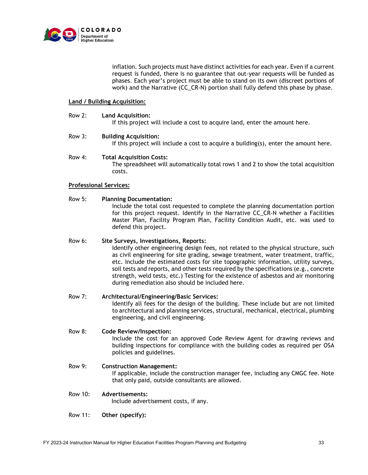

inflation. Such projects must have distinct activities for each year. Even if a current request is funded, there is no guarantee that out-year requests will be funded as phases. Each year's project must be able to stand on its own (discreet portions of work) and the Narrative (CC\_CR-N) portion shall fully defend this phase by phase.

## **Land / Building Acquisition:**

Row 2: **Land Acquisition:**

If this project will include a cost to acquire land, enter the amount here.

#### Row 3: **Building Acquisition:**

If this project will include a cost to acquire a building(s), enter the amount here.

#### Row 4: **Total Acquisition Costs:**

The spreadsheet will automatically total rows 1 and 2 to show the total acquisition costs.

## **Professional Services:**

#### Row 5: **Planning Documentation:**

Include the total cost requested to complete the planning documentation portion for this project request. Identify in the Narrative CC\_CR-N whether a Facilities Master Plan, Facility Program Plan, Facility Condition Audit, etc. was used to defend this project.

## Row 6: **Site Surveys, Investigations, Reports:**

Identify other engineering design fees, not related to the physical structure, such as civil engineering for site grading, sewage treatment, water treatment, traffic, etc. Include the estimated costs for site topographic information, utility surveys, soil tests and reports, and other tests required by the specifications (e.g., concrete strength, weld tests, etc.) Testing for the existence of asbestos and air monitoring during remediation also should be included here.

## Row 7: **Architectural/Engineering/Basic Services:**

Identify all fees for the design of the building. These include but are not limited to architectural and planning services, structural, mechanical, electrical, plumbing engineering, and civil engineering.

#### Row 8: **Code Review/Inspection:**

Include the cost for an approved Code Review Agent for drawing reviews and building inspections for compliance with the building codes as required per OSA policies and guidelines.

## Row 9: **Construction Management:** If applicable, include the construction manager fee, including any CMGC fee. Note

that only paid, outside consultants are allowed.

## Row 10: **Advertisements:**

Include advertisement costs, if any.

Row 11: **Other (specify):**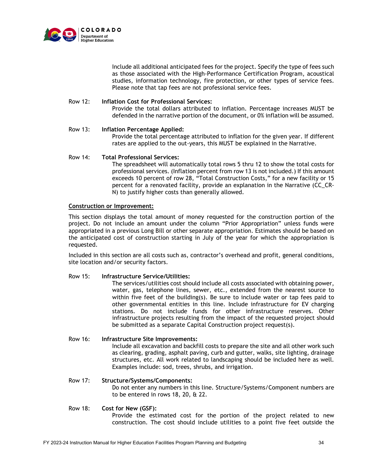

Include all additional anticipated fees for the project. Specify the type of fees such as those associated with the High-Performance Certification Program, acoustical studies, information technology, fire protection, or other types of service fees. Please note that tap fees are not professional service fees.

## Row 12: **Inflation Cost for Professional Services:**

Provide the total dollars attributed to inflation. Percentage increases MUST be defended in the narrative portion of the document, or 0% inflation will be assumed.

## Row 13: **Inflation Percentage Applied:**

Provide the total percentage attributed to inflation for the given year. If different rates are applied to the out-years, this MUST be explained in the Narrative.

## Row 14: **Total Professional Services:**

The spreadsheet will automatically total rows 5 thru 12 to show the total costs for professional services. (Inflation percent from row 13 is not included.) If this amount exceeds 10 percent of row 28, "Total Construction Costs," for a new facility or 15 percent for a renovated facility, provide an explanation in the Narrative (CC\_CR-N) to justify higher costs than generally allowed.

## **Construction or Improvement:**

This section displays the total amount of money requested for the construction portion of the project. Do not include an amount under the column "Prior Appropriation" unless funds were appropriated in a previous Long Bill or other separate appropriation. Estimates should be based on the anticipated cost of construction starting in July of the year for which the appropriation is requested.

Included in this section are all costs such as, contractor's overhead and profit, general conditions, site location and/or security factors.

## Row 15: **Infrastructure Service/Utilities:**

The services/utilities cost should include all costs associated with obtaining power, water, gas, telephone lines, sewer, etc., extended from the nearest source to within five feet of the building(s). Be sure to include water or tap fees paid to other governmental entities in this line. Include infrastructure for EV charging stations. Do not include funds for other infrastructure reserves. Other infrastructure projects resulting from the impact of the requested project should be submitted as a separate Capital Construction project request(s).

## Row 16: **Infrastructure Site Improvements:**

Include all excavation and backfill costs to prepare the site and all other work such as clearing, grading, asphalt paving, curb and gutter, walks, site lighting, drainage structures, etc. All work related to landscaping should be included here as well. Examples include: sod, trees, shrubs, and irrigation.

## Row 17: **Structure/Systems/Components:**

Do not enter any numbers in this line. Structure/Systems/Component numbers are to be entered in rows 18, 20, & 22.

## Row 18: **Cost for New (GSF):**

Provide the estimated cost for the portion of the project related to new construction. The cost should include utilities to a point five feet outside the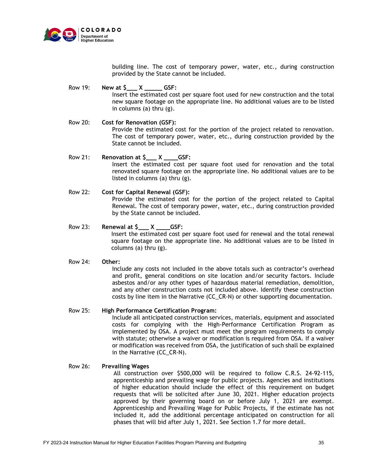

building line. The cost of temporary power, water, etc., during construction provided by the State cannot be included.

Row 19: **New at \$\_\_\_ X \_\_\_\_\_ GSF:** Insert the estimated cost per square foot used for new construction and the total new square footage on the appropriate line. No additional values are to be listed in columns (a) thru (g).

- Row 20: **Cost for Renovation (GSF):** Provide the estimated cost for the portion of the project related to renovation. The cost of temporary power, water, etc., during construction provided by the State cannot be included.
- Row 21: **Renovation at \$\_\_\_ X \_\_\_\_GSF:** Insert the estimated cost per square foot used for renovation and the total renovated square footage on the appropriate line. No additional values are to be listed in columns (a) thru (g).
- Row 22: **Cost for Capital Renewal (GSF):** Provide the estimated cost for the portion of the project related to Capital Renewal. The cost of temporary power, water, etc., during construction provided by the State cannot be included.
- Row 23: **Renewal at \$\_\_\_ X \_\_\_\_GSF:** Insert the estimated cost per square foot used for renewal and the total renewal square footage on the appropriate line. No additional values are to be listed in columns (a) thru (g).

## Row 24: **Other:**

Include any costs not included in the above totals such as contractor's overhead and profit, general conditions on site location and/or security factors. Include asbestos and/or any other types of hazardous material remediation, demolition, and any other construction costs not included above. Identify these construction costs by line item in the Narrative (CC\_CR-N) or other supporting documentation.

## Row 25: **High Performance Certification Program:**

Include all anticipated construction services, materials, equipment and associated costs for complying with the High-Performance Certification Program as implemented by OSA. A project must meet the program requirements to comply with statute; otherwise a waiver or modification is required from OSA. If a waiver or modification was received from OSA, the justification of such shall be explained in the Narrative (CC\_CR-N).

## Row 26: **Prevailing Wages**

All construction over \$500,000 will be required to follow C.R.S. 24-92-115, apprenticeship and prevailing wage for public projects. Agencies and institutions of higher education should include the effect of this requirement on budget requests that will be solicited after June 30, 2021. Higher education projects approved by their governing board on or before July 1, 2021 are exempt. Apprenticeship and Prevailing Wage for Public Projects, if the estimate has not included it, add the additional percentage anticipated on construction for all phases that will bid after July 1, 2021. See Section 1.7 for more detail.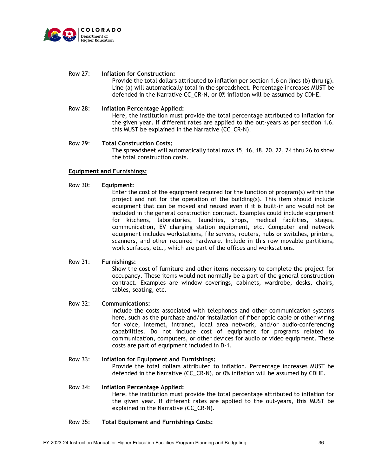

## Row 27: **Inflation for Construction:**

Provide the total dollars attributed to inflation per section 1.6 on lines (b) thru (g). Line (a) will automatically total in the spreadsheet. Percentage increases MUST be defended in the Narrative CC\_CR-N, or 0% inflation will be assumed by CDHE.

## Row 28: **Inflation Percentage Applied:**

Here, the institution must provide the total percentage attributed to inflation for the given year. If different rates are applied to the out-years as per section 1.6. this MUST be explained in the Narrative (CC\_CR-N).

## Row 29: **Total Construction Costs:**

The spreadsheet will automatically total rows 15, 16, 18, 20, 22, 24 thru 26 to show the total construction costs.

## **Equipment and Furnishings:**

Row 30: **Equipment:**

Enter the cost of the equipment required for the function of program(s) within the project and not for the operation of the building(s). This item should include equipment that can be moved and reused even if it is built-in and would not be included in the general construction contract. Examples could include equipment for kitchens, laboratories, laundries, shops, medical facilities, stages, communication, EV charging station equipment, etc. Computer and network equipment includes workstations, file servers, routers, hubs or switches, printers, scanners, and other required hardware. Include in this row movable partitions, work surfaces, etc., which are part of the offices and workstations.

## Row 31: **Furnishings:**

Show the cost of furniture and other items necessary to complete the project for occupancy. These items would not normally be a part of the general construction contract. Examples are window coverings, cabinets, wardrobe, desks, chairs, tables, seating, etc.

## Row 32: **Communications:**

Include the costs associated with telephones and other communication systems here, such as the purchase and/or installation of fiber optic cable or other wiring for voice, Internet, intranet, local area network, and/or audio-conferencing capabilities. Do not include cost of equipment for programs related to communication, computers, or other devices for audio or video equipment. These costs are part of equipment included in D-1.

## Row 33: **Inflation for Equipment and Furnishings:**

Provide the total dollars attributed to inflation. Percentage increases MUST be defended in the Narrative (CC\_CR-N), or 0% inflation will be assumed by CDHE.

# Row 34: **Inflation Percentage Applied:**

Here, the institution must provide the total percentage attributed to inflation for the given year. If different rates are applied to the out-years, this MUST be explained in the Narrative (CC\_CR-N).

## Row 35: **Total Equipment and Furnishings Costs:**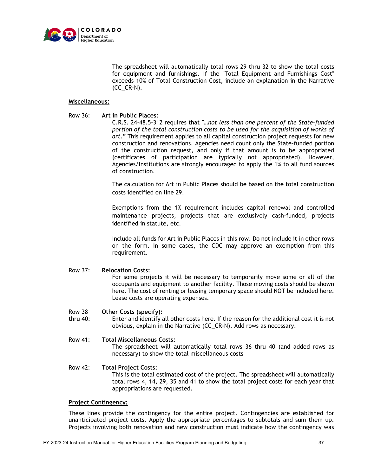

The spreadsheet will automatically total rows 29 thru 32 to show the total costs for equipment and furnishings. If the "Total Equipment and Furnishings Cost" exceeds 10% of Total Construction Cost, include an explanation in the Narrative  $(CC_CRR-N)$ .

## **Miscellaneous:**

## Row 36: **Art in Public Places:**

C.R.S. 24-48.5-312 requires that *"…not less than one percent of the State-funded portion of the total construction costs to be used for the acquisition of works of art*." This requirement applies to all capital construction project requests for new construction and renovations. Agencies need count only the State-funded portion of the construction request, and only if that amount is to be appropriated (certificates of participation are typically not appropriated). However, Agencies/Institutions are strongly encouraged to apply the 1% to all fund sources of construction.

The calculation for Art in Public Places should be based on the total construction costs identified on line 29.

Exemptions from the 1% requirement includes capital renewal and controlled maintenance projects, projects that are exclusively cash-funded, projects identified in statute, etc.

Include all funds for Art in Public Places in this row. Do not include it in other rows on the form. In some cases, the CDC may approve an exemption from this requirement.

## Row 37: **Relocation Costs:**

For some projects it will be necessary to temporarily move some or all of the occupants and equipment to another facility. Those moving costs should be shown here. The cost of renting or leasing temporary space should NOT be included here. Lease costs are operating expenses.

#### Row 38 **Other Costs (specify):**

thru 40: Enter and identify all other costs here. If the reason for the additional cost it is not obvious, explain in the Narrative (CC\_CR-N). Add rows as necessary.

## Row 41: **Total Miscellaneous Costs:**

The spreadsheet will automatically total rows 36 thru 40 (and added rows as necessary) to show the total miscellaneous costs

## Row 42: **Total Project Costs:** This is the total estimated cost of the project. The spreadsheet will automatically total rows 4, 14, 29, 35 and 41 to show the total project costs for each year that appropriations are requested.

## **Project Contingency:**

These lines provide the contingency for the entire project. Contingencies are established for unanticipated project costs. Apply the appropriate percentages to subtotals and sum them up. Projects involving both renovation and new construction must indicate how the contingency was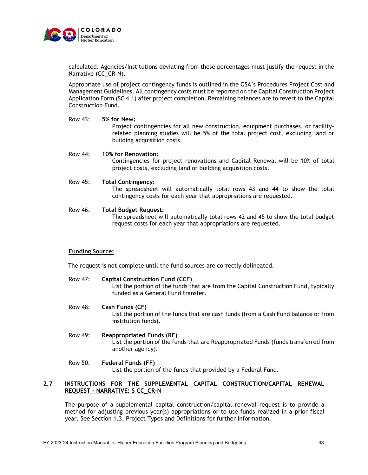

calculated. Agencies/Institutions deviating from these percentages must justify the request in the Narrative (CC\_CR-N).

Appropriate use of project contingency funds is outlined in the OSA's Procedures Project Cost and Management Guidelines. All contingency costs must be reported on the Capital Construction Project Application Form (SC 4.1) after project completion. Remaining balances are to revert to the Capital Construction Fund.

#### Row 43: **5% for New:**

Project contingencies for all new construction, equipment purchases, or facilityrelated planning studies will be 5% of the total project cost, excluding land or building acquisition costs.

#### Row 44: **10% for Renovation:**

Contingencies for project renovations and Capital Renewal will be 10% of total project costs, excluding land or building acquisition costs.

## Row 45: **Total Contingency:**

The spreadsheet will automatically total rows 43 and 44 to show the total contingency costs for each year that appropriations are requested.

#### Row 46: **Total Budget Request:**

The spreadsheet will automatically total rows 42 and 45 to show the total budget request costs for each year that appropriations are requested.

## **Funding Source:**

The request is not complete until the fund sources are correctly delineated.

- Row 47: **Capital Construction Fund (CCF)** List the portion of the funds that are from the Capital Construction Fund, typically funded as a General Fund transfer.
- Row 48: **Cash Funds (CF)** List the portion of the funds that are cash funds (from a Cash Fund balance or from institution funds).
- Row 49: **Reappropriated Funds (RF)** List the portion of the funds that are Reappropriated Funds (funds transferred from another agency).
- Row 50: **Federal Funds (FF)** List the portion of the funds that provided by a Federal Fund.

## **2.7 INSTRUCTIONS FOR THE SUPPLEMENTAL CAPITAL CONSTRUCTION/CAPITAL RENEWAL REQUEST - NARRATIVE: S CC\_CR-N**

The purpose of a supplemental capital construction/capital renewal request is to provide a method for adjusting previous year(s) appropriations or to use funds realized in a prior fiscal year. See Section 1.3, Project Types and Definitions for further information.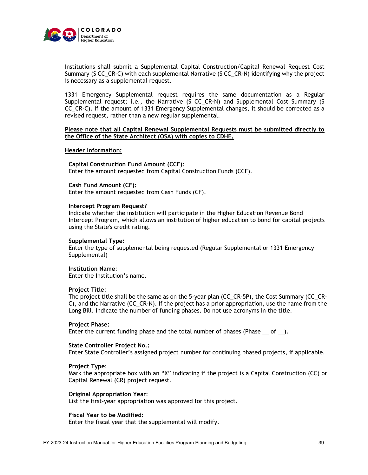

Institutions shall submit a Supplemental Capital Construction/Capital Renewal Request Cost Summary (S CC\_CR-C) with each supplemental Narrative (S CC\_CR-N) identifying why the project is necessary as a supplemental request.

1331 Emergency Supplemental request requires the same documentation as a Regular Supplemental request; i.e., the Narrative (S CC\_CR-N) and Supplemental Cost Summary (S CC\_CR-C). If the amount of 1331 Emergency Supplemental changes, it should be corrected as a revised request, rather than a new regular supplemental.

## **Please note that all Capital Renewal Supplemental Requests must be submitted directly to the Office of the State Architect (OSA) with copies to CDHE.**

#### **Header Information:**

**Capital Construction Fund Amount (CCF)**: Enter the amount requested from Capital Construction Funds (CCF).

#### **Cash Fund Amount (CF):**

Enter the amount requested from Cash Funds (CF).

## **Intercept Program Request?**

Indicate whether the institution will participate in the Higher Education Revenue Bond Intercept Program, which allows an institution of higher education to bond for capital projects using the State's credit rating.

## **Supplemental Type:**

Enter the type of supplemental being requested (Regular Supplemental or 1331 Emergency Supplemental)

#### **Institution Name**:

Enter the Institution's name.

#### **Project Title**:

The project title shall be the same as on the 5-year plan (CC\_CR-5P), the Cost Summary (CC\_CR-C), and the Narrative (CC\_CR-N). If the project has a prior appropriation, use the name from the Long Bill. Indicate the number of funding phases. Do not use acronyms in the title.

## **Project Phase:**

Enter the current funding phase and the total number of phases (Phase  $\_\mathrm{of}$ ).

#### **State Controller Project No.:**

Enter State Controller's assigned project number for continuing phased projects, if applicable.

#### **Project Type**:

Mark the appropriate box with an "X" indicating if the project is a Capital Construction (CC) or Capital Renewal (CR) project request.

#### **Original Appropriation Year**:

List the first-year appropriation was approved for this project.

## **Fiscal Year to be Modified:**

Enter the fiscal year that the supplemental will modify.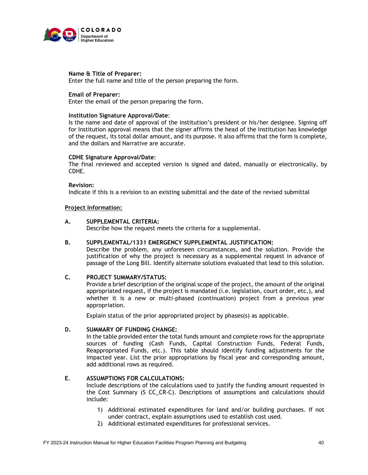

## **Name & Title of Preparer:**

Enter the full name and title of the person preparing the form.

## **Email of Preparer:**

Enter the email of the person preparing the form.

#### **Institution Signature Approval/Date**:

Is the name and date of approval of the institution's president or his/her designee. Signing off for Institution approval means that the signer affirms the head of the Institution has knowledge of the request, its total dollar amount, and its purpose. It also affirms that the form is complete, and the dollars and Narrative are accurate.

#### **CDHE Signature Approval/Date**:

The final reviewed and accepted version is signed and dated, manually or electronically, by CDHE.

## **Revision:**

Indicate if this is a revision to an existing submittal and the date of the revised submittal

## **Project Information:**

## **A. SUPPLEMENTAL CRITERIA:**

Describe how the request meets the criteria for a supplemental.

## **B. SUPPLEMENTAL/1331 EMERGENCY SUPPLEMENTAL JUSTIFICATION:**

Describe the problem, any unforeseen circumstances, and the solution. Provide the justification of why the project is necessary as a supplemental request in advance of passage of the Long Bill. Identify alternate solutions evaluated that lead to this solution.

## **C. PROJECT SUMMARY/STATUS:**

Provide a brief description of the original scope of the project, the amount of the original appropriated request, if the project is mandated (i.e. legislation, court order, etc.), and whether it is a new or multi-phased (continuation) project from a previous year appropriation.

Explain status of the prior appropriated project by phases(s) as applicable.

## **D. SUMMARY OF FUNDING CHANGE:**

In the table provided enter the total funds amount and complete rows for the appropriate sources of funding (Cash Funds, Capital Construction Funds, Federal Funds, Reappropriated Funds, etc.). This table should identify funding adjustments for the impacted year. List the prior appropriations by fiscal year and corresponding amount, add additional rows as required.

## **E**. **ASSUMPTIONS FOR CALCULATIONS:**

Include descriptions of the calculations used to justify the funding amount requested in the Cost Summary (S CC\_CR-C). Descriptions of assumptions and calculations should include:

- 1) Additional estimated expenditures for land and/or building purchases. If not under contract, explain assumptions used to establish cost used.
- 2) Additional estimated expenditures for professional services.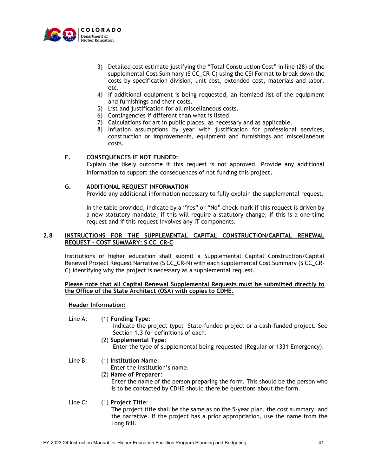

- 3) Detailed cost estimate justifying the "Total Construction Cost" in line (28) of the supplemental Cost Summary (S CC\_CR-C) using the CSI Format to break down the costs by specification division, unit cost, extended cost, materials and labor, etc.
- 4) If additional equipment is being requested, an itemized list of the equipment and furnishings and their costs.
- 5) List and justification for all miscellaneous costs.
- 6) Contingencies if different than what is listed.
- 7) Calculations for art in public places, as necessary and as applicable.
- 8) Inflation assumptions by year with justification for professional services, construction or improvements, equipment and furnishings and miscellaneous costs.

## **F. CONSEQUENCES IF NOT FUNDED:**

Explain the likely outcome if this request is not approved. Provide any additional information to support the consequences of not funding this project.

## **G. ADDITIONAL REQUEST INFORMATION**

Provide any additional information necessary to fully explain the supplemental request.

In the table provided, indicate by a "Yes" or "No" check mark if this request is driven by a new statutory mandate, if this will require a statutory change, if this is a one-time request and if this request involves any IT components.

## **2.8 INSTRUCTIONS FOR THE SUPPLEMENTAL CAPITAL CONSTRUCTION/CAPITAL RENEWAL REQUEST - COST SUMMARY: S CC\_CR-C**

Institutions of higher education shall submit a Supplemental Capital Construction/Capital Renewal Project Request Narrative (S CC\_CR-N) with each supplemental Cost Summary (S CC\_CR-C) identifying why the project is necessary as a supplemental request.

## **Please note that all Capital Renewal Supplemental Requests must be submitted directly to the Office of the State Architect (OSA) with copies to CDHE.**

## **Header Information:**

Line A: (1) **Funding Type**:

Indicate the project type: State-funded project or a cash-funded project**.** See Section 1.3 for definitions of each.

(2) **Supplemental Type**: Enter the type of supplemental being requested (Regular or 1331 Emergency).

## Line B: (1) **Institution Name**:

Enter the institution's name.

(2) **Name of Preparer**: Enter the name of the person preparing the form. This should be the person who is to be contacted by CDHE should there be questions about the form.

## Line C: (1) **Project Title**:

The project title shall be the same as on the 5-year plan, the cost summary, and the narrative. If the project has a prior appropriation, use the name from the Long Bill.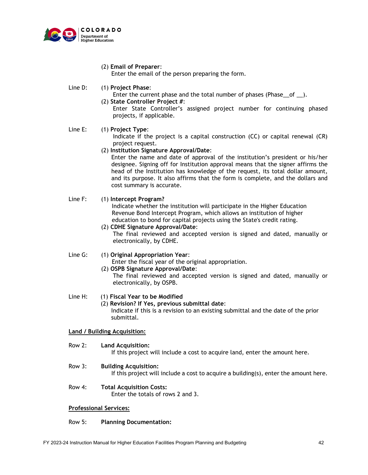

(2) **Email of Preparer**:

Enter the email of the person preparing the form.

Line D: (1) **Project Phase**:

Enter the current phase and the total number of phases (Phase of ).

(2) **State Controller Project #**:

Enter State Controller's assigned project number for continuing phased projects, if applicable.

## Line E: (1) **Project Type**:

Indicate if the project is a capital construction (CC) or capital renewal (CR) project request.

(2) **Institution Signature Approval/Date**:

Enter the name and date of approval of the institution's president or his/her designee. Signing off for Institution approval means that the signer affirms the head of the Institution has knowledge of the request, its total dollar amount, and its purpose. It also affirms that the form is complete, and the dollars and cost summary is accurate.

## Line F: (1) **Intercept Program?**

 Indicate whether the institution will participate in the Higher Education Revenue Bond Intercept Program, which allows an institution of higher education to bond for capital projects using the State's credit rating.

(2) **CDHE Signature Approval/Date**: The final reviewed and accepted version is signed and dated, manually or electronically, by CDHE.

## Line G: (1) **Original Appropriation Year**:

Enter the fiscal year of the original appropriation.

(2) **OSPB Signature Approval/Date**:

The final reviewed and accepted version is signed and dated, manually or electronically, by OSPB.

## Line H: (1) **Fiscal Year to be Modified**

## (2) **Revision? If Yes, previous submittal date**:

 Indicate if this is a revision to an existing submittal and the date of the prior submittal.

## **Land / Building Acquisition:**

- Row 2: **Land Acquisition:** If this project will include a cost to acquire land, enter the amount here.
- Row 3: **Building Acquisition:** If this project will include a cost to acquire a building(s), enter the amount here.
- Row 4: **Total Acquisition Costs:** Enter the totals of rows 2 and 3.

#### **Professional Services:**

## Row 5: **Planning Documentation:**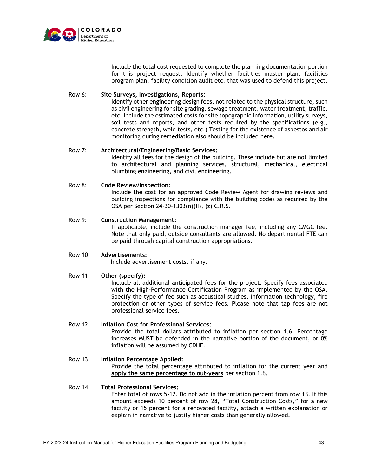

Include the total cost requested to complete the planning documentation portion for this project request. Identify whether facilities master plan, facilities program plan, facility condition audit etc. that was used to defend this project.

## Row 6: **Site Surveys, Investigations, Reports:**

Identify other engineering design fees, not related to the physical structure, such as civil engineering for site grading, sewage treatment, water treatment, traffic, etc. Include the estimated costs for site topographic information, utility surveys, soil tests and reports, and other tests required by the specifications (e.g., concrete strength, weld tests, etc.) Testing for the existence of asbestos and air monitoring during remediation also should be included here.

## Row 7: **Architectural/Engineering/Basic Services:**

Identify all fees for the design of the building. These include but are not limited to architectural and planning services, structural, mechanical, electrical plumbing engineering, and civil engineering.

## Row 8: **Code Review/Inspection:**

Include the cost for an approved Code Review Agent for drawing reviews and building inspections for compliance with the building codes as required by the OSA per Section 24-30-1303(n)(II), (z) C.R.S.

## Row 9: **Construction Management:**

If applicable, include the construction manager fee, including any CMGC fee. Note that only paid, outside consultants are allowed. No departmental FTE can be paid through capital construction appropriations.

## Row 10: **Advertisements:**

Include advertisement costs, if any.

#### Row 11: **Other (specify):**

Include all additional anticipated fees for the project. Specify fees associated with the High-Performance Certification Program as implemented by the OSA. Specify the type of fee such as acoustical studies, information technology, fire protection or other types of service fees. Please note that tap fees are not professional service fees.

## Row 12: **Inflation Cost for Professional Services:** Provide the total dollars attributed to inflation per section 1.6. Percentage increases MUST be defended in the narrative portion of the document, or 0% inflation will be assumed by CDHE.

Row 13: **Inflation Percentage Applied:** Provide the total percentage attributed to inflation for the current year and **apply the same percentage to out-years** per section 1.6.

## Row 14: **Total Professional Services:** Enter total of rows 5-12. Do not add in the inflation percent from row 13. If this amount exceeds 10 percent of row 28, "Total Construction Costs," for a new facility or 15 percent for a renovated facility, attach a written explanation or explain in narrative to justify higher costs than generally allowed.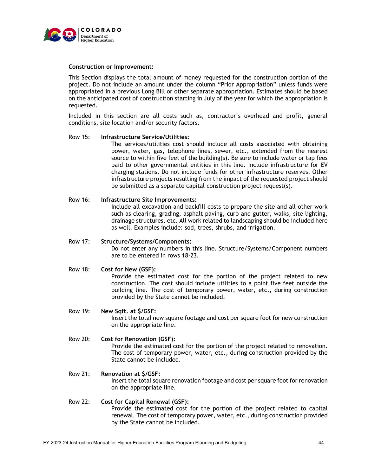

## **Construction or Improvement:**

This Section displays the total amount of money requested for the construction portion of the project. Do not include an amount under the column "Prior Appropriation" unless funds were appropriated in a previous Long Bill or other separate appropriation. Estimates should be based on the anticipated cost of construction starting in July of the year for which the appropriation is requested.

Included in this section are all costs such as, contractor's overhead and profit, general conditions, site location and/or security factors.

## Row 15: **Infrastructure Service/Utilities:**

The services/utilities cost should include all costs associated with obtaining power, water, gas, telephone lines, sewer, etc., extended from the nearest source to within five feet of the building(s). Be sure to include water or tap fees paid to other governmental entities in this line. Include infrastructure for EV charging stations. Do not include funds for other infrastructure reserves. Other infrastructure projects resulting from the impact of the requested project should be submitted as a separate capital construction project request(s).

## Row 16: **Infrastructure Site Improvements:**

Include all excavation and backfill costs to prepare the site and all other work such as clearing, grading, asphalt paving, curb and gutter, walks, site lighting, drainage structures, etc. All work related to landscaping should be included here as well. Examples include: sod, trees, shrubs, and irrigation.

#### Row 17: **Structure/Systems/Components:**

Do not enter any numbers in this line. Structure/Systems/Component numbers are to be entered in rows 18-23.

## Row 18: **Cost for New (GSF):**

Provide the estimated cost for the portion of the project related to new construction. The cost should include utilities to a point five feet outside the building line. The cost of temporary power, water, etc., during construction provided by the State cannot be included.

#### Row 19: **New Sqft. at \$/GSF:**

Insert the total new square footage and cost per square foot for new construction on the appropriate line.

## Row 20: **Cost for Renovation (GSF):**

Provide the estimated cost for the portion of the project related to renovation. The cost of temporary power, water, etc., during construction provided by the State cannot be included.

## Row 21: **Renovation at \$/GSF:**

Insert the total square renovation footage and cost per square foot for renovation on the appropriate line.

#### Row 22: **Cost for Capital Renewal (GSF):**

Provide the estimated cost for the portion of the project related to capital renewal. The cost of temporary power, water, etc., during construction provided by the State cannot be included.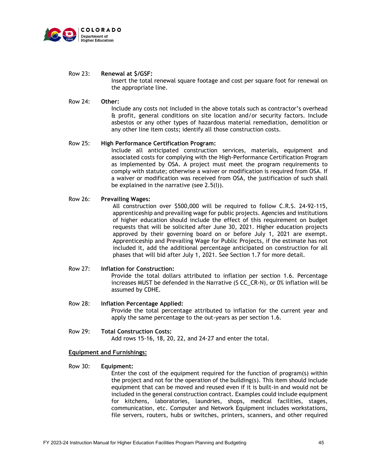

Row 23: **Renewal at \$/GSF:**

Insert the total renewal square footage and cost per square foot for renewal on the appropriate line.

## Row 24: **Other:**

Include any costs not included in the above totals such as contractor's overhead & profit, general conditions on site location and/or security factors. Include asbestos or any other types of hazardous material remediation, demolition or any other line item costs; identify all those construction costs.

## Row 25: **High Performance Certification Program:**

Include all anticipated construction services, materials, equipment and associated costs for complying with the High-Performance Certification Program as implemented by OSA. A project must meet the program requirements to comply with statute; otherwise a waiver or modification is required from OSA. If a waiver or modification was received from OSA, the justification of such shall be explained in the narrative (see 2.5(I)).

#### Row 26: **Prevailing Wages:**

All construction over \$500,000 will be required to follow C.R.S. 24-92-115, apprenticeship and prevailing wage for public projects. Agencies and institutions of higher education should include the effect of this requirement on budget requests that will be solicited after June 30, 2021. Higher education projects approved by their governing board on or before July 1, 2021 are exempt. Apprenticeship and Prevailing Wage for Public Projects, if the estimate has not included it, add the additional percentage anticipated on construction for all phases that will bid after July 1, 2021. See Section 1.7 for more detail.

#### Row 27: **Inflation for Construction:**

Provide the total dollars attributed to inflation per section 1.6. Percentage increases MUST be defended in the Narrative (S CC\_CR-N), or 0% inflation will be assumed by CDHE.

# Row 28: **Inflation Percentage Applied:**

Provide the total percentage attributed to inflation for the current year and apply the same percentage to the out-years as per section 1.6.

Row 29: **Total Construction Costs:** Add rows 15-16, 18, 20, 22, and 24-27 and enter the total.

## **Equipment and Furnishings:**

## Row 30: **Equipment:**

Enter the cost of the equipment required for the function of program(s) within the project and not for the operation of the building(s). This item should include equipment that can be moved and reused even if it is built-in and would not be included in the general construction contract. Examples could include equipment for kitchens, laboratories, laundries, shops, medical facilities, stages, communication, etc. Computer and Network Equipment includes workstations, file servers, routers, hubs or switches, printers, scanners, and other required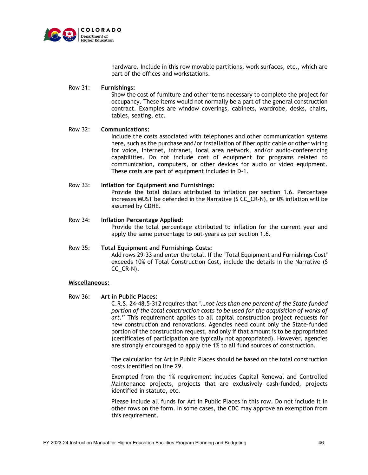

hardware. Include in this row movable partitions, work surfaces, etc., which are part of the offices and workstations.

## Row 31: **Furnishings:**

Show the cost of furniture and other items necessary to complete the project for occupancy. These items would not normally be a part of the general construction contract. Examples are window coverings, cabinets, wardrobe, desks, chairs, tables, seating, etc.

## Row 32: **Communications:**

Include the costs associated with telephones and other communication systems here, such as the purchase and/or installation of fiber optic cable or other wiring for voice, Internet, intranet, local area network, and/or audio-conferencing capabilities. Do not include cost of equipment for programs related to communication, computers, or other devices for audio or video equipment. These costs are part of equipment included in D-1.

## Row 33: **Inflation for Equipment and Furnishings:**

Provide the total dollars attributed to inflation per section 1.6. Percentage increases MUST be defended in the Narrative (S CC\_CR-N), or 0% inflation will be assumed by CDHE.

## Row 34: **Inflation Percentage Applied:**

Provide the total percentage attributed to inflation for the current year and apply the same percentage to out-years as per section 1.6.

# Row 35: **Total Equipment and Furnishings Costs:**

Add rows 29-33 and enter the total. If the "Total Equipment and Furnishings Cost" exceeds 10% of Total Construction Cost, include the details in the Narrative (S CC\_CR-N).

## **Miscellaneous:**

## Row 36: **Art in Public Places:**

C.R.S. 24-48.5-312 requires that *"…not less than one percent of the State funded portion of the total construction costs to be used for the acquisition of works of art*." This requirement applies to all capital construction project requests for new construction and renovations. Agencies need count only the State-funded portion of the construction request, and only if that amount is to be appropriated (certificates of participation are typically not appropriated). However, agencies are strongly encouraged to apply the 1% to all fund sources of construction.

The calculation for Art in Public Places should be based on the total construction costs identified on line 29.

Exempted from the 1% requirement includes Capital Renewal and Controlled Maintenance projects, projects that are exclusively cash-funded, projects identified in statute, etc.

Please include all funds for Art in Public Places in this row. Do not include it in other rows on the form. In some cases, the CDC may approve an exemption from this requirement.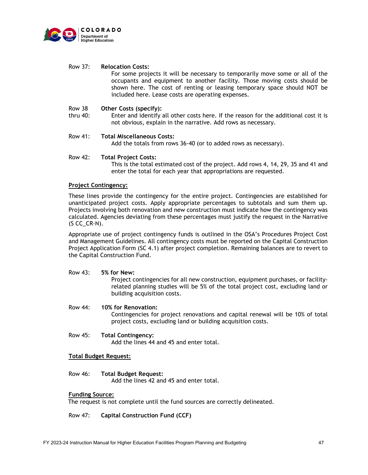

## Row 37: **Relocation Costs:**

For some projects it will be necessary to temporarily move some or all of the occupants and equipment to another facility. Those moving costs should be shown here. The cost of renting or leasing temporary space should NOT be included here. Lease costs are operating expenses.

#### Row 38 **Other Costs (specify):**

thru 40: Enter and identify all other costs here. If the reason for the additional cost it is not obvious, explain in the narrative. Add rows as necessary.

## Row 41: **Total Miscellaneous Costs:**

Add the totals from rows 36-40 (or to added rows as necessary).

## Row 42: **Total Project Costs:**

This is the total estimated cost of the project. Add rows 4, 14, 29, 35 and 41 and enter the total for each year that appropriations are requested.

## **Project Contingency:**

These lines provide the contingency for the entire project. Contingencies are established for unanticipated project costs. Apply appropriate percentages to subtotals and sum them up. Projects involving both renovation and new construction must indicate how the contingency was calculated. Agencies deviating from these percentages must justify the request in the Narrative (S CC\_CR-N).

Appropriate use of project contingency funds is outlined in the OSA's Procedures Project Cost and Management Guidelines. All contingency costs must be reported on the Capital Construction Project Application Form (SC 4.1) after project completion. Remaining balances are to revert to the Capital Construction Fund.

## Row 43: **5% for New:**

Project contingencies for all new construction, equipment purchases, or facilityrelated planning studies will be 5% of the total project cost, excluding land or building acquisition costs.

## Row 44: **10% for Renovation:** Contingencies for project renovations and capital renewal will be 10% of total project costs, excluding land or building acquisition costs.

Row 45: **Total Contingency:** Add the lines 44 and 45 and enter total.

## **Total Budget Request:**

## Row 46: **Total Budget Request:**

Add the lines 42 and 45 and enter total.

## **Funding Source:**

The request is not complete until the fund sources are correctly delineated.

## Row 47: **Capital Construction Fund (CCF)**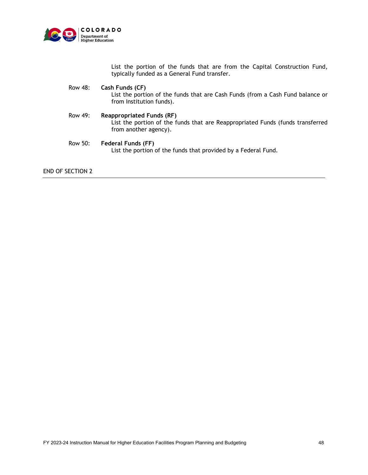

List the portion of the funds that are from the Capital Construction Fund, typically funded as a General Fund transfer.

- Row 48: **Cash Funds (CF)** List the portion of the funds that are Cash Funds (from a Cash Fund balance or from Institution funds).
- Row 49: **Reappropriated Funds (RF)** List the portion of the funds that are Reappropriated Funds (funds transferred from another agency).
- Row 50: **Federal Funds (FF)** List the portion of the funds that provided by a Federal Fund.

END OF SECTION 2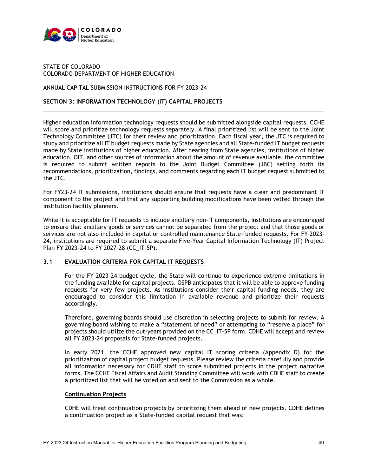

## STATE OF COLORADO COLORADO DEPARTMENT OF HIGHER EDUCATION

## ANNUAL CAPITAL SUBMISSION INSTRUCTIONS FOR FY 2023-24

## **SECTION 3: INFORMATION TECHNOLOGY (IT) CAPITAL PROJECTS**

Higher education information technology requests should be submitted alongside capital requests. CCHE will score and prioritize technology requests separately. A final prioritized list will be sent to the Joint Technology Committee (JTC) for their review and prioritization. Each fiscal year, the JTC is required to study and prioritize all IT budget requests made by State agencies and all State-funded IT budget requests made by State institutions of higher education. After hearing from State agencies, institutions of higher education, OIT, and other sources of information about the amount of revenue available, the committee is required to submit written reports to the Joint Budget Committee (JBC) setting forth its recommendations, prioritization, findings, and comments regarding each IT budget request submitted to the JTC.

\_\_\_\_\_\_\_\_\_\_\_\_\_\_\_\_\_\_\_\_\_\_\_\_\_\_\_\_\_\_\_\_\_\_\_\_\_\_\_\_\_\_\_\_\_\_\_\_\_\_\_\_\_\_\_\_\_\_\_\_\_\_\_\_\_\_\_\_\_\_\_\_\_\_\_\_\_\_\_\_\_\_\_\_\_\_\_\_\_

For FY23-24 IT submissions, institutions should ensure that requests have a clear and predominant IT component to the project and that any supporting building modifications have been vetted through the institution facility planners.

While it is acceptable for IT requests to include ancillary non-IT components, institutions are encouraged to ensure that ancillary goods or services cannot be separated from the project and that those goods or services are not also included in capital or controlled maintenance State-funded requests. For FY 2023- 24, institutions are required to submit a separate Five-Year Capital Information Technology (IT) Project Plan FY 2023-24 to FY 2027-28 (CC\_IT-5P).

## **3.1 EVALUATION CRITERIA FOR CAPITAL IT REQUESTS**

For the FY 2023-24 budget cycle, the State will continue to experience extreme limitations in the funding available for capital projects. OSPB anticipates that it will be able to approve funding requests for very few projects. As institutions consider their capital funding needs, they are encouraged to consider this limitation in available revenue and prioritize their requests accordingly.

Therefore, governing boards should use discretion in selecting projects to submit for review. A governing board wishing to make a "statement of need" or **attempting** to "reserve a place" for projects should utilize the out-years provided on the CC\_IT-5P form. CDHE will accept and review all FY 2023-24 proposals for State-funded projects.

In early 2021, the CCHE approved new capital IT scoring criteria (Appendix D) for the prioritization of capital project budget requests. Please review the criteria carefully and provide all information necessary for CDHE staff to score submitted projects in the project narrative forms. The CCHE Fiscal Affairs and Audit Standing Committee will work with CDHE staff to create a prioritized list that will be voted on and sent to the Commission as a whole.

## **Continuation Projects**

CDHE will treat continuation projects by prioritizing them ahead of new projects. CDHE defines a continuation project as a State-funded capital request that was: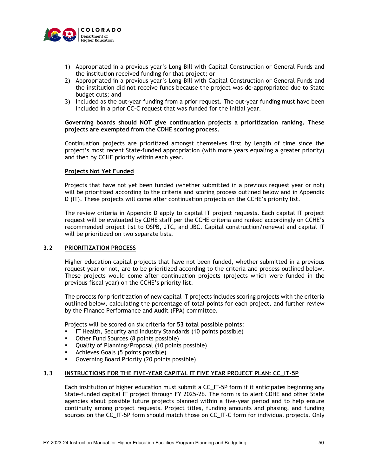

- 1) Appropriated in a previous year's Long Bill with Capital Construction or General Funds and the institution received funding for that project; **or**
- 2) Appropriated in a previous year's Long Bill with Capital Construction or General Funds and the institution did not receive funds because the project was de-appropriated due to State budget cuts; **and**
- 3) Included as the out-year funding from a prior request. The out-year funding must have been included in a prior CC-C request that was funded for the initial year.

## **Governing boards should NOT give continuation projects a prioritization ranking. These projects are exempted from the CDHE scoring process.**

Continuation projects are prioritized amongst themselves first by length of time since the project's most recent State-funded appropriation (with more years equaling a greater priority) and then by CCHE priority within each year.

## **Projects Not Yet Funded**

Projects that have not yet been funded (whether submitted in a previous request year or not) will be prioritized according to the criteria and scoring process outlined below and in Appendix D (IT). These projects will come after continuation projects on the CCHE's priority list.

The review criteria in Appendix D apply to capital IT project requests. Each capital IT project request will be evaluated by CDHE staff per the CCHE criteria and ranked accordingly on CCHE's recommended project list to OSPB, JTC, and JBC. Capital construction/renewal and capital IT will be prioritized on two separate lists.

## **3.2 PRIORITIZATION PROCESS**

Higher education capital projects that have not been funded, whether submitted in a previous request year or not, are to be prioritized according to the criteria and process outlined below. These projects would come after continuation projects (projects which were funded in the previous fiscal year) on the CCHE's priority list.

The process for prioritization of new capital IT projects includes scoring projects with the criteria outlined below, calculating the percentage of total points for each project, and further review by the Finance Performance and Audit (FPA) committee.

Projects will be scored on six criteria for **53 total possible points**:

- IT Health, Security and Industry Standards (10 points possible)
- Other Fund Sources (8 points possible)
- Quality of Planning/Proposal (10 points possible)
- **Achieves Goals (5 points possible)**
- Governing Board Priority (20 points possible)

## **3.3 INSTRUCTIONS FOR THE FIVE-YEAR CAPITAL IT FIVE YEAR PROJECT PLAN: CC\_IT-5P**

Each institution of higher education must submit a CC\_IT-5P form if it anticipates beginning any State-funded capital IT project through FY 2025-26. The form is to alert CDHE and other State agencies about possible future projects planned within a five-year period and to help ensure continuity among project requests. Project titles, funding amounts and phasing, and funding sources on the CC\_IT-5P form should match those on CC\_IT-C form for individual projects. Only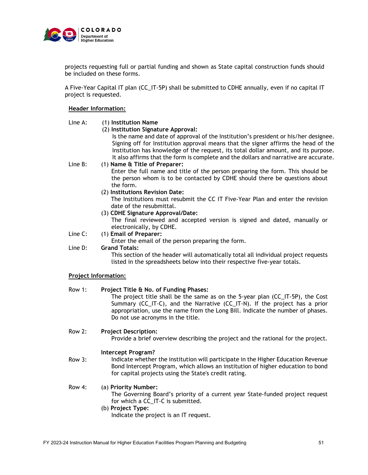

projects requesting full or partial funding and shown as State capital construction funds should be included on these forms.

A Five-Year Capital IT plan (CC\_IT-5P) shall be submitted to CDHE annually, even if no capital IT project is requested.

## **Header Information:**

## Line A: (1) **Institution Name**

(2) **Institution Signature Approval:**

Is the name and date of approval of the Institution's president or his/her designee. Signing off for Institution approval means that the signer affirms the head of the Institution has knowledge of the request, its total dollar amount, and its purpose. It also affirms that the form is complete and the dollars and narrative are accurate.

Line B: (1) **Name & Title of Preparer:**

Enter the full name and title of the person preparing the form. This should be the person whom is to be contacted by CDHE should there be questions about the form.

(2) **Institutions Revision Date:**

The Institutions must resubmit the CC IT Five-Year Plan and enter the revision date of the resubmittal.

(3) **CDHE Signature Approval/Date:**

The final reviewed and accepted version is signed and dated, manually or electronically, by CDHE.

Line C: (1) **Email of Preparer:** 

Enter the email of the person preparing the form.

## Line D: **Grand Totals:**

This section of the header will automatically total all individual project requests listed in the spreadsheets below into their respective five-year totals.

## **Project Information:**

Row 1: **Project Title & No. of Funding Phases:**

The project title shall be the same as on the 5-year plan (CC\_IT-5P), the Cost Summary (CC\_IT-C), and the Narrative (CC\_IT-N). If the project has a prior appropriation, use the name from the Long Bill. Indicate the number of phases. Do not use acronyms in the title.

#### Row 2: **Project Description:**

Provide a brief overview describing the project and the rational for the project.

#### **Intercept Program?**

Row 3: Indicate whether the institution will participate in the Higher Education Revenue Bond Intercept Program, which allows an institution of higher education to bond for capital projects using the State's credit rating.

Row 4: (a) **Priority Number:**

The Governing Board's priority of a current year State-funded project request for which a CC\_IT-C is submitted.

## (b) **Project Type:** Indicate the project is an IT request.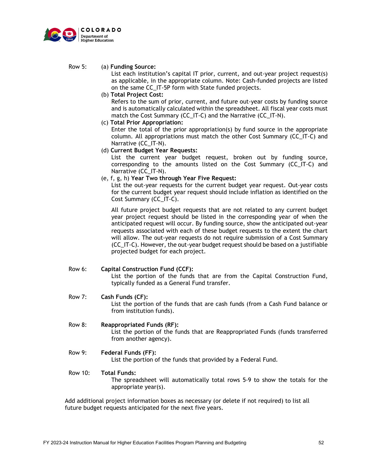

## Row 5: (a) **Funding Source:**

List each institution's capital IT prior, current, and out-year project request(s) as applicable, in the appropriate column. Note: Cash-funded projects are listed on the same CC\_IT-5P form with State funded projects.

(b) **Total Project Cost:**

Refers to the sum of prior, current, and future out-year costs by funding source and is automatically calculated within the spreadsheet. All fiscal year costs must match the Cost Summary (CC\_IT-C) and the Narrative (CC\_IT-N).

- (c) **Total Prior Appropriation:** Enter the total of the prior appropriation(s) by fund source in the appropriate column. All appropriations must match the other Cost Summary (CC\_IT-C) and Narrative (CC\_IT-N).
- (d) **Current Budget Year Requests:**

List the current year budget request, broken out by funding source, corresponding to the amounts listed on the Cost Summary (CC\_IT-C) and Narrative (CC\_IT-N).

(e, f, g, h) **Year Two through Year Five Request:**

List the out-year requests for the current budget year request. Out-year costs for the current budget year request should include inflation as identified on the Cost Summary (CC\_IT-C).

All future project budget requests that are not related to any current budget year project request should be listed in the corresponding year of when the anticipated request will occur. By funding source, show the anticipated out-year requests associated with each of these budget requests to the extent the chart will allow. The out-year requests do not require submission of a Cost Summary (CC\_IT-C). However, the out-year budget request should be based on a justifiable projected budget for each project.

- Row 6: **Capital Construction Fund (CCF):** List the portion of the funds that are from the Capital Construction Fund, typically funded as a General Fund transfer.
- Row 7: **Cash Funds (CF):** List the portion of the funds that are cash funds (from a Cash Fund balance or from institution funds).
- Row 8: **Reappropriated Funds (RF):** List the portion of the funds that are Reappropriated Funds (funds transferred from another agency).

## Row 9: **Federal Funds (FF):** List the portion of the funds that provided by a Federal Fund.

## Row 10: **Total Funds:**

The spreadsheet will automatically total rows 5-9 to show the totals for the appropriate year(s).

Add additional project information boxes as necessary (or delete if not required) to list all future budget requests anticipated for the next five years.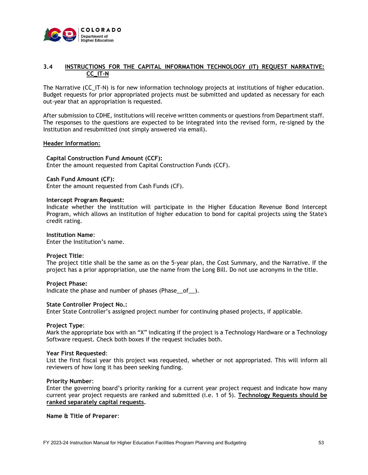

## **3.4 INSTRUCTIONS FOR THE CAPITAL INFORMATION TECHNOLOGY (IT) REQUEST NARRATIVE: CC\_IT-N**

The Narrative (CC\_IT-N) is for new information technology projects at institutions of higher education. Budget requests for prior appropriated projects must be submitted and updated as necessary for each out-year that an appropriation is requested.

After submission to CDHE, institutions will receive written comments or questions from Department staff. The responses to the questions are expected to be integrated into the revised form, re-signed by the Institution and resubmitted (not simply answered via email).

## **Header Information:**

## **Capital Construction Fund Amount (CCF):**

Enter the amount requested from Capital Construction Funds (CCF).

#### **Cash Fund Amount (CF):**

Enter the amount requested from Cash Funds (CF).

#### **Intercept Program Request:**

Indicate whether the institution will participate in the Higher Education Revenue Bond Intercept Program, which allows an institution of higher education to bond for capital projects using the State's credit rating.

#### **Institution Name**:

Enter the Institution's name.

#### **Project Title**:

The project title shall be the same as on the 5-year plan, the Cost Summary, and the Narrative. If the project has a prior appropriation, use the name from the Long Bill. Do not use acronyms in the title.

#### **Project Phase:**

Indicate the phase and number of phases (Phase\_of\_).

#### **State Controller Project No.:**

Enter State Controller's assigned project number for continuing phased projects, if applicable.

#### **Project Type**:

Mark the appropriate box with an "X" indicating if the project is a Technology Hardware or a Technology Software request. Check both boxes if the request includes both.

#### **Year First Requested**:

List the first fiscal year this project was requested, whether or not appropriated. This will inform all reviewers of how long it has been seeking funding.

#### **Priority Number**:

Enter the governing board's priority ranking for a current year project request and indicate how many current year project requests are ranked and submitted (i.e. 1 of 5). **Technology Requests should be ranked separately capital requests.** 

#### **Name & Title of Preparer**: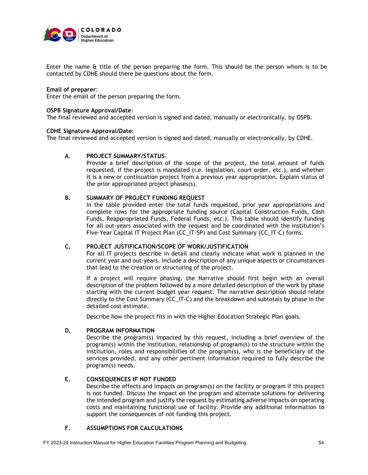

Enter the name & title of the person preparing the form. This should be the person whom is to be contacted by CDHE should there be questions about the form.

## **Email of preparer**:

Enter the email of the person preparing the form.

## **OSPB Signature Approval/Date**:

The final reviewed and accepted version is signed and dated, manually or electronically, by OSPB.

## **CDHE Signature Approval/Date**:

The final reviewed and accepted version is signed and dated, manually or electronically, by CDHE.

## **A. PROJECT SUMMARY/STATUS**

Provide a brief description of the scope of the project, the total amount of funds requested, if the project is mandated (i.e. legislation, court order, etc.), and whether it is a new or continuation project from a previous year appropriation. Explain status of the prior appropriated project phases(s).

## **B. SUMMARY OF PROJECT FUNDING REQUEST**

In the table provided enter the total funds requested, prior year appropriations and complete rows for the appropriate funding source (Capital Construction Funds, Cash Funds, Reappropriated Funds, Federal Funds, etc.). This table should identify funding for all out-years associated with the request and be coordinated with the institution's Five-Year Capital IT Project Plan (CC\_IT-5P) and Cost Summary (CC\_IT-C) forms.

## **C. PROJECT JUSTIFICATION/SCOPE OF WORK/JUSTIFICATION**

For all IT projects describe in detail and clearly indicate what work is planned in the current year and out-years. Include a description of any unique aspects or circumstances that lead to the creation or structuring of the project.

If a project will require phasing, the Narrative should first begin with an overall description of the problem followed by a more detailed description of the work by phase starting with the current budget year request. The narrative description should relate directly to the Cost Summary (CC\_IT-C) and the breakdown and subtotals by phase in the detailed cost estimate.

Describe how the project fits in with the Higher Education Strategic Plan goals.

## **D. PROGRAM INFORMATION**

Describe the program(s) impacted by this request, including a brief overview of the program(s) within the institution, relationship of program(s) to the structure within the institution, roles and responsibilities of the program(s), who is the beneficiary of the services provided, and any other pertinent information required to fully describe the program(s) needs.

## **E. CONSEQUENCES IF NOT FUNDED**

Describe the effects and impacts on program(s) on the facility or program if this project is not funded. Discuss the impact on the program and alternate solutions for delivering the intended program and justify the request by estimating adverse impacts on operating costs and maintaining functional use of facility. Provide any additional information to support the consequences of not funding this project.

## **F. ASSUMPTIONS FOR CALCULATIONS**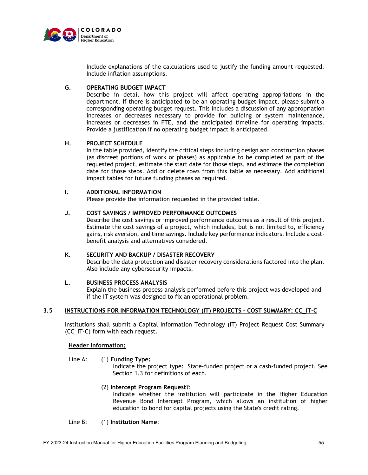

Include explanations of the calculations used to justify the funding amount requested. Include inflation assumptions.

## **G. OPERATING BUDGET IMPACT**

Describe in detail how this project will affect operating appropriations in the department. If there is anticipated to be an operating budget impact, please submit a corresponding operating budget request. This includes a discussion of any appropriation increases or decreases necessary to provide for building or system maintenance, increases or decreases in FTE, and the anticipated timeline for operating impacts. Provide a justification if no operating budget impact is anticipated.

## **H. PROJECT SCHEDULE**

In the table provided, identify the critical steps including design and construction phases (as discreet portions of work or phases) as applicable to be completed as part of the requested project, estimate the start date for those steps, and estimate the completion date for those steps. Add or delete rows from this table as necessary. Add additional impact tables for future funding phases as required.

## **I. ADDITIONAL INFORMATION**

Please provide the information requested in the provided table.

## **J. COST SAVINGS / IMPROVED PERFORMANCE OUTCOMES**

Describe the cost savings or improved performance outcomes as a result of this project. Estimate the cost savings of a project, which includes, but is not limited to, efficiency gains, risk aversion, and time savings. Include key performance indicators. Include a costbenefit analysis and alternatives considered.

## **K. SECURITY AND BACKUP / DISASTER RECOVERY**

Describe the data protection and disaster recovery considerations factored into the plan. Also include any cybersecurity impacts.

## **L. BUSINESS PROCESS ANALYSIS**

 Explain the business process analysis performed before this project was developed and if the IT system was designed to fix an operational problem.

## **3.5 INSTRUCTIONS FOR INFORMATION TECHNOLOGY (IT) PROJECTS - COST SUMMARY: CC\_IT-C**

Institutions shall submit a Capital Information Technology (IT) Project Request Cost Summary (CC\_IT-C) form with each request.

## **Header Information:**

## Line A: (1) **Funding Type:**

Indicate the project type: State-funded project or a cash-funded project. See Section 1.3 for definitions of each.

## (2) **Intercept Program Request?**:

Indicate whether the institution will participate in the Higher Education Revenue Bond Intercept Program, which allows an institution of higher education to bond for capital projects using the State's credit rating.

## Line B: (1) **Institution Name**: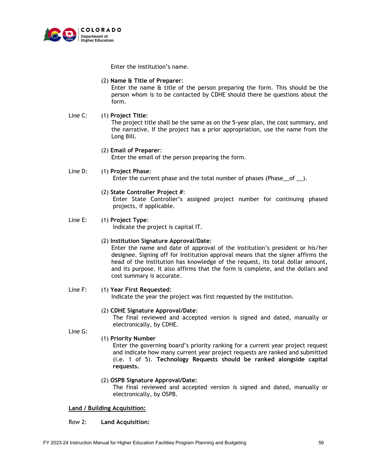

Enter the institution's name.

## (2) **Name & Title of Preparer**:

Enter the name & title of the person preparing the form. This should be the person whom is to be contacted by CDHE should there be questions about the form.

## Line C: (1) **Project Title**:

The project title shall be the same as on the 5-year plan, the cost summary, and the narrative. If the project has a prior appropriation, use the name from the Long Bill.

## (2) **Email of Preparer**:

Enter the email of the person preparing the form.

## Line D: (1) **Project Phase**:

Enter the current phase and the total number of phases (Phase\_of \_).

## (2) **State Controller Project #**:

Enter State Controller's assigned project number for continuing phased projects, if applicable.

## Line E: (1) **Project Type**:

Indicate the project is capital IT.

## (2) **Institution Signature Approval/Date**:

Enter the name and date of approval of the institution's president or his/her designee. Signing off for Institution approval means that the signer affirms the head of the Institution has knowledge of the request, its total dollar amount, and its purpose. It also affirms that the form is complete, and the dollars and cost summary is accurate.

## Line F: (1) **Year First Requested**:

Indicate the year the project was first requested by the institution.

## (2) **CDHE Signature Approval/Date**:

The final reviewed and accepted version is signed and dated, manually or electronically, by CDHE.

Line G:

## (1) **Priority Number**

Enter the governing board's priority ranking for a current year project request and indicate how many current year project requests are ranked and submitted (i.e. 1 of 5). **Technology Requests should be ranked alongside capital requests.** 

## (2) **OSPB Signature Approval/Date:**

The final reviewed and accepted version is signed and dated, manually or electronically, by OSPB.

## **Land / Building Acquisition:**

## Row 2: **Land Acquisition:**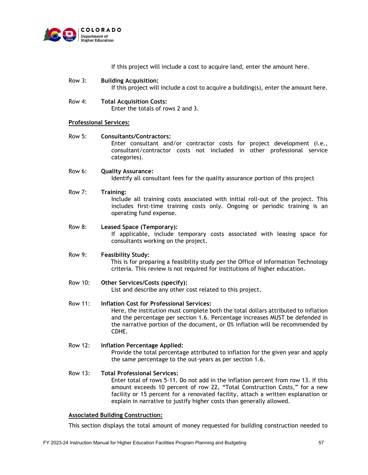

|                | If this project will include a cost to acquire land, enter the amount here.                                                                                                                                                                                                                                      |
|----------------|------------------------------------------------------------------------------------------------------------------------------------------------------------------------------------------------------------------------------------------------------------------------------------------------------------------|
| <b>Row 3:</b>  | <b>Building Acquisition:</b><br>If this project will include a cost to acquire a building(s), enter the amount here.                                                                                                                                                                                             |
| Row 4:         | <b>Total Acquisition Costs:</b><br>Enter the totals of rows 2 and 3.                                                                                                                                                                                                                                             |
|                | <b>Professional Services:</b>                                                                                                                                                                                                                                                                                    |
| <b>Row 5:</b>  | <b>Consultants/Contractors:</b><br>Enter consultant and/or contractor costs for project development (i.e.,<br>consultant/contractor costs not included in other professional service<br>categories).                                                                                                             |
| Row 6:         | <b>Quality Assurance:</b><br>Identify all consultant fees for the quality assurance portion of this project                                                                                                                                                                                                      |
| <b>Row 7:</b>  | <b>Training:</b><br>Include all training costs associated with initial roll-out of the project. This<br>includes first-time training costs only. Ongoing or periodic training is an<br>operating fund expense.                                                                                                   |
| Row 8:         | <b>Leased Space (Temporary):</b><br>If applicable, include temporary costs associated with leasing space for<br>consultants working on the project.                                                                                                                                                              |
| <b>Row 9:</b>  | <b>Feasibility Study:</b><br>This is for preparing a feasibility study per the Office of Information Technology<br>criteria. This review is not required for institutions of higher education.                                                                                                                   |
| <b>Row 10:</b> | Other Services/Costs (specify):<br>List and describe any other cost related to this project.                                                                                                                                                                                                                     |
| <b>Row 11:</b> | <b>Inflation Cost for Professional Services:</b><br>Here, the institution must complete both the total dollars attributed to inflation<br>and the percentage per section 1.6. Percentage increases MUST be defended in<br>the narrative portion of the document, or 0% inflation will be recommended by<br>CDHE. |

## Row 12: **Inflation Percentage Applied:** Provide the total percentage attributed to inflation for the given year and apply

the same percentage to the out-years as per section 1.6.

## Row 13: **Total Professional Services:**

Enter total of rows 5-11. Do not add in the inflation percent from row 13. If this amount exceeds 10 percent of row 22, "Total Construction Costs," for a new facility or 15 percent for a renovated facility, attach a written explanation or explain in narrative to justify higher costs than generally allowed.

## **Associated Building Construction:**

This section displays the total amount of money requested for building construction needed to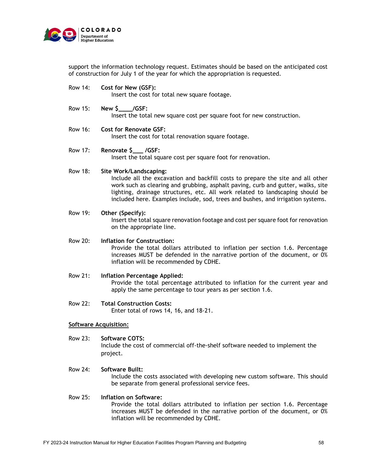

support the information technology request. Estimates should be based on the anticipated cost of construction for July 1 of the year for which the appropriation is requested.

Row 14: **Cost for New (GSF):**

Insert the cost for total new square footage.

- Row 15: **New \$\_\_\_\_/GSF:** Insert the total new square cost per square foot for new construction.
- Row 16: **Cost for Renovate GSF:** Insert the cost for total renovation square footage.
- Row 17: **Renovate \$\_\_\_ /GSF:** Insert the total square cost per square foot for renovation.

## Row 18: **Site Work/Landscaping:**

Include all the excavation and backfill costs to prepare the site and all other work such as clearing and grubbing, asphalt paving, curb and gutter, walks, site lighting, drainage structures, etc. All work related to landscaping should be included here. Examples include, sod, trees and bushes, and irrigation systems.

## Row 19: **Other (Specify):** Insert the total square renovation footage and cost per square foot for renovation on the appropriate line.

## Row 20: **Inflation for Construction:**

Provide the total dollars attributed to inflation per section 1.6. Percentage increases MUST be defended in the narrative portion of the document, or 0% inflation will be recommended by CDHE.

- Row 21: **Inflation Percentage Applied:** Provide the total percentage attributed to inflation for the current year and apply the same percentage to tour years as per section 1.6.
- Row 22: **Total Construction Costs:** Enter total of rows 14, 16, and 18-21.

## **Software Acquisition:**

Row 23: **Software COTS:**

Include the cost of commercial off-the-shelf software needed to implement the project.

## Row 24: **Software Built:**

Include the costs associated with developing new custom software. This should be separate from general professional service fees.

## Row 25: **Inflation on Software:**

Provide the total dollars attributed to inflation per section 1.6. Percentage increases MUST be defended in the narrative portion of the document, or 0% inflation will be recommended by CDHE.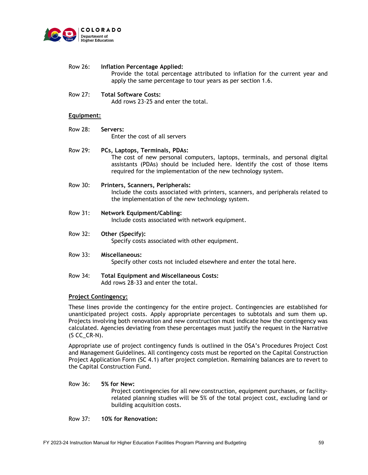

- Row 26: **Inflation Percentage Applied:** Provide the total percentage attributed to inflation for the current year and apply the same percentage to tour years as per section 1.6.
- Row 27: **Total Software Costs:**

Add rows 23-25 and enter the total.

## **Equipment:**

- Row 28: **Servers:** Enter the cost of all servers
- Row 29: **PCs, Laptops, Terminals, PDAs:** The cost of new personal computers, laptops, terminals, and personal digital assistants (PDAs) should be included here. Identify the cost of those items required for the implementation of the new technology system.
- Row 30: **Printers, Scanners, Peripherals:** Include the costs associated with printers, scanners, and peripherals related to the implementation of the new technology system.
- Row 31: **Network Equipment/Cabling:** Include costs associated with network equipment.
- Row 32: **Other (Specify):** Specify costs associated with other equipment.
- Row 33: **Miscellaneous:** Specify other costs not included elsewhere and enter the total here.
- Row 34: **Total Equipment and Miscellaneous Costs:** Add rows 28-33 and enter the total.

## **Project Contingency:**

These lines provide the contingency for the entire project. Contingencies are established for unanticipated project costs. Apply appropriate percentages to subtotals and sum them up. Projects involving both renovation and new construction must indicate how the contingency was calculated. Agencies deviating from these percentages must justify the request in the Narrative  $($ S CC $_C$ CR-N $).$ 

Appropriate use of project contingency funds is outlined in the OSA's Procedures Project Cost and Management Guidelines. All contingency costs must be reported on the Capital Construction Project Application Form (SC 4.1) after project completion. Remaining balances are to revert to the Capital Construction Fund.

## Row 36: **5% for New:**

Project contingencies for all new construction, equipment purchases, or facilityrelated planning studies will be 5% of the total project cost, excluding land or building acquisition costs.

Row 37: **10% for Renovation:**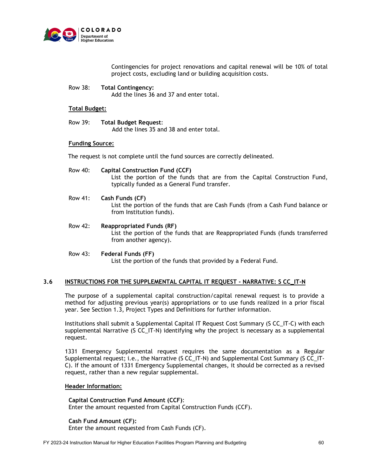

Contingencies for project renovations and capital renewal will be 10% of total project costs, excluding land or building acquisition costs.

Row 38: **Total Contingency:**

Add the lines 36 and 37 and enter total.

## **Total Budget:**

Row 39: **Total Budget Request**: Add the lines 35 and 38 and enter total.

## **Funding Source:**

The request is not complete until the fund sources are correctly delineated.

- Row 40: **Capital Construction Fund (CCF)** List the portion of the funds that are from the Capital Construction Fund, typically funded as a General Fund transfer.
- Row 41: **Cash Funds (CF)** List the portion of the funds that are Cash Funds (from a Cash Fund balance or from Institution funds).
- Row 42: **Reappropriated Funds (RF)** List the portion of the funds that are Reappropriated Funds (funds transferred from another agency).
- Row 43: **Federal Funds (FF)** List the portion of the funds that provided by a Federal Fund.

## **3.6 INSTRUCTIONS FOR THE SUPPLEMENTAL CAPITAL IT REQUEST - NARRATIVE: S CC\_IT-N**

The purpose of a supplemental capital construction/capital renewal request is to provide a method for adjusting previous year(s) appropriations or to use funds realized in a prior fiscal year. See Section 1.3, Project Types and Definitions for further information.

Institutions shall submit a Supplemental Capital IT Request Cost Summary (S CC\_IT-C) with each supplemental Narrative (S CC\_IT-N) identifying why the project is necessary as a supplemental request.

1331 Emergency Supplemental request requires the same documentation as a Regular Supplemental request; i.e., the Narrative (S CC\_IT-N) and Supplemental Cost Summary (S CC\_IT-C). If the amount of 1331 Emergency Supplemental changes, it should be corrected as a revised request, rather than a new regular supplemental.

## **Header Information:**

**Capital Construction Fund Amount (CCF)**: Enter the amount requested from Capital Construction Funds (CCF).

#### **Cash Fund Amount (CF):**

Enter the amount requested from Cash Funds (CF).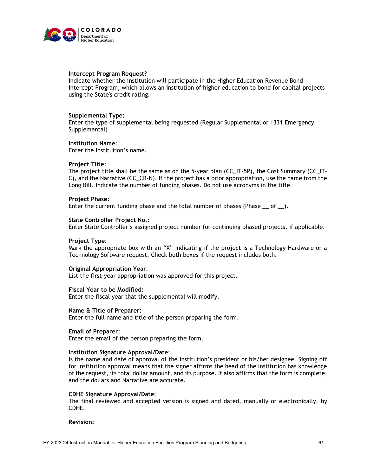

## **Intercept Program Request?**

Indicate whether the institution will participate in the Higher Education Revenue Bond Intercept Program, which allows an institution of higher education to bond for capital projects using the State's credit rating.

## **Supplemental Type:**

Enter the type of supplemental being requested (Regular Supplemental or 1331 Emergency Supplemental)

## **Institution Name**:

Enter the Institution's name.

## **Project Title**:

The project title shall be the same as on the 5-year plan (CC\_IT-5P), the Cost Summary (CC\_IT-C), and the Narrative (CC\_CR-N). If the project has a prior appropriation, use the name from the Long Bill. Indicate the number of funding phases. Do not use acronyms in the title.

## **Project Phase:**

Enter the current funding phase and the total number of phases (Phase  $\_\mathrm{of}$ ).

#### **State Controller Project No.:**

Enter State Controller's assigned project number for continuing phased projects, if applicable.

#### **Project Type**:

Mark the appropriate box with an "X" indicating if the project is a Technology Hardware or a Technology Software request. Check both boxes if the request includes both.

#### **Original Appropriation Year**:

List the first-year appropriation was approved for this project.

#### **Fiscal Year to be Modified:**

Enter the fiscal year that the supplemental will modify.

#### **Name & Title of Preparer:**

Enter the full name and title of the person preparing the form.

#### **Email of Preparer:**

Enter the email of the person preparing the form.

#### **Institution Signature Approval/Date**:

Is the name and date of approval of the institution's president or his/her designee. Signing off for Institution approval means that the signer affirms the head of the Institution has knowledge of the request, its total dollar amount, and its purpose. It also affirms that the form is complete, and the dollars and Narrative are accurate.

#### **CDHE Signature Approval/Date**:

The final reviewed and accepted version is signed and dated, manually or electronically, by CDHE.

## **Revision:**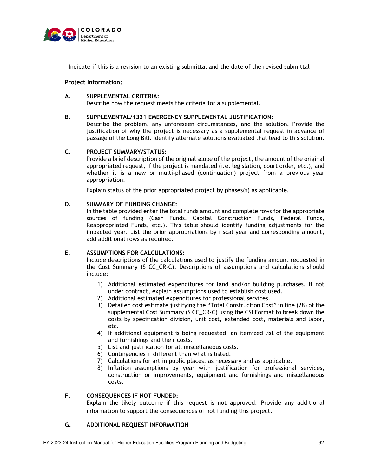

Indicate if this is a revision to an existing submittal and the date of the revised submittal

## **Project Information:**

## **A. SUPPLEMENTAL CRITERIA:**

Describe how the request meets the criteria for a supplemental.

## **B. SUPPLEMENTAL/1331 EMERGENCY SUPPLEMENTAL JUSTIFICATION:**

Describe the problem, any unforeseen circumstances, and the solution. Provide the justification of why the project is necessary as a supplemental request in advance of passage of the Long Bill. Identify alternate solutions evaluated that lead to this solution.

## **C. PROJECT SUMMARY/STATUS:**

Provide a brief description of the original scope of the project, the amount of the original appropriated request, if the project is mandated (i.e. legislation, court order, etc.), and whether it is a new or multi-phased (continuation) project from a previous year appropriation.

Explain status of the prior appropriated project by phases(s) as applicable.

## **D. SUMMARY OF FUNDING CHANGE:**

In the table provided enter the total funds amount and complete rows for the appropriate sources of funding (Cash Funds, Capital Construction Funds, Federal Funds, Reappropriated Funds, etc.). This table should identify funding adjustments for the impacted year. List the prior appropriations by fiscal year and corresponding amount, add additional rows as required.

## **E**. **ASSUMPTIONS FOR CALCULATIONS:**

Include descriptions of the calculations used to justify the funding amount requested in the Cost Summary (S CC\_CR-C). Descriptions of assumptions and calculations should include:

- 1) Additional estimated expenditures for land and/or building purchases. If not under contract, explain assumptions used to establish cost used.
- 2) Additional estimated expenditures for professional services.
- 3) Detailed cost estimate justifying the "Total Construction Cost" in line (28) of the supplemental Cost Summary (S CC\_CR-C) using the CSI Format to break down the costs by specification division, unit cost, extended cost, materials and labor, etc.
- 4) If additional equipment is being requested, an itemized list of the equipment and furnishings and their costs.
- 5) List and justification for all miscellaneous costs.
- 6) Contingencies if different than what is listed.
- 7) Calculations for art in public places, as necessary and as applicable.
- 8) Inflation assumptions by year with justification for professional services, construction or improvements, equipment and furnishings and miscellaneous costs.

## **F. CONSEQUENCES IF NOT FUNDED:**

Explain the likely outcome if this request is not approved. Provide any additional information to support the consequences of not funding this project.

## **G. ADDITIONAL REQUEST INFORMATION**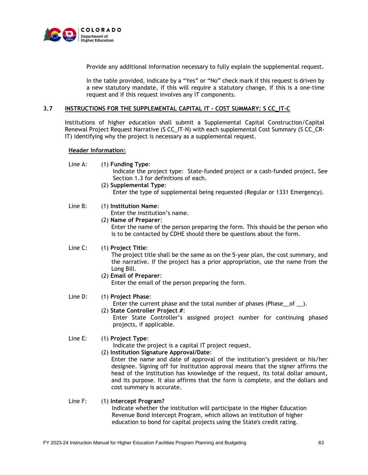

Provide any additional information necessary to fully explain the supplemental request.

In the table provided, indicate by a "Yes" or "No" check mark if this request is driven by a new statutory mandate, if this will require a statutory change, if this is a one-time request and if this request involves any IT components.

## **3.7 INSTRUCTIONS FOR THE SUPPLEMENTAL CAPITAL IT - COST SUMMARY: S CC\_IT-C**

Institutions of higher education shall submit a Supplemental Capital Construction/Capital Renewal Project Request Narrative (S CC\_IT-N) with each supplemental Cost Summary (S CC\_CR-IT) identifying why the project is necessary as a supplemental request.

## **Header Information:**

Line A: (1) **Funding Type**:

Indicate the project type: State-funded project or a cash-funded project**.** See Section 1.3 for definitions of each.

(2) **Supplemental Type**: Enter the type of supplemental being requested (Regular or 1331 Emergency).

## Line B: (1) **Institution Name**:

Enter the institution's name.

(2) **Name of Preparer**:

Enter the name of the person preparing the form. This should be the person who is to be contacted by CDHE should there be questions about the form.

## Line C: (1) **Project Title**:

The project title shall be the same as on the 5-year plan, the cost summary, and the narrative. If the project has a prior appropriation, use the name from the Long Bill.

(2) **Email of Preparer**:

Enter the email of the person preparing the form.

## Line D: (1) **Project Phase**:

- Enter the current phase and the total number of phases (Phase\_of \_).
- (2) **State Controller Project #**: Enter State Controller's assigned project number for continuing phased projects, if applicable.

## Line E: (1) **Project Type**:

- Indicate the project is a capital IT project request.
- (2) **Institution Signature Approval/Date**: Enter the name and date of approval of the institution's president or his/her designee. Signing off for Institution approval means that the signer affirms the head of the Institution has knowledge of the request, its total dollar amount, and its purpose. It also affirms that the form is complete, and the dollars and cost summary is accurate.

## Line F: (1) **Intercept Program?** Indicate whether the institution will participate in the Higher Education Revenue Bond Intercept Program, which allows an institution of higher education to bond for capital projects using the State's credit rating.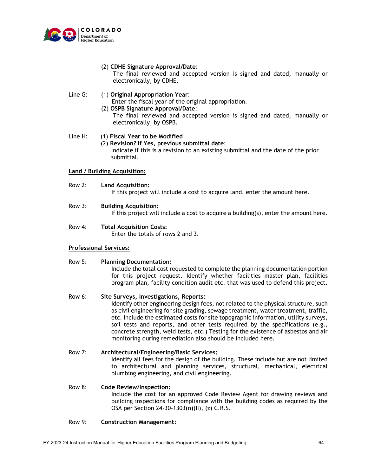

## (2) **CDHE Signature Approval/Date**:

The final reviewed and accepted version is signed and dated, manually or electronically, by CDHE.

## Line G: (1) **Original Appropriation Year**:

Enter the fiscal year of the original appropriation.

# (2) **OSPB Signature Approval/Date**:

The final reviewed and accepted version is signed and dated, manually or electronically, by OSPB.

## Line H: (1) **Fiscal Year to be Modified**

 (2) **Revision? If Yes, previous submittal date**: Indicate if this is a revision to an existing submittal and the date of the prior submittal.

## **Land / Building Acquisition:**

Row 2: **Land Acquisition:**

If this project will include a cost to acquire land, enter the amount here.

- Row 3: **Building Acquisition:** If this project will include a cost to acquire a building(s), enter the amount here.
- Row 4: **Total Acquisition Costs:** Enter the totals of rows 2 and 3.

## **Professional Services:**

## Row 5: **Planning Documentation:**

Include the total cost requested to complete the planning documentation portion for this project request. Identify whether facilities master plan, facilities program plan, facility condition audit etc. that was used to defend this project.

## Row 6: **Site Surveys, Investigations, Reports:**

Identify other engineering design fees, not related to the physical structure, such as civil engineering for site grading, sewage treatment, water treatment, traffic, etc. Include the estimated costs for site topographic information, utility surveys, soil tests and reports, and other tests required by the specifications (e.g., concrete strength, weld tests, etc.) Testing for the existence of asbestos and air monitoring during remediation also should be included here.

# Row 7: **Architectural/Engineering/Basic Services:**

Identify all fees for the design of the building. These include but are not limited to architectural and planning services, structural, mechanical, electrical plumbing engineering, and civil engineering.

## Row 8: **Code Review/Inspection:**

Include the cost for an approved Code Review Agent for drawing reviews and building inspections for compliance with the building codes as required by the OSA per Section 24-30-1303(n)(II), (z) C.R.S.

## Row 9: **Construction Management:**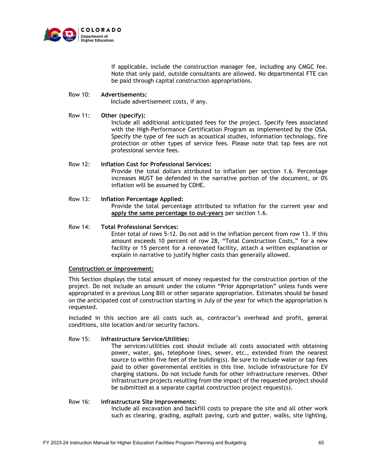

If applicable, include the construction manager fee, including any CMGC fee. Note that only paid, outside consultants are allowed. No departmental FTE can be paid through capital construction appropriations.

## Row 10: **Advertisements:**

Include advertisement costs, if any.

## Row 11: **Other (specify):**

Include all additional anticipated fees for the project. Specify fees associated with the High-Performance Certification Program as implemented by the OSA. Specify the type of fee such as acoustical studies, information technology, fire protection or other types of service fees. Please note that tap fees are not professional service fees.

## Row 12: **Inflation Cost for Professional Services:**

Provide the total dollars attributed to inflation per section 1.6. Percentage increases MUST be defended in the narrative portion of the document, or 0% inflation will be assumed by CDHE.

#### Row 13: **Inflation Percentage Applied:** Provide the total percentage attributed to inflation for the current year and **apply the same percentage to out-years** per section 1.6.

## Row 14: **Total Professional Services:**

Enter total of rows 5-12. Do not add in the inflation percent from row 13. If this amount exceeds 10 percent of row 28, "Total Construction Costs," for a new facility or 15 percent for a renovated facility, attach a written explanation or explain in narrative to justify higher costs than generally allowed.

## **Construction or Improvement:**

This Section displays the total amount of money requested for the construction portion of the project. Do not include an amount under the column "Prior Appropriation" unless funds were appropriated in a previous Long Bill or other separate appropriation. Estimates should be based on the anticipated cost of construction starting in July of the year for which the appropriation is requested.

Included in this section are all costs such as, contractor's overhead and profit, general conditions, site location and/or security factors.

## Row 15: **Infrastructure Service/Utilities:**

The services/utilities cost should include all costs associated with obtaining power, water, gas, telephone lines, sewer, etc., extended from the nearest source to within five feet of the building(s). Be sure to include water or tap fees paid to other governmental entities in this line. Include infrastructure for EV charging stations. Do not include funds for other infrastructure reserves. Other infrastructure projects resulting from the impact of the requested project should be submitted as a separate capital construction project request(s).

## Row 16: **Infrastructure Site Improvements:**

Include all excavation and backfill costs to prepare the site and all other work such as clearing, grading, asphalt paving, curb and gutter, walks, site lighting,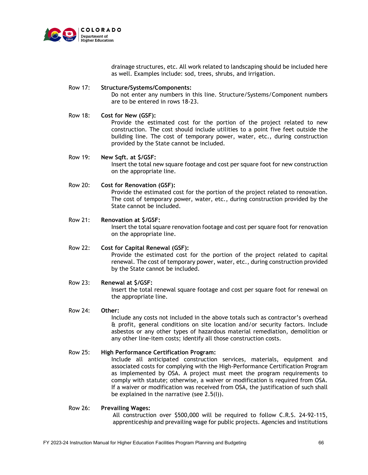

drainage structures, etc. All work related to landscaping should be included here as well. Examples include: sod, trees, shrubs, and irrigation.

## Row 17: **Structure/Systems/Components:**

Do not enter any numbers in this line. Structure/Systems/Component numbers are to be entered in rows 18-23.

## Row 18: **Cost for New (GSF):**

Provide the estimated cost for the portion of the project related to new construction. The cost should include utilities to a point five feet outside the building line. The cost of temporary power, water, etc., during construction provided by the State cannot be included.

Row 19: **New Sqft. at \$/GSF:** Insert the total new square footage and cost per square foot for new construction on the appropriate line.

## Row 20: **Cost for Renovation (GSF):**

Provide the estimated cost for the portion of the project related to renovation. The cost of temporary power, water, etc., during construction provided by the State cannot be included.

#### Row 21: **Renovation at \$/GSF:** Insert the total square renovation footage and cost per square foot for renovation on the appropriate line.

Row 22: **Cost for Capital Renewal (GSF):** Provide the estimated cost for the portion of the project related to capital renewal. The cost of temporary power, water, etc., during construction provided by the State cannot be included.

## Row 23: **Renewal at \$/GSF:** Insert the total renewal square footage and cost per square foot for renewal on the appropriate line.

## Row 24: **Other:**

Include any costs not included in the above totals such as contractor's overhead & profit, general conditions on site location and/or security factors. Include asbestos or any other types of hazardous material remediation, demolition or any other line-item costs; identify all those construction costs.

## Row 25: **High Performance Certification Program:**

Include all anticipated construction services, materials, equipment and associated costs for complying with the High-Performance Certification Program as implemented by OSA. A project must meet the program requirements to comply with statute; otherwise, a waiver or modification is required from OSA. If a waiver or modification was received from OSA, the justification of such shall be explained in the narrative (see 2.5(I)).

#### Row 26: **Prevailing Wages:**

All construction over \$500,000 will be required to follow C.R.S. 24-92-115, apprenticeship and prevailing wage for public projects. Agencies and institutions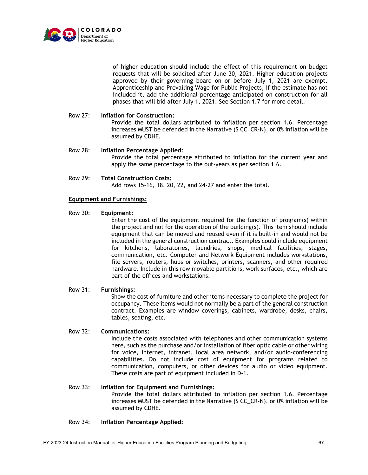

of higher education should include the effect of this requirement on budget requests that will be solicited after June 30, 2021. Higher education projects approved by their governing board on or before July 1, 2021 are exempt. Apprenticeship and Prevailing Wage for Public Projects, if the estimate has not included it, add the additional percentage anticipated on construction for all phases that will bid after July 1, 2021. See Section 1.7 for more detail.

#### Row 27: **Inflation for Construction:**

Provide the total dollars attributed to inflation per section 1.6. Percentage increases MUST be defended in the Narrative (S CC\_CR-N), or 0% inflation will be assumed by CDHE.

## Row 28: **Inflation Percentage Applied:**

Provide the total percentage attributed to inflation for the current year and apply the same percentage to the out-years as per section 1.6.

Row 29: **Total Construction Costs:** Add rows 15-16, 18, 20, 22, and 24-27 and enter the total.

## **Equipment and Furnishings:**

Row 30: **Equipment:**

Enter the cost of the equipment required for the function of program(s) within the project and not for the operation of the building(s). This item should include equipment that can be moved and reused even if it is built-in and would not be included in the general construction contract. Examples could include equipment for kitchens, laboratories, laundries, shops, medical facilities, stages, communication, etc. Computer and Network Equipment includes workstations, file servers, routers, hubs or switches, printers, scanners, and other required hardware. Include in this row movable partitions, work surfaces, etc., which are part of the offices and workstations.

## Row 31: **Furnishings:**

Show the cost of furniture and other items necessary to complete the project for occupancy. These items would not normally be a part of the general construction contract. Examples are window coverings, cabinets, wardrobe, desks, chairs, tables, seating, etc.

## Row 32: **Communications:**

Include the costs associated with telephones and other communication systems here, such as the purchase and/or installation of fiber optic cable or other wiring for voice, Internet, intranet, local area network, and/or audio-conferencing capabilities. Do not include cost of equipment for programs related to communication, computers, or other devices for audio or video equipment. These costs are part of equipment included in D-1.

## Row 33: **Inflation for Equipment and Furnishings:**

Provide the total dollars attributed to inflation per section 1.6. Percentage increases MUST be defended in the Narrative (S CC\_CR-N), or 0% inflation will be assumed by CDHE.

## Row 34: **Inflation Percentage Applied:**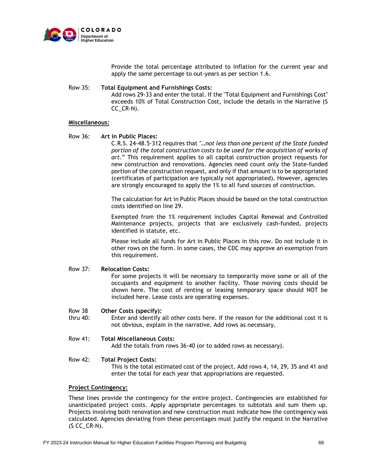

Provide the total percentage attributed to inflation for the current year and apply the same percentage to out-years as per section 1.6.

## Row 35: **Total Equipment and Furnishings Costs:**

Add rows 29-33 and enter the total. If the "Total Equipment and Furnishings Cost" exceeds 10% of Total Construction Cost, include the details in the Narrative (S CC\_CR-N).

## **Miscellaneous:**

Row 36: **Art in Public Places:**

C.R.S. 24-48.5-312 requires that *"…not less than one percent of the State funded portion of the total construction costs to be used for the acquisition of works of art*." This requirement applies to all capital construction project requests for new construction and renovations. Agencies need count only the State-funded portion of the construction request, and only if that amount is to be appropriated (certificates of participation are typically not appropriated). However, agencies are strongly encouraged to apply the 1% to all fund sources of construction.

The calculation for Art in Public Places should be based on the total construction costs identified on line 29.

Exempted from the 1% requirement includes Capital Renewal and Controlled Maintenance projects, projects that are exclusively cash-funded, projects identified in statute, etc.

Please include all funds for Art in Public Places in this row. Do not include it in other rows on the form. In some cases, the CDC may approve an exemption from this requirement.

## Row 37: **Relocation Costs:**

For some projects it will be necessary to temporarily move some or all of the occupants and equipment to another facility. Those moving costs should be shown here. The cost of renting or leasing temporary space should NOT be included here. Lease costs are operating expenses.

#### Row 38 **Other Costs (specify):**

thru 40: Enter and identify all other costs here. If the reason for the additional cost it is not obvious, explain in the narrative. Add rows as necessary.

## Row 41: **Total Miscellaneous Costs:**

Add the totals from rows 36-40 (or to added rows as necessary).

## Row 42: **Total Project Costs:**

This is the total estimated cost of the project. Add rows 4, 14, 29, 35 and 41 and enter the total for each year that appropriations are requested.

## **Project Contingency:**

These lines provide the contingency for the entire project. Contingencies are established for unanticipated project costs. Apply appropriate percentages to subtotals and sum them up. Projects involving both renovation and new construction must indicate how the contingency was calculated. Agencies deviating from these percentages must justify the request in the Narrative  $($ S CC $_C$ CR-N $).$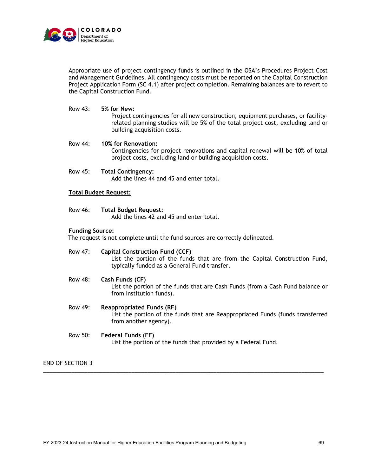

Appropriate use of project contingency funds is outlined in the OSA's Procedures Project Cost and Management Guidelines. All contingency costs must be reported on the Capital Construction Project Application Form (SC 4.1) after project completion. Remaining balances are to revert to the Capital Construction Fund.

Row 43: **5% for New:**

Project contingencies for all new construction, equipment purchases, or facilityrelated planning studies will be 5% of the total project cost, excluding land or building acquisition costs.

Row 44: **10% for Renovation:** Contingencies for project renovations and capital renewal will be 10% of total project costs, excluding land or building acquisition costs.

Row 45: **Total Contingency:** Add the lines 44 and 45 and enter total.

## **Total Budget Request:**

## Row 46: **Total Budget Request:**

Add the lines 42 and 45 and enter total.

## **Funding Source:**

The request is not complete until the fund sources are correctly delineated.

## Row 47: **Capital Construction Fund (CCF)**

List the portion of the funds that are from the Capital Construction Fund, typically funded as a General Fund transfer.

## Row 48: **Cash Funds (CF)**

List the portion of the funds that are Cash Funds (from a Cash Fund balance or from Institution funds).

Row 49: **Reappropriated Funds (RF)**

List the portion of the funds that are Reappropriated Funds (funds transferred from another agency).

# Row 50: **Federal Funds (FF)**

List the portion of the funds that provided by a Federal Fund.

\_\_\_\_\_\_\_\_\_\_\_\_\_\_\_\_\_\_\_\_\_\_\_\_\_\_\_\_\_\_\_\_\_\_\_\_\_\_\_\_\_\_\_\_\_\_\_\_\_\_\_\_\_\_\_\_\_\_\_\_\_\_\_\_\_\_\_\_\_\_\_\_\_\_\_\_\_\_\_\_\_\_\_\_\_\_\_\_\_

END OF SECTION 3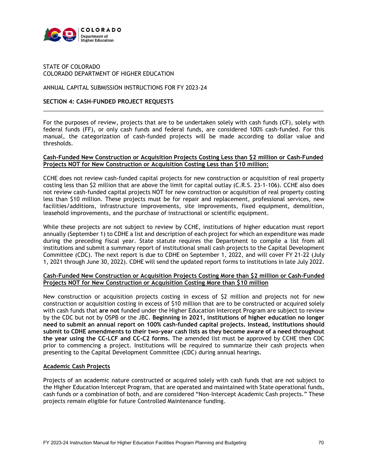

## STATE OF COLORADO COLORADO DEPARTMENT OF HIGHER EDUCATION

## ANNUAL CAPITAL SUBMISSION INSTRUCTIONS FOR FY 2023-24

## **SECTION 4: CASH-FUNDED PROJECT REQUESTS**

For the purposes of review, projects that are to be undertaken solely with cash funds (CF), solely with federal funds (FF), or only cash funds and federal funds, are considered 100% cash-funded. For this manual, the categorization of cash-funded projects will be made according to dollar value and thresholds.

\_\_\_\_\_\_\_\_\_\_\_\_\_\_\_\_\_\_\_\_\_\_\_\_\_\_\_\_\_\_\_\_\_\_\_\_\_\_\_\_\_\_\_\_\_\_\_\_\_\_\_\_\_\_\_\_\_\_\_\_\_\_\_\_\_\_\_\_\_\_\_\_\_\_\_\_\_\_\_\_\_\_\_\_\_\_\_\_\_

## **Cash-Funded New Construction or Acquisition Projects Costing Less than \$2 million or Cash-Funded Projects NOT for New Construction or Acquisition Costing Less than \$10 million:**

CCHE does not review cash-funded capital projects for new construction or acquisition of real property costing less than \$2 million that are above the limit for capital outlay (C.R.S. 23-1-106). CCHE also does not review cash-funded capital projects NOT for new construction or acquisition of real property costing less than \$10 million. These projects must be for repair and replacement, professional services, new facilities/additions, infrastructure improvements, site improvements, fixed equipment, demolition, leasehold improvements, and the purchase of instructional or scientific equipment.

While these projects are not subject to review by CCHE, institutions of higher education must report annually (September 1) to CDHE a list and description of each project for which an expenditure was made during the preceding fiscal year. State statute requires the Department to compile a list from all institutions and submit a summary report of institutional small cash projects to the Capital Development Committee (CDC). The next report is due to CDHE on September 1, 2022, and will cover FY 21-22 (July 1, 2021 through June 30, 2022). CDHE will send the updated report forms to institutions in late July 2022.

## **Cash-Funded New Construction or Acquisition Projects Costing More than \$2 million or Cash-Funded Projects NOT for New Construction or Acquisition Costing More than \$10 million**

New construction or acquisition projects costing in excess of \$2 million and projects not for new construction or acquisition costing in excess of \$10 million that are to be constructed or acquired solely with cash funds that **are not** funded under the Higher Education Intercept Program are subject to review by the CDC but not by OSPB or the JBC. **Beginning in 2021, institutions of higher education no longer need to submit an annual report on 100% cash-funded capital projects. Instead, institutions should submit to CDHE amendments to their two-year cash lists as they become aware of a need throughout the year using the CC-LCF and CC-C2 forms.** The amended list must be approved by CCHE then CDC prior to commencing a project. Institutions will be required to summarize their cash projects when presenting to the Capital Development Committee (CDC) during annual hearings.

## **Academic Cash Projects**

Projects of an academic nature constructed or acquired solely with cash funds that are not subject to the Higher Education Intercept Program, that are operated and maintained with State operational funds, cash funds or a combination of both, and are considered "Non-Intercept Academic Cash projects." These projects remain eligible for future Controlled Maintenance funding.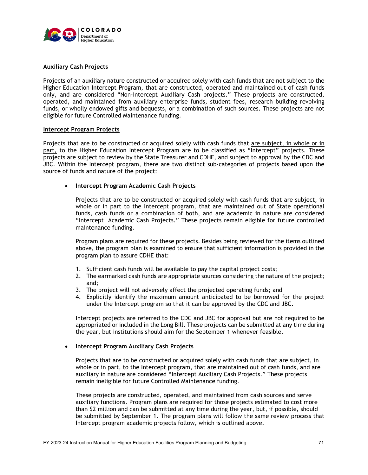

## **Auxiliary Cash Projects**

Projects of an auxiliary nature constructed or acquired solely with cash funds that are not subject to the Higher Education Intercept Program, that are constructed, operated and maintained out of cash funds only, and are considered "Non-Intercept Auxiliary Cash projects." These projects are constructed, operated, and maintained from auxiliary enterprise funds, student fees, research building revolving funds, or wholly endowed gifts and bequests, or a combination of such sources. These projects are not eligible for future Controlled Maintenance funding.

## **Intercept Program Projects**

Projects that are to be constructed or acquired solely with cash funds that are subject, in whole or in part, to the Higher Education Intercept Program are to be classified as "Intercept" projects. These projects are subject to review by the State Treasurer and CDHE, and subject to approval by the CDC and JBC. Within the Intercept program, there are two distinct sub-categories of projects based upon the source of funds and nature of the project:

## • **Intercept Program Academic Cash Projects**

Projects that are to be constructed or acquired solely with cash funds that are subject, in whole or in part to the Intercept program, that are maintained out of State operational funds, cash funds or a combination of both, and are academic in nature are considered "Intercept Academic Cash Projects." These projects remain eligible for future controlled maintenance funding.

Program plans are required for these projects. Besides being reviewed for the items outlined above, the program plan is examined to ensure that sufficient information is provided in the program plan to assure CDHE that:

- 1. Sufficient cash funds will be available to pay the capital project costs;
- 2. The earmarked cash funds are appropriate sources considering the nature of the project; and;
- 3. The project will not adversely affect the projected operating funds; and
- 4. Explicitly identify the maximum amount anticipated to be borrowed for the project under the Intercept program so that it can be approved by the CDC and JBC.

Intercept projects are referred to the CDC and JBC for approval but are not required to be appropriated or included in the Long Bill. These projects can be submitted at any time during the year, but institutions should aim for the September 1 whenever feasible.

## • **Intercept Program Auxiliary Cash Projects**

 Projects that are to be constructed or acquired solely with cash funds that are subject, in whole or in part, to the Intercept program, that are maintained out of cash funds, and are auxiliary in nature are considered "Intercept Auxiliary Cash Projects." These projects remain ineligible for future Controlled Maintenance funding.

 These projects are constructed, operated, and maintained from cash sources and serve auxiliary functions. Program plans are required for those projects estimated to cost more than \$2 million and can be submitted at any time during the year, but, if possible, should be submitted by September 1. The program plans will follow the same review process that Intercept program academic projects follow, which is outlined above.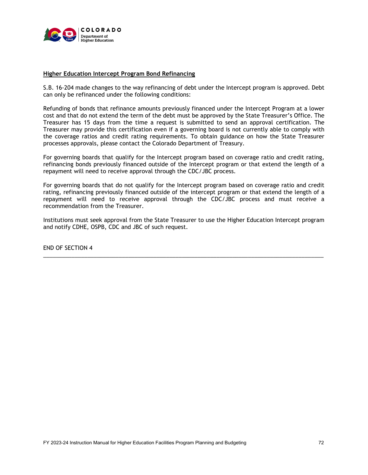

## **Higher Education Intercept Program Bond Refinancing**

S.B. 16-204 made changes to the way refinancing of debt under the Intercept program is approved. Debt can only be refinanced under the following conditions:

Refunding of bonds that refinance amounts previously financed under the Intercept Program at a lower cost and that do not extend the term of the debt must be approved by the State Treasurer's Office. The Treasurer has 15 days from the time a request is submitted to send an approval certification. The Treasurer may provide this certification even if a governing board is not currently able to comply with the coverage ratios and credit rating requirements. To obtain guidance on how the State Treasurer processes approvals, please contact the Colorado Department of Treasury.

For governing boards that qualify for the Intercept program based on coverage ratio and credit rating, refinancing bonds previously financed outside of the Intercept program or that extend the length of a repayment will need to receive approval through the CDC/JBC process.

For governing boards that do not qualify for the Intercept program based on coverage ratio and credit rating, refinancing previously financed outside of the intercept program or that extend the length of a repayment will need to receive approval through the CDC/JBC process and must receive a recommendation from the Treasurer.

Institutions must seek approval from the State Treasurer to use the Higher Education Intercept program and notify CDHE, OSPB, CDC and JBC of such request.

\_\_\_\_\_\_\_\_\_\_\_\_\_\_\_\_\_\_\_\_\_\_\_\_\_\_\_\_\_\_\_\_\_\_\_\_\_\_\_\_\_\_\_\_\_\_\_\_\_\_\_\_\_\_\_\_\_\_\_\_\_\_\_\_\_\_\_\_\_\_\_\_\_\_\_\_\_\_\_\_\_\_\_\_\_\_\_\_\_

END OF SECTION 4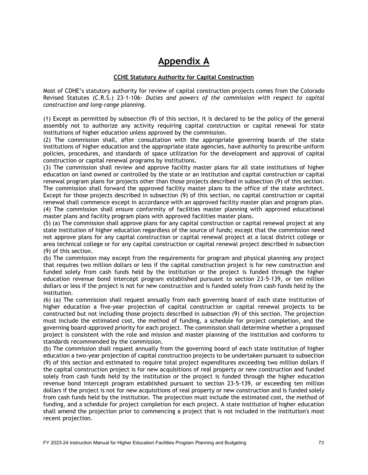## **Appendix A**

#### **CCHE Statutory Authority for Capital Construction**

Most of CDHE's statutory authority for review of capital construction projects comes from the Colorado Revised Statutes (C.R.S.) 23-1-106- *Duties and powers of the commission with respect to capital construction and long-range planning.* 

(1) Except as permitted by subsection (9) of this section, it is declared to be the policy of the general assembly not to authorize any activity requiring capital construction or capital renewal for state institutions of higher education unless approved by the commission.

(2) The commission shall, after consultation with the appropriate governing boards of the state institutions of higher education and the appropriate state agencies, have authority to prescribe uniform policies, procedures, and standards of space utilization for the development and approval of capital construction or capital renewal programs by institutions.

(3) The commission shall review and approve facility master plans for all state institutions of higher education on land owned or controlled by the state or an institution and capital construction or capital renewal program plans for projects other than those projects described in subsection (9) of this section. The commission shall forward the approved facility master plans to the office of the state architect. Except for those projects described in subsection (9) of this section, no capital construction or capital renewal shall commence except in accordance with an approved facility master plan and program plan. (4) The commission shall ensure conformity of facilities master planning with approved educational master plans and facility program plans with approved facilities master plans.

(5) (a) The commission shall approve plans for any capital construction or capital renewal project at any state institution of higher education regardless of the source of funds; except that the commission need not approve plans for any capital construction or capital renewal project at a local district college or area technical college or for any capital construction or capital renewal project described in subsection (9) of this section.

(b) The commission may except from the requirements for program and physical planning any project that requires two million dollars or less if the capital construction project is for new construction and funded solely from cash funds held by the institution or the project is funded through the higher education revenue bond intercept program established pursuant to section 23-5-139, or ten million dollars or less if the project is not for new construction and is funded solely from cash funds held by the institution.

(6) (a) The commission shall request annually from each governing board of each state institution of higher education a five-year projection of capital construction or capital renewal projects to be constructed but not including those projects described in subsection (9) of this section. The projection must include the estimated cost, the method of funding, a schedule for project completion, and the governing board-approved priority for each project. The commission shall determine whether a proposed project is consistent with the role and mission and master planning of the institution and conforms to standards recommended by the commission.

(b) The commission shall request annually from the governing board of each state institution of higher education a two-year projection of capital construction projects to be undertaken pursuant to subsection (9) of this section and estimated to require total project expenditures exceeding two million dollars if the capital construction project is for new acquisitions of real property or new construction and funded solely from cash funds held by the institution or the project is funded through the higher education revenue bond intercept program established pursuant to section 23-5-139, or exceeding ten million dollars if the project is not for new acquisitions of real property or new construction and is funded solely from cash funds held by the institution. The projection must include the estimated cost, the method of funding, and a schedule for project completion for each project. A state institution of higher education shall amend the projection prior to commencing a project that is not included in the institution's most recent projection.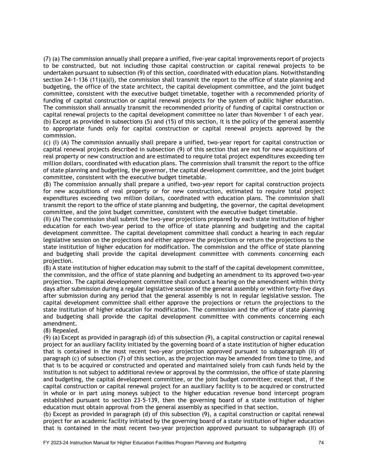(7) (a) The commission annually shall prepare a unified, five-year capital improvements report of projects to be constructed, but not including those capital construction or capital renewal projects to be undertaken pursuant to subsection (9) of this section, coordinated with education plans. Notwithstanding section 24-1-136 (11)(a)(I), the commission shall transmit the report to the office of state planning and budgeting, the office of the state architect, the capital development committee, and the joint budget committee, consistent with the executive budget timetable, together with a recommended priority of funding of capital construction or capital renewal projects for the system of public higher education. The commission shall annually transmit the recommended priority of funding of capital construction or capital renewal projects to the capital development committee no later than November 1 of each year. (b) Except as provided in subsections (5) and (15) of this section, it is the policy of the general assembly to appropriate funds only for capital construction or capital renewal projects approved by the commission.

(c) (I) (A) The commission annually shall prepare a unified, two-year report for capital construction or capital renewal projects described in subsection (9) of this section that are not for new acquisitions of real property or new construction and are estimated to require total project expenditures exceeding ten million dollars, coordinated with education plans. The commission shall transmit the report to the office of state planning and budgeting, the governor, the capital development committee, and the joint budget committee, consistent with the executive budget timetable.

(B) The commission annually shall prepare a unified, two-year report for capital construction projects for new acquisitions of real property or for new construction, estimated to require total project expenditures exceeding two million dollars, coordinated with education plans. The commission shall transmit the report to the office of state planning and budgeting, the governor, the capital development committee, and the joint budget committee, consistent with the executive budget timetable.

(II) (A) The commission shall submit the two-year projections prepared by each state institution of higher education for each two-year period to the office of state planning and budgeting and the capital development committee. The capital development committee shall conduct a hearing in each regular legislative session on the projections and either approve the projections or return the projections to the state institution of higher education for modification. The commission and the office of state planning and budgeting shall provide the capital development committee with comments concerning each projection.

(B) A state institution of higher education may submit to the staff of the capital development committee, the commission, and the office of state planning and budgeting an amendment to its approved two-year projection. The capital development committee shall conduct a hearing on the amendment within thirty days after submission during a regular legislative session of the general assembly or within forty-five days after submission during any period that the general assembly is not in regular legislative session. The capital development committee shall either approve the projections or return the projections to the state institution of higher education for modification. The commission and the office of state planning and budgeting shall provide the capital development committee with comments concerning each amendment.

(8) Repealed.

(9) (a) Except as provided in paragraph (d) of this subsection (9), a capital construction or capital renewal project for an auxiliary facility initiated by the governing board of a state institution of higher education that is contained in the most recent two-year projection approved pursuant to subparagraph (II) of paragraph (c) of subsection (7) of this section, as the projection may be amended from time to time, and that is to be acquired or constructed and operated and maintained solely from cash funds held by the institution is not subject to additional review or approval by the commission, the office of state planning and budgeting, the capital development committee, or the joint budget committee; except that, if the capital construction or capital renewal project for an auxiliary facility is to be acquired or constructed in whole or in part using moneys subject to the higher education revenue bond intercept program established pursuant to section 23-5-139, then the governing board of a state institution of higher education must obtain approval from the general assembly as specified in that section.

(b) Except as provided in paragraph (d) of this subsection (9), a capital construction or capital renewal project for an academic facility initiated by the governing board of a state institution of higher education that is contained in the most recent two-year projection approved pursuant to subparagraph (II) of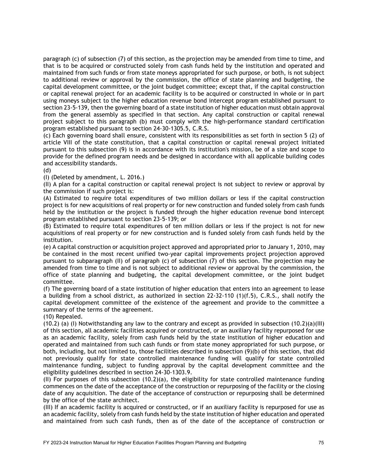paragraph (c) of subsection (7) of this section, as the projection may be amended from time to time, and that is to be acquired or constructed solely from cash funds held by the institution and operated and maintained from such funds or from state moneys appropriated for such purpose, or both, is not subject to additional review or approval by the commission, the office of state planning and budgeting, the capital development committee, or the joint budget committee; except that, if the capital construction or capital renewal project for an academic facility is to be acquired or constructed in whole or in part using moneys subject to the higher education revenue bond intercept program established pursuant to section 23-5-139, then the governing board of a state institution of higher education must obtain approval from the general assembly as specified in that section. Any capital construction or capital renewal project subject to this paragraph (b) must comply with the high-performance standard certification program established pursuant to section 24-30-1305.5, C.R.S.

(c) Each governing board shall ensure, consistent with its responsibilities as set forth in section 5 (2) of article VIII of the state constitution, that a capital construction or capital renewal project initiated pursuant to this subsection (9) is in accordance with its institution's mission, be of a size and scope to provide for the defined program needs and be designed in accordance with all applicable building codes and accessibility standards.

(d)

(I) (Deleted by amendment, L. 2016.)

(II) A plan for a capital construction or capital renewal project is not subject to review or approval by the commission if such project is:

(A) Estimated to require total expenditures of two million dollars or less if the capital construction project is for new acquisitions of real property or for new construction and funded solely from cash funds held by the institution or the project is funded through the higher education revenue bond intercept program established pursuant to section 23-5-139; or

(B) Estimated to require total expenditures of ten million dollars or less if the project is not for new acquisitions of real property or for new construction and is funded solely from cash funds held by the institution.

(e) A capital construction or acquisition project approved and appropriated prior to January 1, 2010, may be contained in the most recent unified two-year capital improvements project projection approved pursuant to subparagraph (II) of paragraph (c) of subsection (7) of this section. The projection may be amended from time to time and is not subject to additional review or approval by the commission, the office of state planning and budgeting, the capital development committee, or the joint budget committee.

(f) The governing board of a state institution of higher education that enters into an agreement to lease a building from a school district, as authorized in section 22-32-110 (1)(f.5), C.R.S., shall notify the capital development committee of the existence of the agreement and provide to the committee a summary of the terms of the agreement.

(10) Repealed.

 $(10.2)$  (a) (I) Notwithstanding any law to the contrary and except as provided in subsection  $(10.2)(a)(III)$ of this section, all academic facilities acquired or constructed, or an auxiliary facility repurposed for use as an academic facility, solely from cash funds held by the state institution of higher education and operated and maintained from such cash funds or from state money appropriated for such purpose, or both, including, but not limited to, those facilities described in subsection (9)(b) of this section, that did not previously qualify for state controlled maintenance funding will qualify for state controlled maintenance funding, subject to funding approval by the capital development committee and the eligibility guidelines described in section 24-30-1303.9.

(II) For purposes of this subsection (10.2)(a), the eligibility for state controlled maintenance funding commences on the date of the acceptance of the construction or repurposing of the facility or the closing date of any acquisition. The date of the acceptance of construction or repurposing shall be determined by the office of the state architect.

(III) If an academic facility is acquired or constructed, or if an auxiliary facility is repurposed for use as an academic facility, solely from cash funds held by the state institution of higher education and operated and maintained from such cash funds, then as of the date of the acceptance of construction or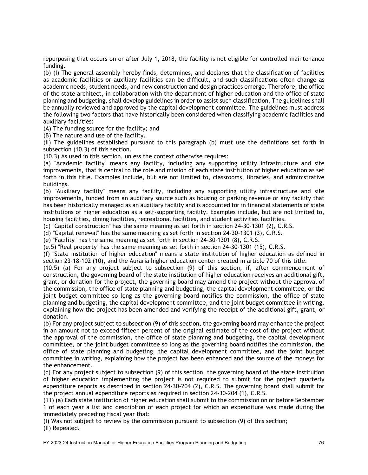repurposing that occurs on or after July 1, 2018, the facility is not eligible for controlled maintenance funding.

(b) (I) The general assembly hereby finds, determines, and declares that the classification of facilities as academic facilities or auxiliary facilities can be difficult, and such classifications often change as academic needs, student needs, and new construction and design practices emerge. Therefore, the office of the state architect, in collaboration with the department of higher education and the office of state planning and budgeting, shall develop guidelines in order to assist such classification. The guidelines shall be annually reviewed and approved by the capital development committee. The guidelines must address the following two factors that have historically been considered when classifying academic facilities and auxiliary facilities:

(A) The funding source for the facility; and

(B) The nature and use of the facility.

(II) The guidelines established pursuant to this paragraph (b) must use the definitions set forth in subsection (10.3) of this section.

(10.3) As used in this section, unless the context otherwise requires:

(a) "Academic facility" means any facility, including any supporting utility infrastructure and site improvements, that is central to the role and mission of each state institution of higher education as set forth in this title. Examples include, but are not limited to, classrooms, libraries, and administrative buildings.

(b) "Auxiliary facility" means any facility, including any supporting utility infrastructure and site improvements, funded from an auxiliary source such as housing or parking revenue or any facility that has been historically managed as an auxiliary facility and is accounted for in financial statements of state institutions of higher education as a self-supporting facility. Examples include, but are not limited to, housing facilities, dining facilities, recreational facilities, and student activities facilities.

(c) "Capital construction" has the same meaning as set forth in section 24-30-1301 (2), C.R.S.

(d) "Capital renewal" has the same meaning as set forth in section 24-30-1301 (3), C.R.S.

(e) "Facility" has the same meaning as set forth in section 24-30-1301 (8), C.R.S.

(e.5) "Real property" has the same meaning as set forth in section 24-30-1301 (15), C.R.S.

(f) "State institution of higher education" means a state institution of higher education as defined in section 23-18-102 (10), and the Auraria higher education center created in article 70 of this title.

(10.5) (a) For any project subject to subsection (9) of this section, if, after commencement of construction, the governing board of the state institution of higher education receives an additional gift, grant, or donation for the project, the governing board may amend the project without the approval of the commission, the office of state planning and budgeting, the capital development committee, or the joint budget committee so long as the governing board notifies the commission, the office of state planning and budgeting, the capital development committee, and the joint budget committee in writing, explaining how the project has been amended and verifying the receipt of the additional gift, grant, or donation.

(b) For any project subject to subsection (9) of this section, the governing board may enhance the project in an amount not to exceed fifteen percent of the original estimate of the cost of the project without the approval of the commission, the office of state planning and budgeting, the capital development committee, or the joint budget committee so long as the governing board notifies the commission, the office of state planning and budgeting, the capital development committee, and the joint budget committee in writing, explaining how the project has been enhanced and the source of the moneys for the enhancement.

(c) For any project subject to subsection (9) of this section, the governing board of the state institution of higher education implementing the project is not required to submit for the project quarterly expenditure reports as described in section 24-30-204 (2), C.R.S. The governing board shall submit for the project annual expenditure reports as required in section 24-30-204 (1), C.R.S.

(11) (a) Each state institution of higher education shall submit to the commission on or before September 1 of each year a list and description of each project for which an expenditure was made during the immediately preceding fiscal year that:

(I) Was not subject to review by the commission pursuant to subsection (9) of this section; (II) Repealed.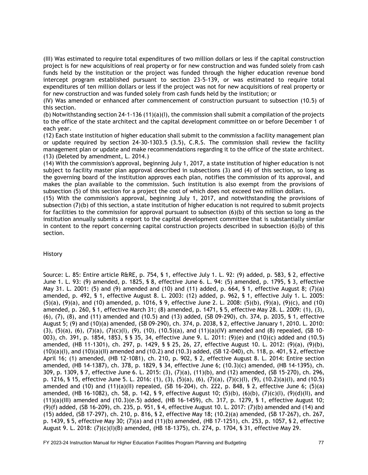(III) Was estimated to require total expenditures of two million dollars or less if the capital construction project is for new acquisitions of real property or for new construction and was funded solely from cash funds held by the institution or the project was funded through the higher education revenue bond intercept program established pursuant to section 23-5-139, or was estimated to require total expenditures of ten million dollars or less if the project was not for new acquisitions of real property or for new construction and was funded solely from cash funds held by the institution; or

(IV) Was amended or enhanced after commencement of construction pursuant to subsection (10.5) of this section.

(b) Notwithstanding section 24-1-136 (11)(a)(I), the commission shall submit a compilation of the projects to the office of the state architect and the capital development committee on or before December 1 of each year.

(12) Each state institution of higher education shall submit to the commission a facility management plan or update required by section 24-30-1303.5 (3.5), C.R.S. The commission shall review the facility management plan or update and make recommendations regarding it to the office of the state architect. (13) (Deleted by amendment, L. 2014.)

(14) With the commission's approval, beginning July 1, 2017, a state institution of higher education is not subject to facility master plan approval described in subsections (3) and (4) of this section, so long as the governing board of the institution approves each plan, notifies the commission of its approval, and makes the plan available to the commission. Such institution is also exempt from the provisions of subsection (5) of this section for a project the cost of which does not exceed two million dollars.

(15) With the commission's approval, beginning July 1, 2017, and notwithstanding the provisions of subsection (7)(b) of this section, a state institution of higher education is not required to submit projects for facilities to the commission for approval pursuant to subsection (6)(b) of this section so long as the institution annually submits a report to the capital development committee that is substantially similar in content to the report concerning capital construction projects described in subsection (6)(b) of this section.

#### History

Source: L. 85: Entire article R&RE, p. 754, § 1, effective July 1. L. 92: (9) added, p. 583, § 2, effective June 1. L. 93: (9) amended, p. 1825, § 8, effective June 6. L. 94: (5) amended, p. 1795, § 3, effective May 31. L. 2001: (5) and (9) amended and (10) and (11) added, p. 664, § 1, effective August 8; (7)(a) amended, p. 492, § 1, effective August 8. L. 2003: (12) added, p. 962, § 1, effective July 1. L. 2005: (5)(a), (9)(a), and (10) amended, p. 1016, § 9, effective June 2. L. 2008: (5)(b), (9)(a), (9)(c), and (10) amended, p. 260, § 1, effective March 31; (8) amended, p. 1471, § 5, effective May 28. L. 2009: (1), (3), (6), (7), (8), and (11) amended and (10.5) and (13) added, (SB 09-290), ch. 374, p. 2035, § 1, effective August 5; (9) and (10)(a) amended, (SB 09-290), ch. 374, p. 2038, § 2, effective January 1, 2010. L. 2010: (3), (5)(a), (6), (7)(a), (7)(c)(l), (9), (10), (10.5)(a), and (11)(a)(IV) amended and (8) repealed, (SB 10-003), ch. 391, p. 1854, 1853, § § 35, 34, effective June 9. L. 2011: (9)(e) and (10)(c) added and (10.5) amended, (HB 11-1301), ch. 297, p. 1429, § § 25, 26, 27, effective August 10. L. 2012: (9)(a), (9)(b), (10)(a)(I), and (10)(a)(II) amended and (10.2) and (10.3) added, (SB 12-040), ch. 118, p. 401, § 2, effective April 16; (1) amended, (HB 12-1081), ch. 210, p. 902, § 2, effective August 8. L. 2014: Entire section amended, (HB 14-1387), ch. 378, p. 1829, § 34, effective June 6; (10.3)(c) amended, (HB 14-1395), ch. 309, p. 1309, § 7, effective June 6. L. 2015: (3), (7)(a), (11)(b), and (12) amended, (SB 15-270), ch. 296, p. 1216, § 15, effective June 5. L. 2016: (1), (3), (5)(a), (6), (7)(a), (7)(c)(I), (9), (10.2)(a)(I), and (10.5) amended and  $(10)$  and  $(11)(a)(11)$  repealed,  $(SB 16-204)$ , ch. 222, p. 848, § 2, effective June 6;  $(5)(a)$ amended, (HB 16-1082), ch. 58, p. 142, § 9, effective August 10; (5)(b), (6)(b), (7)(c)(I), (9)(d)(II), and (11)(a)(III) amended and (10.3)(e.5) added, (HB 16-1459), ch. 317, p. 1279, § 1, effective August 10; (9)(f) added, (SB 16-209), ch. 235, p. 951, § 4, effective August 10. L. 2017: (7)(b) amended and (14) and (15) added, (SB 17-297), ch. 210, p. 816, § 2, effective May 18; (10.2)(a) amended, (SB 17-267), ch. 267, p. 1439, § 5, effective May 30; (7)(a) and (11)(b) amended, (HB 17-1251), ch. 253, p. 1057, § 2, effective August 9. L. 2018: (7)(c)(I)(B) amended, (HB 18-1375), ch. 274, p. 1704, § 31, effective May 29.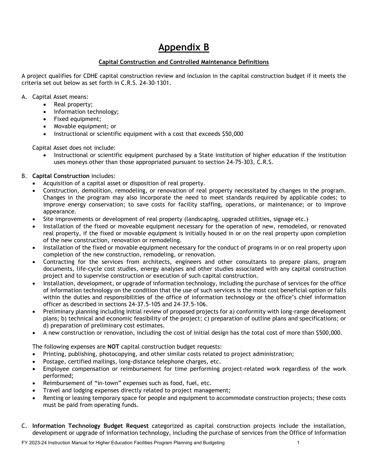# **Appendix B**

#### **Capital Construction and Controlled Maintenance Definitions**

A project qualifies for CDHE capital construction review and inclusion in the capital construction budget if it meets the criteria set out below as set forth in C.R.S. 24-30-1301.

- A. Capital Asset means:
	- Real property;
	- Information technology;
	- Fixed equipment;
	- Movable equipment; or
	- Instructional or scientific equipment with a cost that exceeds \$50,000

Capital Asset does not include:

• Instructional or scientific equipment purchased by a State institution of higher education if the institution uses moneys other than those appropriated pursuant to section 24-75-303, C.R.S.

#### B. **Capital Construction** includes:

- Acquisition of a capital asset or disposition of real property.
- Construction, demolition, remodeling, or renovation of real property necessitated by changes in the program. Changes in the program may also incorporate the need to meet standards required by applicable codes; to improve energy conservation; to save costs for facility staffing, operations, or maintenance; or to improve appearance.
- Site improvements or development of real property (landscaping, upgraded utilities, signage etc.)
- Installation of the fixed or moveable equipment necessary for the operation of new, remodeled, or renovated real property, if the fixed or movable equipment is initially housed in or on the real property upon completion of the new construction, renovation or remodeling.
- Installation of the fixed or movable equipment necessary for the conduct of programs in or on real property upon completion of the new construction, remodeling, or renovation.
- Contracting for the services from architects, engineers and other consultants to prepare plans, program documents, life-cycle cost studies, energy analyses and other studies associated with any capital construction project and to supervise construction or execution of such capital construction.
- Installation, development, or upgrade of information technology, including the purchase of services for the office of information technology on the condition that the use of such services is the most cost beneficial option or falls within the duties and responsibilities of the office of information technology or the office's chief information officer as described in sections 24-37.5-105 and 24-37.5-106.
- Preliminary planning including initial review of proposed projects for a) conformity with long-range development plans; b) technical and economic feasibility of the project; c) preparation of outline plans and specifications; or d) preparation of preliminary cost estimates.
- A new construction or renovation, including the cost of initial design has the total cost of more than \$500,000.

The following expenses are **NOT** capital construction budget requests:

- Printing, publishing, photocopying, and other similar costs related to project administration;
- Postage, certified mailings, long-distance telephone charges, etc.
- Employee compensation or reimbursement for time performing project-related work regardless of the work performed;
- Reimbursement of "in-town" expenses such as food, fuel, etc.
- Travel and lodging expenses directly related to project management;
- Renting or leasing temporary space for people and equipment to accommodate construction projects; these costs must be paid from operating funds.
- C. **Information Technology Budget Request** categorized as capital construction projects include the installation, development or upgrade of information technology, including the purchase of services from the Office of Information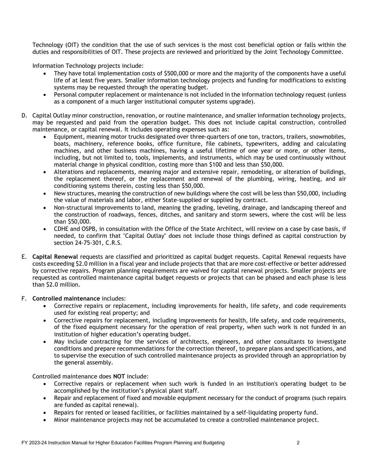Technology (OIT) the condition that the use of such services is the most cost beneficial option or falls within the duties and responsibilities of OIT. These projects are reviewed and prioritized by the Joint Technology Committee.

Information Technology projects include:

- They have total implementation costs of \$500,000 or more and the majority of the components have a useful life of at least five years. Smaller information technology projects and funding for modifications to existing systems may be requested through the operating budget.
- Personal computer replacement or maintenance is not included in the information technology request (unless as a component of a much larger institutional computer systems upgrade).
- D. Capital Outlay minor construction, renovation, or routine maintenance, and smaller information technology projects, may be requested and paid from the operation budget. This does not include capital construction, controlled maintenance, or capital renewal. It includes operating expenses such as:
	- Equipment, meaning motor trucks designated over three-quarters of one ton, tractors, trailers, snowmobiles, boats, machinery, reference books, office furniture, file cabinets, typewriters, adding and calculating machines, and other business machines, having a useful lifetime of one year or more, or other items, including, but not limited to, tools, implements, and instruments, which may be used continuously without material change in physical condition, costing more than \$100 and less than \$50,000.
	- Alterations and replacements, meaning major and extensive repair, remodeling, or alteration of buildings, the replacement thereof, or the replacement and renewal of the plumbing, wiring, heating, and air conditioning systems therein, costing less than \$50,000.
	- New structures, meaning the construction of new buildings where the cost will be less than \$50,000, including the value of materials and labor, either State-supplied or supplied by contract.
	- Non-structural improvements to land, meaning the grading, leveling, drainage, and landscaping thereof and the construction of roadways, fences, ditches, and sanitary and storm sewers, where the cost will be less than \$50,000.
	- CDHE and OSPB, in consultation with the Office of the State Architect, will review on a case by case basis, if needed, to confirm that "Capital Outlay" does not include those things defined as capital construction by section 24-75-301, C.R.S.
- E. **Capital Renewal** requests are classified and prioritized as capital budget requests. Capital Renewal requests have costs exceeding \$2.0 million in a fiscal year and include projects that that are more cost-effective or better addressed by corrective repairs. Program planning requirements are waived for capital renewal projects. Smaller projects are requested as controlled maintenance capital budget requests or projects that can be phased and each phase is less than \$2.0 million.

#### F. **Controlled maintenance** includes:

- Corrective repairs or replacement, including improvements for health, life safety, and code requirements used for existing real property; and
- Corrective repairs for replacement, including improvements for health, life safety, and code requirements, of the fixed equipment necessary for the operation of real property, when such work is not funded in an institution of higher education's operating budget.
- May include contracting for the services of architects, engineers, and other consultants to investigate conditions and prepare recommendations for the correction thereof, to prepare plans and specifications, and to supervise the execution of such controlled maintenance projects as provided through an appropriation by the general assembly.

Controlled maintenance does **NOT** include:

- Corrective repairs or replacement when such work is funded in an institution's operating budget to be accomplished by the institution's physical plant staff.
- Repair and replacement of fixed and movable equipment necessary for the conduct of programs (such repairs are funded as capital renewal).
- Repairs for rented or leased facilities, or facilities maintained by a self-liquidating property fund.
- Minor maintenance projects may not be accumulated to create a controlled maintenance project.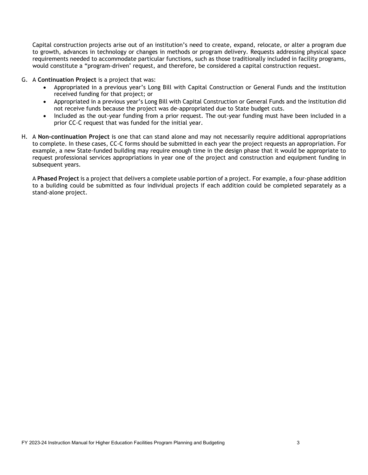Capital construction projects arise out of an institution's need to create, expand, relocate, or alter a program due to growth, advances in technology or changes in methods or program delivery. Requests addressing physical space requirements needed to accommodate particular functions, such as those traditionally included in facility programs, would constitute a "program-driven" request, and therefore, be considered a capital construction request.

- G. A **Continuation Project** is a project that was:
	- Appropriated in a previous year's Long Bill with Capital Construction or General Funds and the institution received funding for that project; or
	- Appropriated in a previous year's Long Bill with Capital Construction or General Funds and the institution did not receive funds because the project was de-appropriated due to State budget cuts.
	- Included as the out-year funding from a prior request. The out-year funding must have been included in a prior CC-C request that was funded for the initial year.
- H. A **Non-continuation Project** is one that can stand alone and may not necessarily require additional appropriations to complete. In these cases, CC-C forms should be submitted in each year the project requests an appropriation. For example, a new State-funded building may require enough time in the design phase that it would be appropriate to request professional services appropriations in year one of the project and construction and equipment funding in subsequent years.

A **Phased Project** is a project that delivers a complete usable portion of a project. For example, a four-phase addition to a building could be submitted as four individual projects if each addition could be completed separately as a stand-alone project.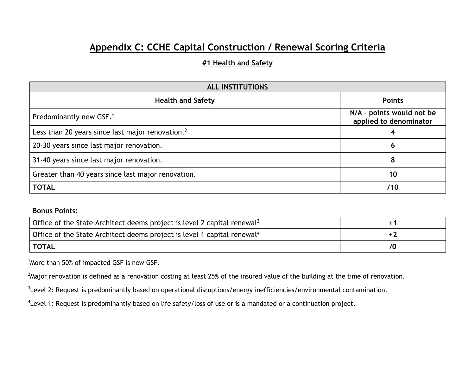# **Appendix C: CCHE Capital Construction / Renewal Scoring Criteria**

### **#1 Health and Safety**

| <b>ALL INSTITUTIONS</b>                             |                                                     |
|-----------------------------------------------------|-----------------------------------------------------|
| <b>Health and Safety</b>                            | <b>Points</b>                                       |
| Predominantly new GSF. <sup>1</sup>                 | N/A - points would not be<br>applied to denominator |
| Less than 20 years since last major renovation. $2$ |                                                     |
| 20-30 years since last major renovation.            | O                                                   |
| 31-40 years since last major renovation.            | 8                                                   |
| Greater than 40 years since last major renovation.  | 10                                                  |
| <b>TOTAL</b>                                        | /10                                                 |

### **Bonus Points:**

| Office of the State Architect deems project is level 2 capital renewal <sup>3</sup> |  |
|-------------------------------------------------------------------------------------|--|
| Office of the State Architect deems project is level 1 capital renewal <sup>4</sup> |  |
| TOTAL                                                                               |  |

<sup>1</sup> More than 50% of impacted GSF is new GSF.

 $^2$ Major renovation is defined as a renovation costing at least 25% of the insured value of the building at the time of renovation.

<sup>3</sup>Level 2: Request is predominantly based on operational disruptions/energy inefficiencies/environmental contamination.

<sup>4</sup> Level 1: Request is predominantly based on life safety/loss of use or is a mandated or a continuation project.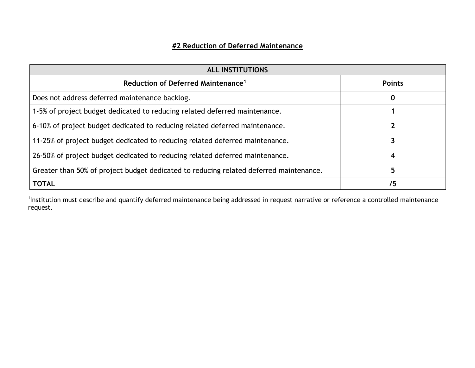## **#2 Reduction of Deferred Maintenance**

| <b>ALL INSTITUTIONS</b>                                                                |               |
|----------------------------------------------------------------------------------------|---------------|
| Reduction of Deferred Maintenance <sup>1</sup>                                         | <b>Points</b> |
| Does not address deferred maintenance backlog.                                         | O             |
| 1-5% of project budget dedicated to reducing related deferred maintenance.             |               |
| 6-10% of project budget dedicated to reducing related deferred maintenance.            |               |
| 11-25% of project budget dedicated to reducing related deferred maintenance.           |               |
| 26-50% of project budget dedicated to reducing related deferred maintenance.           | 4             |
| Greater than 50% of project budget dedicated to reducing related deferred maintenance. | 5             |
| <b>TOTAL</b>                                                                           | 75            |

<sup>1</sup>Institution must describe and quantify deferred maintenance being addressed in request narrative or reference a controlled maintenance request.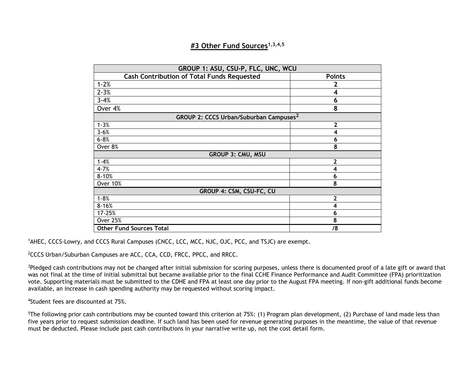### **#3 Other Fund Sources1,3,4,5**

| GROUP 1: ASU, CSU-P, FLC, UNC, WCU                 |                |
|----------------------------------------------------|----------------|
| <b>Cash Contribution of Total Funds Requested</b>  | <b>Points</b>  |
| $1 - 2%$                                           |                |
| $2 - 3%$                                           | 4              |
| $3 - 4%$                                           | 6              |
| Over 4%                                            | 8              |
| GROUP 2: CCCS Urban/Suburban Campuses <sup>2</sup> |                |
| $1 - 3%$                                           | $\overline{2}$ |
| $3 - 6%$                                           | 4              |
| $6 - 8%$                                           | 6              |
| Over 8%                                            | 8              |
| <b>GROUP 3: CMU, MSU</b>                           |                |
| $1 - 4%$                                           | 2              |
| $4 - 7%$                                           | 4              |
| $8 - 10%$                                          | 6              |
| Over 10%                                           | 8              |
| GROUP 4: CSM, CSU-FC, CU                           |                |
| $1 - 8%$                                           | $\mathbf{2}$   |
| $8 - 16%$                                          | 4              |
| 17-25%                                             | 6              |
| <b>Over 25%</b>                                    | 8              |
| <b>Other Fund Sources Total</b>                    | /8             |

<sup>1</sup>AHEC, CCCS-Lowry, and CCCS Rural Campuses (CNCC, LCC, MCC, NJC, OJC, PCC, and TSJC) are exempt.

<sup>2</sup>CCCS Urban/Suburban Campuses are ACC, CCA, CCD, FRCC, PPCC, and RRCC.

<sup>3</sup>Pledged cash contributions may not be changed after initial submission for scoring purposes, unless there is documented proof of a late gift or award that was not final at the time of initial submittal but became available prior to the final CCHE Finance Performance and Audit Committee (FPA) prioritization vote. Supporting materials must be submitted to the CDHE and FPA at least one day prior to the August FPA meeting. If non-gift additional funds become available, an increase in cash spending authority may be requested without scoring impact.

4 Student fees are discounted at 75%.

<sup>5</sup>The following prior cash contributions may be counted toward this criterion at 75%: (1) Program plan development, (2) Purchase of land made less than five years prior to request submission deadline. If such land has been used for revenue generating purposes in the meantime, the value of that revenue must be deducted. Please include past cash contributions in your narrative write up, not the cost detail form.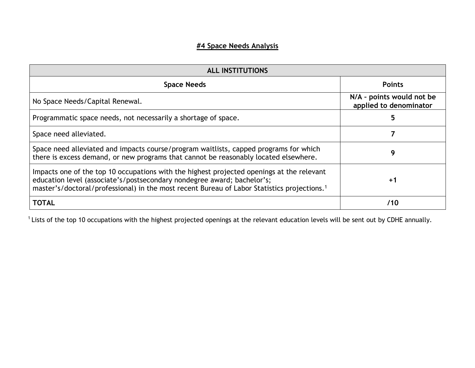## **#4 Space Needs Analysis**

| <b>ALL INSTITUTIONS</b>                                                                                                                                                                                                                                                         |                                                     |
|---------------------------------------------------------------------------------------------------------------------------------------------------------------------------------------------------------------------------------------------------------------------------------|-----------------------------------------------------|
| <b>Space Needs</b>                                                                                                                                                                                                                                                              | <b>Points</b>                                       |
| No Space Needs/Capital Renewal.                                                                                                                                                                                                                                                 | N/A - points would not be<br>applied to denominator |
| Programmatic space needs, not necessarily a shortage of space.                                                                                                                                                                                                                  | 5                                                   |
| Space need alleviated.                                                                                                                                                                                                                                                          |                                                     |
| Space need alleviated and impacts course/program waitlists, capped programs for which<br>there is excess demand, or new programs that cannot be reasonably located elsewhere.                                                                                                   | 9                                                   |
| Impacts one of the top 10 occupations with the highest projected openings at the relevant<br>education level (associate's/postsecondary nondegree award; bachelor's;<br>master's/doctoral/professional) in the most recent Bureau of Labor Statistics projections. <sup>1</sup> | $+1$                                                |
| <b>TOTAL</b>                                                                                                                                                                                                                                                                    | /10                                                 |

 $1$  Lists of the top 10 occupations with the highest projected openings at the relevant education levels will be sent out by CDHE annually.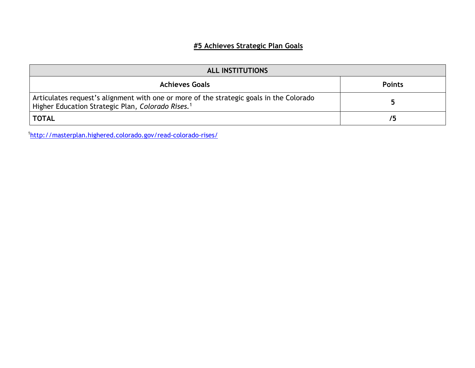## **#5 Achieves Strategic Plan Goals**

| <b>ALL INSTITUTIONS</b>                                                                                                                                  |               |
|----------------------------------------------------------------------------------------------------------------------------------------------------------|---------------|
| <b>Achieves Goals</b>                                                                                                                                    | <b>Points</b> |
| Articulates request's alignment with one or more of the strategic goals in the Colorado<br>Higher Education Strategic Plan, Colorado Rises. <sup>1</sup> |               |
| <b>TOTAL</b>                                                                                                                                             | 75            |

1 <http://masterplan.highered.colorado.gov/read-colorado-rises/>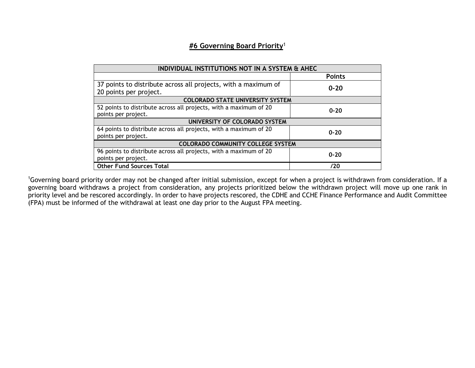### **#6 Governing Board Priority**<sup>1</sup>

| INDIVIDUAL INSTITUTIONS NOT IN A SYSTEM & AHEC                                           |               |  |
|------------------------------------------------------------------------------------------|---------------|--|
|                                                                                          | <b>Points</b> |  |
| 37 points to distribute across all projects, with a maximum of<br>20 points per project. | $0 - 20$      |  |
| <b>COLORADO STATE UNIVERSITY SYSTEM</b>                                                  |               |  |
| 52 points to distribute across all projects, with a maximum of 20<br>points per project. | $0 - 20$      |  |
| UNIVERSITY OF COLORADO SYSTEM                                                            |               |  |
| 64 points to distribute across all projects, with a maximum of 20<br>points per project. | $0 - 20$      |  |
| <b>COLORADO COMMUNITY COLLEGE SYSTEM</b>                                                 |               |  |
| 96 points to distribute across all projects, with a maximum of 20<br>points per project. | $0 - 20$      |  |
| <b>Other Fund Sources Total</b>                                                          | /20           |  |

<sup>1</sup>Governing board priority order may not be changed after initial submission, except for when a project is withdrawn from consideration. If a governing board withdraws a project from consideration, any projects prioritized below the withdrawn project will move up one rank in priority level and be rescored accordingly. In order to have projects rescored, the CDHE and CCHE Finance Performance and Audit Committee (FPA) must be informed of the withdrawal at least one day prior to the August FPA meeting.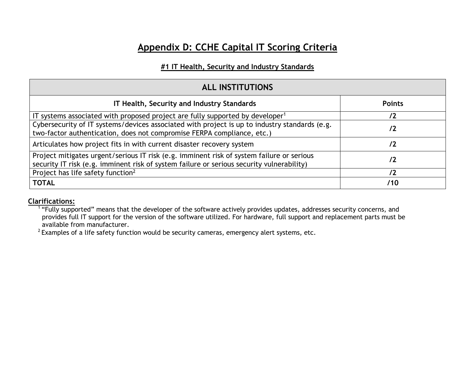# **Appendix D: CCHE Capital IT Scoring Criteria**

### **#1 IT Health, Security and Industry Standards**

| <b>ALL INSTITUTIONS</b>                                                                                                                                                                |               |
|----------------------------------------------------------------------------------------------------------------------------------------------------------------------------------------|---------------|
| IT Health, Security and Industry Standards                                                                                                                                             | <b>Points</b> |
| IT systems associated with proposed project are fully supported by developer <sup>1</sup>                                                                                              |               |
| Cybersecurity of IT systems/devices associated with project is up to industry standards (e.g.<br>two-factor authentication, does not compromise FERPA compliance, etc.)                | 72            |
| Articulates how project fits in with current disaster recovery system                                                                                                                  | /2            |
| Project mitigates urgent/serious IT risk (e.g. imminent risk of system failure or serious<br>security IT risk (e.g. imminent risk of system failure or serious security vulnerability) | /2            |
| Project has life safety function <sup>2</sup>                                                                                                                                          | /2            |
| <b>TOTAL</b>                                                                                                                                                                           | /10           |

### **Clarifications:**

<sup>1</sup> "Fully supported" means that the developer of the software actively provides updates, addresses security concerns, and provides full IT support for the version of the software utilized. For hardware, full support and replacement parts must be available from manufacturer.

 $2$  Examples of a life safety function would be security cameras, emergency alert systems, etc.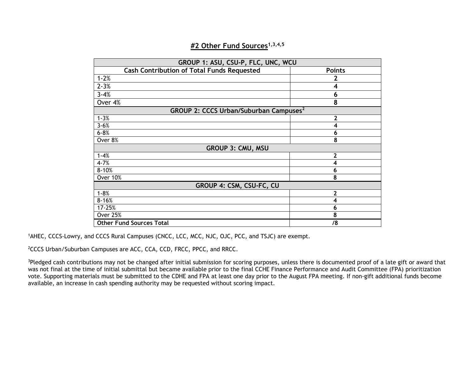| GROUP 1: ASU, CSU-P, FLC, UNC, WCU                 |                         |
|----------------------------------------------------|-------------------------|
| <b>Cash Contribution of Total Funds Requested</b>  | <b>Points</b>           |
| $1 - 2%$                                           | 2                       |
| $2 - 3%$                                           | $\overline{\mathbf{4}}$ |
| $3 - 4%$                                           | 6                       |
| Over 4%                                            | 8                       |
| GROUP 2: CCCS Urban/Suburban Campuses <sup>2</sup> |                         |
| $1 - 3%$                                           | $\mathbf{2}$            |
| $3 - 6%$                                           | 4                       |
| $6 - 8%$                                           | 6                       |
| Over 8%                                            | 8                       |
| <b>GROUP 3: CMU, MSU</b>                           |                         |
| $1 - 4%$                                           | $\overline{2}$          |
| $4 - 7%$                                           | 4                       |
| $8 - 10%$                                          | 6                       |
| <b>Over 10%</b>                                    | 8                       |
| GROUP 4: CSM, CSU-FC, CU                           |                         |
| $1 - 8%$                                           | 2                       |
| $8 - 16%$                                          | 4                       |
| 17-25%                                             | 6                       |
| <b>Over 25%</b>                                    | 8                       |
| <b>Other Fund Sources Total</b>                    | /8                      |

### **#2 Other Fund Sources1,3,4,5**

1 AHEC, CCCS-Lowry, and CCCS Rural Campuses (CNCC, LCC, MCC, NJC, OJC, PCC, and TSJC) are exempt.

<sup>2</sup>CCCS Urban/Suburban Campuses are ACC, CCA, CCD, FRCC, PPCC, and RRCC.

<sup>3</sup>Pledged cash contributions may not be changed after initial submission for scoring purposes, unless there is documented proof of a late gift or award that was not final at the time of initial submittal but became available prior to the final CCHE Finance Performance and Audit Committee (FPA) prioritization vote. Supporting materials must be submitted to the CDHE and FPA at least one day prior to the August FPA meeting. If non-gift additional funds become available, an increase in cash spending authority may be requested without scoring impact.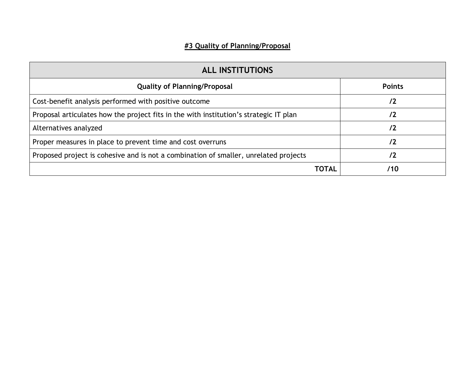## **#3 Quality of Planning/Proposal**

| <b>ALL INSTITUTIONS</b>                                                               |               |
|---------------------------------------------------------------------------------------|---------------|
| <b>Quality of Planning/Proposal</b>                                                   | <b>Points</b> |
| Cost-benefit analysis performed with positive outcome                                 | 72            |
| Proposal articulates how the project fits in the with institution's strategic IT plan | /2            |
| Alternatives analyzed                                                                 | 72            |
| Proper measures in place to prevent time and cost overruns                            | /2            |
| Proposed project is cohesive and is not a combination of smaller, unrelated projects  | /2            |
| ΤΟΤΑL                                                                                 | /10           |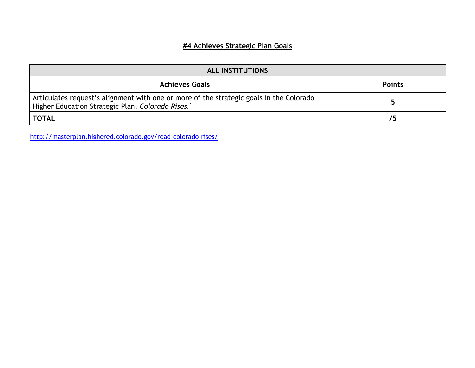## **#4 Achieves Strategic Plan Goals**

| <b>ALL INSTITUTIONS</b>                                                                                                                                  |               |
|----------------------------------------------------------------------------------------------------------------------------------------------------------|---------------|
| <b>Achieves Goals</b>                                                                                                                                    | <b>Points</b> |
| Articulates request's alignment with one or more of the strategic goals in the Colorado<br>Higher Education Strategic Plan, Colorado Rises. <sup>1</sup> |               |
| <b>TOTAL</b>                                                                                                                                             | 75            |

1 <http://masterplan.highered.colorado.gov/read-colorado-rises/>